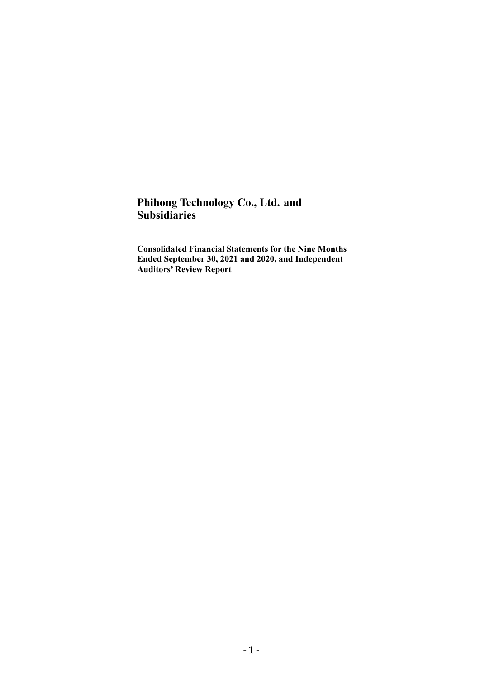# **Phihong Technology Co., Ltd. and Subsidiaries**

**Consolidated Financial Statements for the Nine Months Ended September 30, 2021 and 2020, and Independent Auditors' Review Report**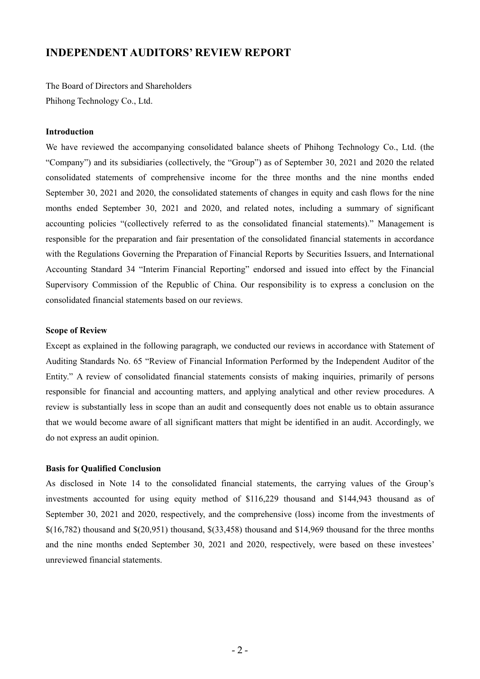# **INDEPENDENT AUDITORS' REVIEW REPORT**

The Board of Directors and Shareholders Phihong Technology Co., Ltd.

#### **Introduction**

We have reviewed the accompanying consolidated balance sheets of Phihong Technology Co., Ltd. (the "Company") and its subsidiaries (collectively, the "Group") as of September 30, 2021 and 2020 the related consolidated statements of comprehensive income for the three months and the nine months ended September 30, 2021 and 2020, the consolidated statements of changes in equity and cash flows for the nine months ended September 30, 2021 and 2020, and related notes, including a summary of significant accounting policies "(collectively referred to as the consolidated financial statements)." Management is responsible for the preparation and fair presentation of the consolidated financial statements in accordance with the Regulations Governing the Preparation of Financial Reports by Securities Issuers, and International Accounting Standard 34 "Interim Financial Reporting" endorsed and issued into effect by the Financial Supervisory Commission of the Republic of China. Our responsibility is to express a conclusion on the consolidated financial statements based on our reviews.

#### **Scope of Review**

Except as explained in the following paragraph, we conducted our reviews in accordance with Statement of Auditing Standards No. 65 "Review of Financial Information Performed by the Independent Auditor of the Entity." A review of consolidated financial statements consists of making inquiries, primarily of persons responsible for financial and accounting matters, and applying analytical and other review procedures. A review is substantially less in scope than an audit and consequently does not enable us to obtain assurance that we would become aware of all significant matters that might be identified in an audit. Accordingly, we do not express an audit opinion.

#### **Basis for Qualified Conclusion**

As disclosed in Note 14 to the consolidated financial statements, the carrying values of the Group's investments accounted for using equity method of \$116,229 thousand and \$144,943 thousand as of September 30, 2021 and 2020, respectively, and the comprehensive (loss) income from the investments of  $\{(16,782)$  thousand and  $\{(20,951)$  thousand,  $\{(33,458)$  thousand and  $\{(14,969)$  thousand for the three months and the nine months ended September 30, 2021 and 2020, respectively, were based on these investees' unreviewed financial statements.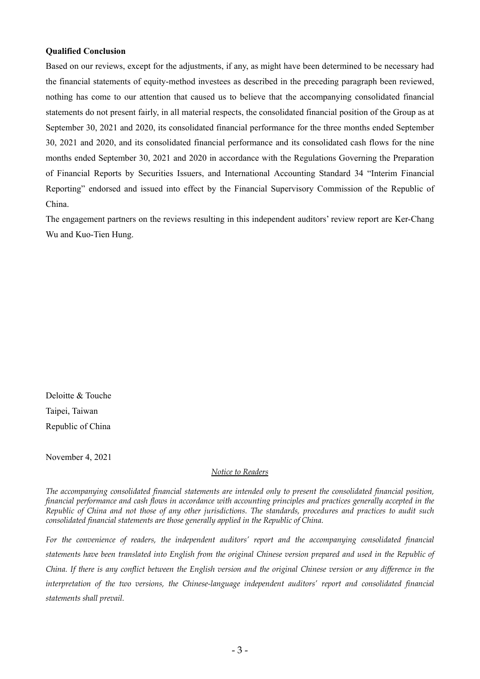#### **Qualified Conclusion**

Based on our reviews, except for the adjustments, if any, as might have been determined to be necessary had the financial statements of equity-method investees as described in the preceding paragraph been reviewed, nothing has come to our attention that caused us to believe that the accompanying consolidated financial statements do not present fairly, in all material respects, the consolidated financial position of the Group as at September 30, 2021 and 2020, its consolidated financial performance for the three months ended September 30, 2021 and 2020, and its consolidated financial performance and its consolidated cash flows for the nine months ended September 30, 2021 and 2020 in accordance with the Regulations Governing the Preparation of Financial Reports by Securities Issuers, and International Accounting Standard 34 "Interim Financial Reporting" endorsed and issued into effect by the Financial Supervisory Commission of the Republic of China.

The engagement partners on the reviews resulting in this independent auditors' review report are Ker-Chang Wu and Kuo-Tien Hung.

Deloitte & Touche Taipei, Taiwan Republic of China

November 4, 2021

## *Notice to Readers*

*The accompanying consolidated financial statements are intended only to present the consolidated financial position, financial performance and cash flows in accordance with accounting principles and practices generally accepted in the Republic of China and not those of any other jurisdictions. The standards, procedures and practices to audit such consolidated financial statements are those generally applied in the Republic of China.* 

For the convenience of readers, the independent auditors' report and the accompanying consolidated financial *statements have been translated into English from the original Chinese version prepared and used in the Republic of China. If there is any conflict between the English version and the original Chinese version or any difference in the interpretation of the two versions, the Chinese-language independent auditors' report and consolidated financial statements shall prevail.*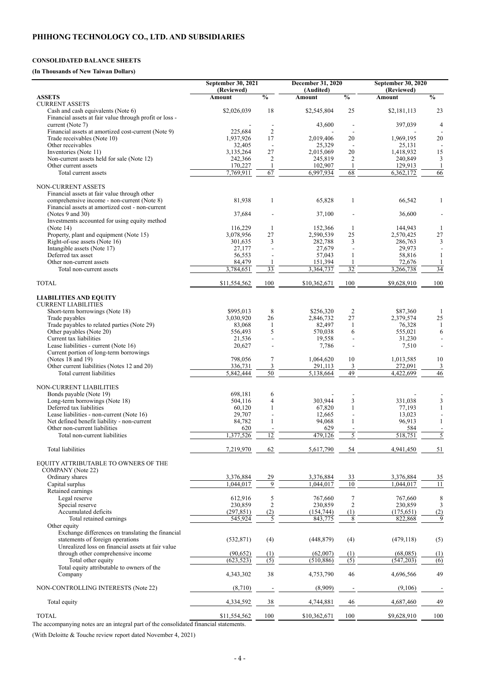#### **CONSOLIDATED BALANCE SHEETS**

## **(In Thousands of New Taiwan Dollars)**

|                                                                                                 | September 30, 2021          |                          | December 31, 2020          |                          | <b>September 30, 2020</b>   |                          |
|-------------------------------------------------------------------------------------------------|-----------------------------|--------------------------|----------------------------|--------------------------|-----------------------------|--------------------------|
| <b>ASSETS</b>                                                                                   | (Reviewed)<br><b>Amount</b> | $\overline{\frac{0}{0}}$ | (Audited)<br><b>Amount</b> | $\overline{\frac{0}{0}}$ | (Reviewed)<br><b>Amount</b> | $\overline{\frac{0}{0}}$ |
| <b>CURRENT ASSETS</b>                                                                           |                             |                          |                            |                          |                             |                          |
| Cash and cash equivalents (Note 6)<br>Financial assets at fair value through profit or loss -   | \$2,026,039                 | 18                       | \$2,545,804                | 25                       | \$2,181,113                 | 23                       |
| current (Note 7)<br>Financial assets at amortized cost-current (Note 9)                         | 225,684                     | $\overline{2}$           | 43,600                     |                          | 397,039                     | 4                        |
| Trade receivables (Note 10)                                                                     | 1,937,926                   | 17                       | 2,019,406                  | 20                       | 1,969,195                   | 20                       |
| Other receivables                                                                               | 32,405                      |                          | 25,329                     |                          | 25,131                      |                          |
| Inventories (Note 11)<br>Non-current assets held for sale (Note 12)                             | 3,135,264<br>242,366        | 27<br>$\overline{2}$     | 2,015,069<br>245,819       | 20<br>$\overline{2}$     | 1,418,932<br>240,849        | 15<br>3                  |
| Other current assets                                                                            | 170,227                     |                          | 102,907                    |                          | 129,913                     |                          |
| Total current assets                                                                            | 7,769,911                   | $\overline{67}$          | 6,997,934                  | 68                       | 6,362,172                   | 66                       |
| NON-CURRENT ASSETS                                                                              |                             |                          |                            |                          |                             |                          |
| Financial assets at fair value through other                                                    |                             |                          |                            |                          |                             |                          |
| comprehensive income - non-current (Note 8)<br>Financial assets at amortized cost - non-current | 81,938                      | $\mathbf{1}$             | 65,828                     | 1                        | 66,542                      | $\mathbf{1}$             |
| (Notes 9 and 30)                                                                                | 37,684                      |                          | 37,100                     |                          | 36,600                      |                          |
| Investments accounted for using equity method                                                   |                             |                          |                            |                          |                             |                          |
| (Note $14$ )<br>Property, plant and equipment (Note 15)                                         | 116,229<br>3,078,956        | 1<br>27                  | 152,366<br>2,590,539       | -1<br>25                 | 144,943<br>2,570,425        | $\mathbf{1}$<br>27       |
| Right-of-use assets (Note 16)                                                                   | 301,635                     | 3                        | 282,788                    | $\overline{3}$           | 286,763                     | $\overline{3}$           |
| Intangible assets (Note 17)<br>Deferred tax asset                                               | 27,177                      |                          | 27,679                     |                          | 29,973                      |                          |
| Other non-current assets                                                                        | 56,553<br>84,479            |                          | 57,043<br>151,394          |                          | 58,816<br>72,676            |                          |
| Total non-current assets                                                                        | 3,784,651                   | 33                       | 3,364,737                  | $\overline{32}$          | 3,266,738                   | $\overline{34}$          |
| <b>TOTAL</b>                                                                                    | \$11,554,562                | 100                      | \$10,362,671               | 100                      | \$9,628,910                 | 100                      |
| <b>LIABILITIES AND EQUITY</b><br><b>CURRENT LIABILITIES</b>                                     |                             |                          |                            |                          |                             |                          |
| Short-term borrowings (Note 18)                                                                 | \$995,013                   | 8                        | \$256,320                  | 2                        | \$87,360                    |                          |
| Trade payables                                                                                  | 3,030,920                   | 26                       | 2,846,732                  | 27                       | 2,379,574                   | 25                       |
| Trade payables to related parties (Note 29)<br>Other payables (Note 20)                         | 83,068<br>556,493           | $\varsigma$              | 82,497<br>570,038          | 6                        | 76,328<br>555,021           | 6                        |
| Current tax liabilities                                                                         | 21,536                      |                          | 19,558                     |                          | 31,230                      |                          |
| Lease liabilities - current (Note 16)                                                           | 20,627                      |                          | 7,786                      |                          | 7,510                       |                          |
| Current portion of long-term borrowings<br>(Notes 18 and 19)                                    | 798,056                     | 7                        | 1,064,620                  | 10                       | 1,013,585                   | 10                       |
| Other current liabilities (Notes 12 and 20)                                                     | 336,731                     | 3                        | 291,113                    | 3                        | 272,091                     | 3                        |
| Total current liabilities                                                                       | 5,842,444                   | 50                       | 5,138,664                  | 49                       | 4,422,699                   | 46                       |
| NON-CURRENT LIABILITIES                                                                         |                             |                          |                            |                          |                             |                          |
| Bonds payable (Note 19)                                                                         | 698,181                     | 6                        |                            |                          |                             |                          |
| Long-term borrowings (Note 18)<br>Deferred tax liabilities                                      | 504,116<br>60,120           | 4                        | 303,944<br>67,820          | 3                        | 331,038<br>77,193           | 3                        |
| Lease liabilities - non-current (Note 16)                                                       | 29,707                      |                          | 12,665                     |                          | 13,023                      |                          |
| Net defined benefit liability - non-current                                                     | 84,782                      |                          | 94,068                     |                          | 96,913                      |                          |
| Other non-current liabilities<br>Total non-current liabilities                                  | 620<br>1,377,526            | 12                       | 629<br>479,126             | 5                        | 584<br>518,751              | 5                        |
|                                                                                                 |                             |                          |                            |                          |                             |                          |
| Total liabilities                                                                               | 7,219,970                   | 62                       | 5,617,790                  | 54                       | 4,941,450                   | 51                       |
| EQUITY ATTRIBUTABLE TO OWNERS OF THE                                                            |                             |                          |                            |                          |                             |                          |
| <b>COMPANY</b> (Note 22)                                                                        |                             |                          |                            |                          |                             |                          |
| Ordinary shares<br>Capital surplus                                                              | 3,376,884<br>1,044,017      | 29<br>$\overline{9}$     | 3,376,884<br>1,044,017     | 33<br>$\overline{10}$    | 3,376,884<br>1,044,017      | $\frac{35}{11}$          |
| Retained earnings                                                                               |                             |                          |                            |                          |                             |                          |
| Legal reserve                                                                                   | 612,916                     | 5                        | 767,660                    | 7                        | 767,660                     | 8                        |
| Special reserve<br>Accumulated deficits                                                         | 230,859<br>(297, 851)       | $\overline{2}$<br>(2)    | 230,859<br>(154, 744)      | 2<br>(1)                 | 230,859<br>(175, 651)       | 3<br>(2)                 |
| Total retained earnings                                                                         | 545,924                     | 5                        | 843,775                    | 8                        | 822,868                     | 9                        |
| Other equity                                                                                    |                             |                          |                            |                          |                             |                          |
| Exchange differences on translating the financial<br>statements of foreign operations           | (532, 871)                  | (4)                      | (448, 879)                 | (4)                      | (479, 118)                  | (5)                      |
| Unrealized loss on financial assets at fair value                                               |                             |                          |                            |                          |                             |                          |
| through other comprehensive income                                                              | (90, 652)                   | (1)                      | (62,007)                   | (1)                      | (68,085)                    | (1)                      |
| Total other equity<br>Total equity attributable to owners of the                                | (623, 523)                  | (5)                      | (510, 886)                 | (5)                      | (547,203)                   | (6)                      |
| Company                                                                                         | 4,343,302                   | 38                       | 4,753,790                  | 46                       | 4,696,566                   | 49                       |
| NON-CONTROLLING INTERESTS (Note 22)                                                             | (8,710)                     |                          | (8,909)                    |                          | (9,106)                     |                          |
| Total equity                                                                                    | 4,334,592                   | 38                       | 4,744,881                  | 46                       | 4,687,460                   | 49                       |
| <b>TOTAL</b>                                                                                    | \$11,554,562                | 100                      | \$10,362,671               | 100                      | \$9,628,910                 | 100                      |
| The accompanying notes are an integral part of the consolidated financial statements.           |                             |                          |                            |                          |                             |                          |

(With Deloitte & Touche review report dated November 4, 2021)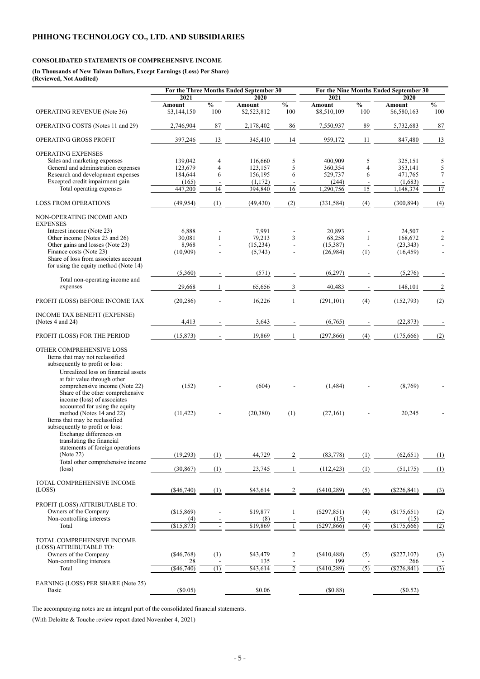## **CONSOLIDATED STATEMENTS OF COMPREHENSIVE INCOME**

**(In Thousands of New Taiwan Dollars, Except Earnings (Loss) Per Share) (Reviewed, Not Audited)** 

|                                                                                                                                                                                                        | For the Three Months Ended September 30 |                                 | For the Nine Months Ended September 30 |                             |                              |                      |                              |                      |
|--------------------------------------------------------------------------------------------------------------------------------------------------------------------------------------------------------|-----------------------------------------|---------------------------------|----------------------------------------|-----------------------------|------------------------------|----------------------|------------------------------|----------------------|
|                                                                                                                                                                                                        | 2021                                    |                                 | 2020                                   |                             | 2021                         |                      | 2020                         |                      |
| <b>OPERATING REVENUE (Note 36)</b>                                                                                                                                                                     | <b>Amount</b><br>\$3,144,150            | $\overline{\frac{0}{0}}$<br>100 | <b>Amount</b><br>\$2,523,812           | $\frac{0}{0}$<br>100        | <b>Amount</b><br>\$8,510,109 | $\frac{0}{0}$<br>100 | <b>Amount</b><br>\$6,580,163 | $\frac{0}{0}$<br>100 |
| <b>OPERATING COSTS</b> (Notes 11 and 29)                                                                                                                                                               | 2,746,904                               | 87                              | 2,178,402                              | 86                          | 7,550,937                    | 89                   | 5,732,683                    | $87\,$               |
| OPERATING GROSS PROFIT                                                                                                                                                                                 | 397,246                                 | 13                              | 345,410                                | 14                          | 959,172                      | 11                   | 847,480                      | 13                   |
| <b>OPERATING EXPENSES</b>                                                                                                                                                                              |                                         |                                 |                                        |                             |                              |                      |                              |                      |
| Sales and marketing expenses                                                                                                                                                                           | 139,042                                 | 4                               | 116,660                                | 5                           | 400,909                      | 5                    | 325,151                      | 5                    |
| General and administration expenses                                                                                                                                                                    | 123,679                                 | $\overline{4}$                  | 123,157                                | 5                           | 360,354                      | $\overline{4}$       | 353,141                      | 5                    |
| Research and development expenses                                                                                                                                                                      | 184,644                                 | 6                               | 156,195                                | 6                           | 529,737                      | 6                    | 471,765                      | $\overline{7}$       |
| Excepted credit impairment gain                                                                                                                                                                        | (165)                                   |                                 | (1,172)                                |                             | (244)                        |                      | (1,683)                      |                      |
| Total operating expenses                                                                                                                                                                               | 447,200                                 | 14                              | 394,840                                | 16                          | 1,290,756                    | 15                   | 1,148,374                    | 17                   |
| <b>LOSS FROM OPERATIONS</b>                                                                                                                                                                            | (49, 954)                               | (1)                             | (49, 430)                              | (2)                         | (331, 584)                   | (4)                  | (300, 894)                   | (4)                  |
| NON-OPERATING INCOME AND<br><b>EXPENSES</b>                                                                                                                                                            |                                         |                                 |                                        |                             |                              |                      |                              |                      |
| Interest income (Note 23)                                                                                                                                                                              | 6,888                                   |                                 | 7,991                                  |                             | 20,893                       |                      | 24,507                       |                      |
| Other income (Notes 23 and 26)                                                                                                                                                                         | 30,081                                  |                                 | 79,213                                 | $\overline{3}$              | 68,258                       | 1                    | 168,672                      | $\overline{2}$       |
| Other gains and losses (Note 23)                                                                                                                                                                       | 8,968                                   |                                 | (15,234)                               |                             | (15,387)                     |                      | (23, 343)                    |                      |
| Finance costs (Note 23)                                                                                                                                                                                | (10,909)                                |                                 | (5,743)                                |                             | (26,984)                     | (1)                  | (16, 459)                    |                      |
| Share of loss from associates account                                                                                                                                                                  |                                         |                                 |                                        |                             |                              |                      |                              |                      |
| for using the equity method (Note 14)                                                                                                                                                                  |                                         |                                 |                                        |                             |                              |                      |                              |                      |
|                                                                                                                                                                                                        | (5,360)                                 |                                 | (571)                                  |                             | (6,297)                      |                      | (5,276)                      |                      |
| Total non-operating income and<br>expenses                                                                                                                                                             | 29,668                                  |                                 | 65,656                                 | 3                           | 40,483                       |                      | 148,101                      | $\overline{2}$       |
| PROFIT (LOSS) BEFORE INCOME TAX                                                                                                                                                                        | (20, 286)                               |                                 | 16,226                                 |                             | (291, 101)                   | (4)                  | (152,793)                    | (2)                  |
|                                                                                                                                                                                                        |                                         |                                 |                                        |                             |                              |                      |                              |                      |
| INCOME TAX BENEFIT (EXPENSE)                                                                                                                                                                           |                                         |                                 |                                        |                             |                              |                      |                              |                      |
| (Notes 4 and 24)                                                                                                                                                                                       | 4,413                                   |                                 | 3,643                                  |                             | (6,765)                      |                      | (22, 873)                    |                      |
| PROFIT (LOSS) FOR THE PERIOD                                                                                                                                                                           | (15, 873)                               |                                 | 19,869                                 |                             | (297, 866)                   | (4)                  | (175,666)                    | (2)                  |
| OTHER COMPREHENSIVE LOSS<br>Items that may not reclassified<br>subsequently to profit or loss:<br>Unrealized loss on financial assets<br>at fair value through other<br>comprehensive income (Note 22) | (152)                                   |                                 | (604)                                  |                             | (1, 484)                     |                      | (8,769)                      |                      |
| Share of the other comprehensive<br>income (loss) of associates<br>accounted for using the equity                                                                                                      |                                         |                                 |                                        |                             |                              |                      |                              |                      |
| method (Notes 14 and 22)<br>Items that may be reclassified<br>subsequently to profit or loss:<br>Exchange differences on<br>translating the financial                                                  | (11, 422)                               |                                 | (20, 380)                              | (1)                         | (27,161)                     |                      | 20,245                       |                      |
| statements of foreign operations                                                                                                                                                                       |                                         |                                 |                                        |                             |                              |                      |                              |                      |
| (Note 22)<br>Total other comprehensive income                                                                                                                                                          | (19,293)                                | (1)                             | 44,729                                 | 2                           | (83,778)                     | (1)                  | (62, 651)                    | (1)                  |
| $(\text{loss})$                                                                                                                                                                                        | (30, 867)                               | (1)                             | 23,745                                 |                             | (112, 423)                   | (1)                  | (51, 175)                    | (1)                  |
| TOTAL COMPREHENSIVE INCOME                                                                                                                                                                             |                                         |                                 |                                        |                             |                              |                      |                              |                      |
| (LOSS)                                                                                                                                                                                                 | $(\$46,740)$                            | (1)                             | \$43,614                               | 2                           | $(\$410,289)$                | (5)                  | $(\$226, 841)$               | (3)                  |
|                                                                                                                                                                                                        |                                         |                                 |                                        |                             |                              |                      |                              |                      |
| PROFIT (LOSS) ATTRIBUTABLE TO:                                                                                                                                                                         |                                         |                                 |                                        |                             |                              |                      |                              |                      |
| Owners of the Company                                                                                                                                                                                  | (\$15,869)                              |                                 | \$19,877                               |                             | $(\$297,851)$                | (4)                  | (\$175,651)                  | (2)                  |
| Non-controlling interests                                                                                                                                                                              | (4)                                     |                                 | (8)                                    |                             | (15)                         |                      | (15)                         |                      |
| Total                                                                                                                                                                                                  | (\$15,873)                              |                                 | \$19,869                               |                             | $($ \$297,866)               | (4)                  | (\$175,666)                  | (2)                  |
| TOTAL COMPREHENSIVE INCOME<br>(LOSS) ATTRIBUTABLE TO:                                                                                                                                                  |                                         |                                 |                                        |                             |                              |                      |                              |                      |
| Owners of the Company                                                                                                                                                                                  | (\$46,768)                              | (1)                             | \$43,479                               | 2                           | (\$410,488)                  | (5)                  | $(\$227,107)$                | (3)                  |
| Non-controlling interests                                                                                                                                                                              | 28<br>( \$46,740)                       | (1)                             | 135<br>\$43,614                        | $\mathcal{D}_{\mathcal{L}}$ | 199                          | $\overline{(5)}$     | 266                          |                      |
| Total                                                                                                                                                                                                  |                                         |                                 |                                        |                             | (\$410,289)                  |                      | (\$226,841)                  | (3)                  |
| EARNING (LOSS) PER SHARE (Note 25)<br><b>Basic</b>                                                                                                                                                     | (\$0.05)                                |                                 | \$0.06                                 |                             | (\$0.88)                     |                      | $(\$0.52)$                   |                      |

The accompanying notes are an integral part of the consolidated financial statements.

(With Deloitte & Touche review report dated November 4, 2021)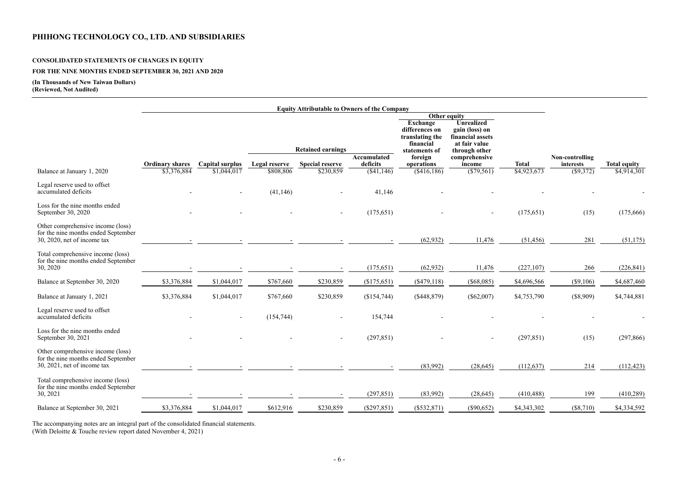# **CONSOLIDATED STATEMENTS OF CHANGES IN EQUITY**

# **FOR THE NINE MONTHS ENDED SEPTEMBER 30, 2021 AND 2020**

## **(In Thousands of New Taiwan Dollars) (Reviewed, Not Audited)**

|                                                                                                            |                        |                          |                          | <b>Equity Attributable to Owners of the Company</b> |                                                                                                                                                                                 |               |                |              |                 |                     |
|------------------------------------------------------------------------------------------------------------|------------------------|--------------------------|--------------------------|-----------------------------------------------------|---------------------------------------------------------------------------------------------------------------------------------------------------------------------------------|---------------|----------------|--------------|-----------------|---------------------|
|                                                                                                            |                        |                          |                          |                                                     |                                                                                                                                                                                 |               | Other equity   |              |                 |                     |
|                                                                                                            |                        |                          | <b>Retained earnings</b> |                                                     | <b>Unrealized</b><br><b>Exchange</b><br>differences on<br>gain (loss) on<br>financial assets<br>translating the<br>financial<br>at fair value<br>through other<br>statements of |               |                |              |                 |                     |
|                                                                                                            |                        |                          |                          |                                                     | Accumulated                                                                                                                                                                     | foreign       | comprehensive  |              | Non-controlling |                     |
|                                                                                                            | <b>Ordinary shares</b> | Capital surplus          | Legal reserve            | <b>Special reserve</b>                              | deficits                                                                                                                                                                        | operations    | income         | <b>Total</b> | interests       | <b>Total equity</b> |
| Balance at January 1, 2020                                                                                 | \$3,376,884            | \$1,044,017              | \$808,806                | \$230,859                                           | $(\$41,146)$                                                                                                                                                                    | (\$416,186)   | $(\$79,561)$   | \$4,923,673  | (\$9,372)       | \$4,914,301         |
| Legal reserve used to offset<br>accumulated deficits                                                       |                        | $\overline{\phantom{a}}$ | (41, 146)                | $\overline{\phantom{a}}$                            | 41,146                                                                                                                                                                          |               |                |              |                 |                     |
| Loss for the nine months ended<br>September 30, 2020                                                       |                        |                          |                          | $\overline{\phantom{a}}$                            | (175, 651)                                                                                                                                                                      |               | $\blacksquare$ | (175, 651)   | (15)            | (175,666)           |
| Other comprehensive income (loss)<br>for the nine months ended September                                   |                        |                          |                          |                                                     |                                                                                                                                                                                 |               |                |              |                 |                     |
| $30, 2020$ , net of income tax                                                                             |                        |                          |                          |                                                     |                                                                                                                                                                                 | (62, 932)     | 11,476         | (51, 456)    | 281             | (51, 175)           |
| Total comprehensive income (loss)<br>for the nine months ended September<br>30, 2020                       |                        |                          |                          |                                                     | (175, 651)                                                                                                                                                                      | (62, 932)     | 11,476         | (227, 107)   | 266             | (226, 841)          |
|                                                                                                            |                        |                          |                          |                                                     |                                                                                                                                                                                 |               |                |              |                 |                     |
| Balance at September 30, 2020                                                                              | \$3,376,884            | \$1,044,017              | \$767,660                | \$230,859                                           | (\$175,651)                                                                                                                                                                     | $(\$479,118)$ | $(\$68,085)$   | \$4,696,566  | $(\$9,106)$     | \$4,687,460         |
| Balance at January 1, 2021                                                                                 | \$3,376,884            | \$1,044,017              | \$767,660                | \$230,859                                           | (\$154,744)                                                                                                                                                                     | $(\$448,879)$ | $(\$62,007)$   | \$4,753,790  | (\$8,909)       | \$4,744,881         |
| Legal reserve used to offset<br>accumulated deficits                                                       |                        |                          | (154, 744)               |                                                     | 154,744                                                                                                                                                                         |               |                |              |                 |                     |
| Loss for the nine months ended<br>September 30, 2021                                                       |                        |                          |                          |                                                     | (297, 851)                                                                                                                                                                      |               |                | (297, 851)   | (15)            | (297, 866)          |
| Other comprehensive income (loss)<br>for the nine months ended September<br>$30, 2021$ , net of income tax |                        |                          |                          |                                                     |                                                                                                                                                                                 | (83,992)      | (28, 645)      | (112, 637)   | 214             | (112, 423)          |
| Total comprehensive income (loss)<br>for the nine months ended September<br>30, 2021                       |                        |                          |                          |                                                     | (297, 851)                                                                                                                                                                      | (83,992)      | (28, 645)      | (410, 488)   | 199             | (410, 289)          |
|                                                                                                            |                        |                          |                          |                                                     |                                                                                                                                                                                 |               |                |              |                 |                     |
| Balance at September 30, 2021                                                                              | \$3,376,884            | \$1,044,017              | \$612,916                | \$230,859                                           | $(\$297,851)$                                                                                                                                                                   | $(\$532,871)$ | $(\$90,652)$   | \$4,343,302  | (\$8,710)       | \$4,334,592         |

The accompanying notes are an integral part of the consolidated financial statements.

(With Deloitte & Touche review report dated November 4, 2021)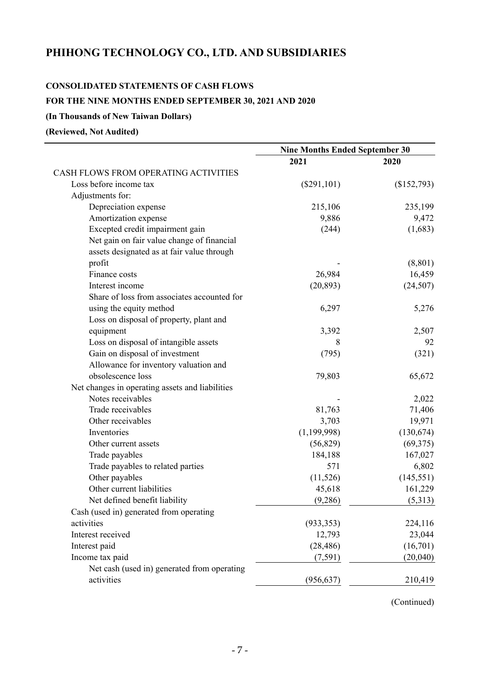# **CONSOLIDATED STATEMENTS OF CASH FLOWS**

## **FOR THE NINE MONTHS ENDED SEPTEMBER 30, 2021 AND 2020**

## **(In Thousands of New Taiwan Dollars)**

**(Reviewed, Not Audited)** 

|                                                 | <b>Nine Months Ended September 30</b> |             |  |
|-------------------------------------------------|---------------------------------------|-------------|--|
|                                                 | 2021                                  | 2020        |  |
| CASH FLOWS FROM OPERATING ACTIVITIES            |                                       |             |  |
| Loss before income tax                          | $(\$291,101)$                         | (\$152,793) |  |
| Adjustments for:                                |                                       |             |  |
| Depreciation expense                            | 215,106                               | 235,199     |  |
| Amortization expense                            | 9,886                                 | 9,472       |  |
| Excepted credit impairment gain                 | (244)                                 | (1,683)     |  |
| Net gain on fair value change of financial      |                                       |             |  |
| assets designated as at fair value through      |                                       |             |  |
| profit                                          |                                       | (8, 801)    |  |
| Finance costs                                   | 26,984                                | 16,459      |  |
| Interest income                                 | (20, 893)                             | (24, 507)   |  |
| Share of loss from associates accounted for     |                                       |             |  |
| using the equity method                         | 6,297                                 | 5,276       |  |
| Loss on disposal of property, plant and         |                                       |             |  |
| equipment                                       | 3,392                                 | 2,507       |  |
| Loss on disposal of intangible assets           | 8                                     | 92          |  |
| Gain on disposal of investment                  | (795)                                 | (321)       |  |
| Allowance for inventory valuation and           |                                       |             |  |
| obsolescence loss                               | 79,803                                | 65,672      |  |
| Net changes in operating assets and liabilities |                                       |             |  |
| Notes receivables                               |                                       | 2,022       |  |
| Trade receivables                               | 81,763                                | 71,406      |  |
| Other receivables                               | 3,703                                 | 19,971      |  |
| Inventories                                     | (1,199,998)                           | (130, 674)  |  |
| Other current assets                            | (56, 829)                             | (69, 375)   |  |
| Trade payables                                  | 184,188                               | 167,027     |  |
| Trade payables to related parties               | 571                                   | 6,802       |  |
| Other payables                                  | (11, 526)                             | (145, 551)  |  |
| Other current liabilities                       | 45,618                                | 161,229     |  |
| Net defined benefit liability                   | (9,286)                               | (5,313)     |  |
| Cash (used in) generated from operating         |                                       |             |  |
| activities                                      | (933, 353)                            | 224,116     |  |
| Interest received                               | 12,793                                | 23,044      |  |
| Interest paid                                   | (28, 486)                             | (16,701)    |  |
| Income tax paid                                 | (7,591)                               | (20,040)    |  |
| Net cash (used in) generated from operating     |                                       |             |  |
| activities                                      | (956, 637)                            | 210,419     |  |

(Continued)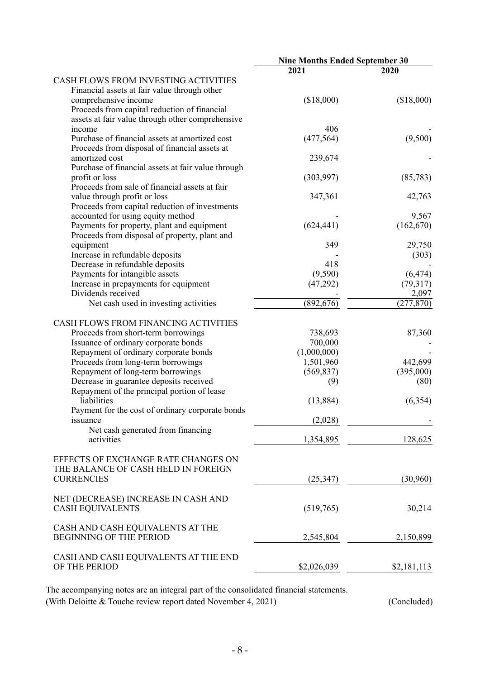|                                                    | <b>Nine Months Ended September 30</b> |             |
|----------------------------------------------------|---------------------------------------|-------------|
|                                                    | 2021                                  | 2020        |
| CASH FLOWS FROM INVESTING ACTIVITIES               |                                       |             |
| Financial assets at fair value through other       |                                       |             |
| comprehensive income                               | (\$18,000)                            | (\$18,000)  |
| Proceeds from capital reduction of financial       |                                       |             |
| assets at fair value through other comprehensive   |                                       |             |
| income                                             | 406                                   |             |
| Purchase of financial assets at amortized cost     | (477, 564)                            | (9,500)     |
| Proceeds from disposal of financial assets at      |                                       |             |
| amortized cost                                     | 239,674                               |             |
| Purchase of financial assets at fair value through |                                       |             |
| profit or loss                                     | (303,997)                             | (85, 783)   |
| Proceeds from sale of financial assets at fair     |                                       |             |
| value through profit or loss                       | 347,361                               | 42,763      |
| Proceeds from capital reduction of investments     |                                       |             |
| accounted for using equity method                  |                                       | 9,567       |
| Payments for property, plant and equipment         | (624, 441)                            | (162, 670)  |
| Proceeds from disposal of property, plant and      |                                       |             |
| equipment                                          | 349                                   | 29,750      |
| Increase in refundable deposits                    |                                       | (303)       |
| Decrease in refundable deposits                    | 418                                   |             |
| Payments for intangible assets                     | (9, 590)                              | (6, 474)    |
| Increase in prepayments for equipment              | (47,292)                              | (79,317)    |
| Dividends received                                 |                                       | 2,097       |
| Net cash used in investing activities              | (892, 676)                            | (277, 870)  |
|                                                    |                                       |             |
| CASH FLOWS FROM FINANCING ACTIVITIES               |                                       |             |
| Proceeds from short-term borrowings                | 738,693                               | 87,360      |
| Issuance of ordinary corporate bonds               | 700,000                               |             |
| Repayment of ordinary corporate bonds              | (1,000,000)                           |             |
| Proceeds from long-term borrowings                 | 1,501,960                             | 442,699     |
| Repayment of long-term borrowings                  | (569, 837)                            | (395,000)   |
| Decrease in guarantee deposits received            | (9)                                   | (80)        |
| Repayment of the principal portion of lease        |                                       |             |
| liabilities                                        | (13, 884)                             | (6, 354)    |
| Payment for the cost of ordinary corporate bonds   |                                       |             |
|                                                    | (2,028)                               |             |
| <i>s</i> suance                                    |                                       |             |
| Net cash generated from financing<br>activities    |                                       |             |
|                                                    | 1,354,895                             | 128,625     |
| EFFECTS OF EXCHANGE RATE CHANGES ON                |                                       |             |
| THE BALANCE OF CASH HELD IN FOREIGN                |                                       |             |
| <b>CURRENCIES</b>                                  | (25,347)                              | (30,960)    |
|                                                    |                                       |             |
| NET (DECREASE) INCREASE IN CASH AND                |                                       |             |
| <b>CASH EQUIVALENTS</b>                            | (519,765)                             | 30,214      |
|                                                    |                                       |             |
| CASH AND CASH EQUIVALENTS AT THE                   |                                       |             |
| <b>BEGINNING OF THE PERIOD</b>                     | 2,545,804                             | 2,150,899   |
|                                                    |                                       |             |
| CASH AND CASH EQUIVALENTS AT THE END               |                                       |             |
| OF THE PERIOD                                      | \$2,026,039                           | \$2,181,113 |
|                                                    |                                       |             |

The accompanying notes are an integral part of the consolidated financial statements. (With Deloitte & Touche review report dated November 4, 2021) (Concluded)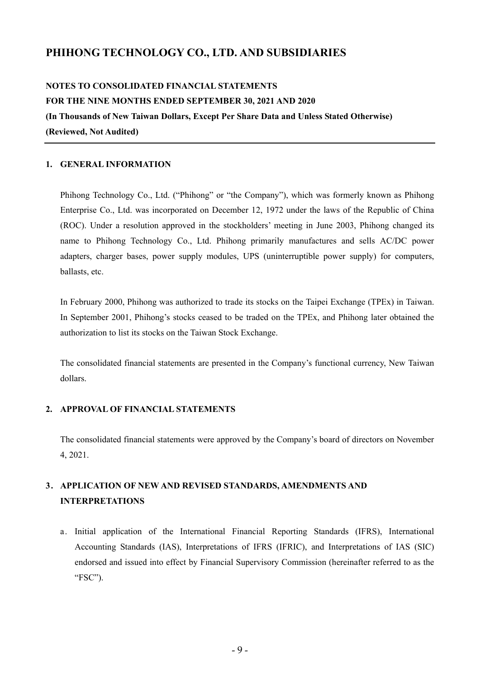# **NOTES TO CONSOLIDATED FINANCIAL STATEMENTS FOR THE NINE MONTHS ENDED SEPTEMBER 30, 2021 AND 2020 (In Thousands of New Taiwan Dollars, Except Per Share Data and Unless Stated Otherwise) (Reviewed, Not Audited)**

#### **1. GENERAL INFORMATION**

Phihong Technology Co., Ltd. ("Phihong" or "the Company"), which was formerly known as Phihong Enterprise Co., Ltd. was incorporated on December 12, 1972 under the laws of the Republic of China (ROC). Under a resolution approved in the stockholders' meeting in June 2003, Phihong changed its name to Phihong Technology Co., Ltd. Phihong primarily manufactures and sells AC/DC power adapters, charger bases, power supply modules, UPS (uninterruptible power supply) for computers, ballasts, etc.

In February 2000, Phihong was authorized to trade its stocks on the Taipei Exchange (TPEx) in Taiwan. In September 2001, Phihong's stocks ceased to be traded on the TPEx, and Phihong later obtained the authorization to list its stocks on the Taiwan Stock Exchange.

The consolidated financial statements are presented in the Company's functional currency, New Taiwan dollars.

#### **2. APPROVAL OF FINANCIAL STATEMENTS**

The consolidated financial statements were approved by the Company's board of directors on November 4, 2021.

# **3. APPLICATION OF NEW AND REVISED STANDARDS, AMENDMENTS AND INTERPRETATIONS**

a. Initial application of the International Financial Reporting Standards (IFRS), International Accounting Standards (IAS), Interpretations of IFRS (IFRIC), and Interpretations of IAS (SIC) endorsed and issued into effect by Financial Supervisory Commission (hereinafter referred to as the "FSC").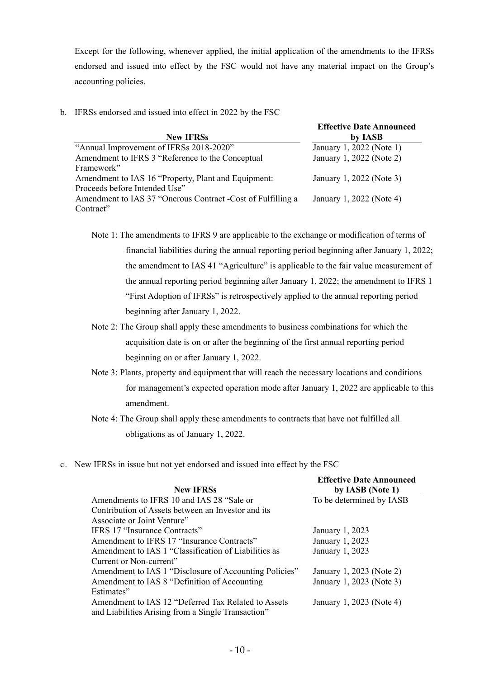Except for the following, whenever applied, the initial application of the amendments to the IFRSs endorsed and issued into effect by the FSC would not have any material impact on the Group's accounting policies.

b. IFRSs endorsed and issued into effect in 2022 by the FSC

|                                                              | <b>Effective Date Announced</b> |
|--------------------------------------------------------------|---------------------------------|
| <b>New IFRSs</b>                                             | by IASB                         |
| "Annual Improvement of IFRSs 2018-2020"                      | January 1, 2022 (Note 1)        |
| Amendment to IFRS 3 "Reference to the Conceptual             | January 1, 2022 (Note 2)        |
| Framework"                                                   |                                 |
| Amendment to IAS 16 "Property, Plant and Equipment:          | January 1, 2022 (Note 3)        |
| Proceeds before Intended Use"                                |                                 |
| Amendment to IAS 37 "Onerous Contract - Cost of Fulfilling a | January 1, 2022 (Note 4)        |
| Contract"                                                    |                                 |

Note 1: The amendments to IFRS 9 are applicable to the exchange or modification of terms of financial liabilities during the annual reporting period beginning after January 1, 2022; the amendment to IAS 41 "Agriculture" is applicable to the fair value measurement of the annual reporting period beginning after January 1, 2022; the amendment to IFRS 1 "First Adoption of IFRSs" is retrospectively applied to the annual reporting period beginning after January 1, 2022.

- Note 2: The Group shall apply these amendments to business combinations for which the acquisition date is on or after the beginning of the first annual reporting period beginning on or after January 1, 2022.
- Note 3: Plants, property and equipment that will reach the necessary locations and conditions for management's expected operation mode after January 1, 2022 are applicable to this amendment.
- Note 4: The Group shall apply these amendments to contracts that have not fulfilled all obligations as of January 1, 2022.
- c. New IFRSs in issue but not yet endorsed and issued into effect by the FSC

| <b>New IFRSs</b>                                       | <b>Effective Date Announced</b><br>by IASB (Note 1) |
|--------------------------------------------------------|-----------------------------------------------------|
| Amendments to IFRS 10 and IAS 28 "Sale or              | To be determined by IASB                            |
|                                                        |                                                     |
| Contribution of Assets between an Investor and its     |                                                     |
| Associate or Joint Venture"                            |                                                     |
| <b>IFRS 17 "Insurance Contracts"</b>                   | January 1, 2023                                     |
| Amendment to IFRS 17 "Insurance Contracts"             | January 1, 2023                                     |
| Amendment to IAS 1 "Classification of Liabilities as   | January 1, 2023                                     |
| Current or Non-current"                                |                                                     |
| Amendment to IAS 1 "Disclosure of Accounting Policies" | January 1, 2023 (Note 2)                            |
| Amendment to IAS 8 "Definition of Accounting           | January 1, 2023 (Note 3)                            |
| Estimates"                                             |                                                     |
| Amendment to IAS 12 "Deferred Tax Related to Assets    | January 1, 2023 (Note 4)                            |
| and Liabilities Arising from a Single Transaction"     |                                                     |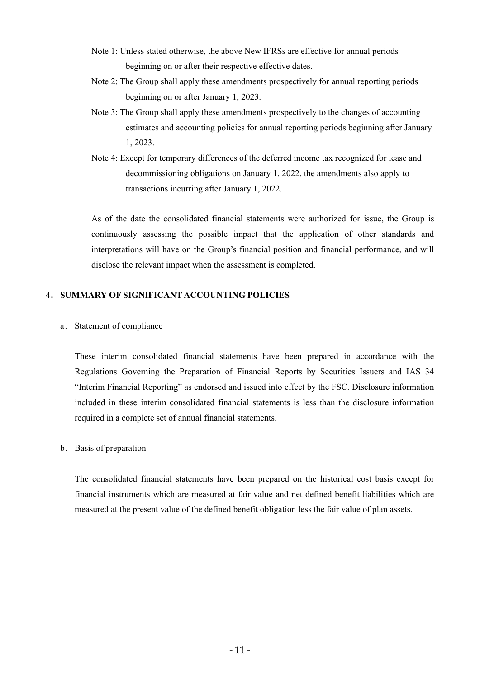- Note 1: Unless stated otherwise, the above New IFRSs are effective for annual periods beginning on or after their respective effective dates.
- Note 2: The Group shall apply these amendments prospectively for annual reporting periods beginning on or after January 1, 2023.
- Note 3: The Group shall apply these amendments prospectively to the changes of accounting estimates and accounting policies for annual reporting periods beginning after January 1, 2023.
- Note 4: Except for temporary differences of the deferred income tax recognized for lease and decommissioning obligations on January 1, 2022, the amendments also apply to transactions incurring after January 1, 2022.

As of the date the consolidated financial statements were authorized for issue, the Group is continuously assessing the possible impact that the application of other standards and interpretations will have on the Group's financial position and financial performance, and will disclose the relevant impact when the assessment is completed.

## **4. SUMMARY OF SIGNIFICANT ACCOUNTING POLICIES**

a. Statement of compliance

These interim consolidated financial statements have been prepared in accordance with the Regulations Governing the Preparation of Financial Reports by Securities Issuers and IAS 34 "Interim Financial Reporting" as endorsed and issued into effect by the FSC. Disclosure information included in these interim consolidated financial statements is less than the disclosure information required in a complete set of annual financial statements.

b. Basis of preparation

The consolidated financial statements have been prepared on the historical cost basis except for financial instruments which are measured at fair value and net defined benefit liabilities which are measured at the present value of the defined benefit obligation less the fair value of plan assets.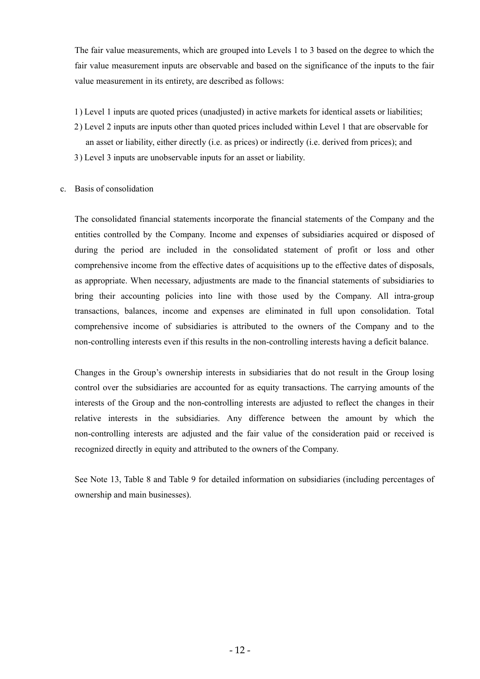The fair value measurements, which are grouped into Levels 1 to 3 based on the degree to which the fair value measurement inputs are observable and based on the significance of the inputs to the fair value measurement in its entirety, are described as follows:

- 1) Level 1 inputs are quoted prices (unadjusted) in active markets for identical assets or liabilities;
- 2) Level 2 inputs are inputs other than quoted prices included within Level 1 that are observable for an asset or liability, either directly (i.e. as prices) or indirectly (i.e. derived from prices); and
- 3) Level 3 inputs are unobservable inputs for an asset or liability.

#### c. Basis of consolidation

The consolidated financial statements incorporate the financial statements of the Company and the entities controlled by the Company. Income and expenses of subsidiaries acquired or disposed of during the period are included in the consolidated statement of profit or loss and other comprehensive income from the effective dates of acquisitions up to the effective dates of disposals, as appropriate. When necessary, adjustments are made to the financial statements of subsidiaries to bring their accounting policies into line with those used by the Company. All intra-group transactions, balances, income and expenses are eliminated in full upon consolidation. Total comprehensive income of subsidiaries is attributed to the owners of the Company and to the non-controlling interests even if this results in the non-controlling interests having a deficit balance.

Changes in the Group's ownership interests in subsidiaries that do not result in the Group losing control over the subsidiaries are accounted for as equity transactions. The carrying amounts of the interests of the Group and the non-controlling interests are adjusted to reflect the changes in their relative interests in the subsidiaries. Any difference between the amount by which the non-controlling interests are adjusted and the fair value of the consideration paid or received is recognized directly in equity and attributed to the owners of the Company.

See Note 13, Table 8 and Table 9 for detailed information on subsidiaries (including percentages of ownership and main businesses).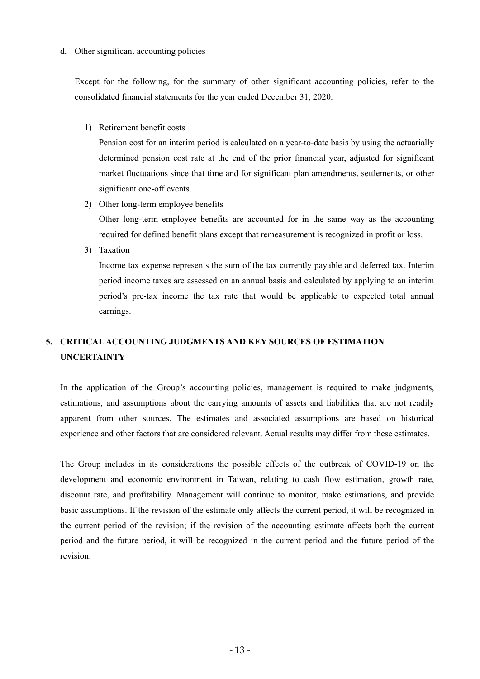#### d. Other significant accounting policies

Except for the following, for the summary of other significant accounting policies, refer to the consolidated financial statements for the year ended December 31, 2020.

1) Retirement benefit costs

Pension cost for an interim period is calculated on a year-to-date basis by using the actuarially determined pension cost rate at the end of the prior financial year, adjusted for significant market fluctuations since that time and for significant plan amendments, settlements, or other significant one-off events.

2) Other long-term employee benefits

Other long-term employee benefits are accounted for in the same way as the accounting required for defined benefit plans except that remeasurement is recognized in profit or loss.

3) Taxation

Income tax expense represents the sum of the tax currently payable and deferred tax. Interim period income taxes are assessed on an annual basis and calculated by applying to an interim period's pre-tax income the tax rate that would be applicable to expected total annual earnings.

# **5. CRITICAL ACCOUNTING JUDGMENTS AND KEY SOURCES OF ESTIMATION UNCERTAINTY**

In the application of the Group's accounting policies, management is required to make judgments, estimations, and assumptions about the carrying amounts of assets and liabilities that are not readily apparent from other sources. The estimates and associated assumptions are based on historical experience and other factors that are considered relevant. Actual results may differ from these estimates.

The Group includes in its considerations the possible effects of the outbreak of COVID-19 on the development and economic environment in Taiwan, relating to cash flow estimation, growth rate, discount rate, and profitability. Management will continue to monitor, make estimations, and provide basic assumptions. If the revision of the estimate only affects the current period, it will be recognized in the current period of the revision; if the revision of the accounting estimate affects both the current period and the future period, it will be recognized in the current period and the future period of the revision.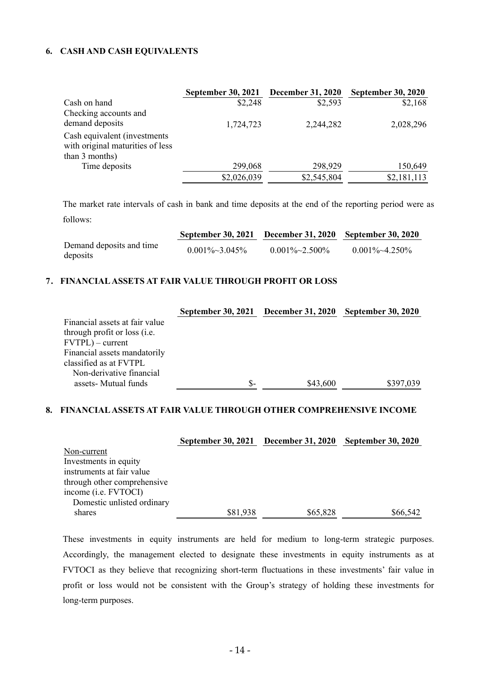## **6. CASH AND CASH EQUIVALENTS**

|                                                                   | <b>September 30, 2021</b> | <b>December 31, 2020</b> | <b>September 30, 2020</b> |
|-------------------------------------------------------------------|---------------------------|--------------------------|---------------------------|
| Cash on hand                                                      | \$2,248                   | \$2,593                  | \$2,168                   |
| Checking accounts and                                             |                           |                          |                           |
| demand deposits                                                   | 1,724,723                 | 2,244,282                | 2,028,296                 |
| Cash equivalent (investments)<br>with original maturities of less |                           |                          |                           |
| than 3 months)                                                    |                           |                          |                           |
| Time deposits                                                     | 299,068                   | 298,929                  | 150,649                   |
|                                                                   | \$2,026,039               | \$2,545,804              | \$2,181,113               |

The market rate intervals of cash in bank and time deposits at the end of the reporting period were as follows:

|                                      |                        | September 30, 2021 December 31, 2020 September 30, 2020 |                        |
|--------------------------------------|------------------------|---------------------------------------------------------|------------------------|
| Demand deposits and time<br>deposits | $0.001\% \sim 3.045\%$ | $0.001\% \sim 2.500\%$                                  | $0.001\% \sim 4.250\%$ |

### **7. FINANCIAL ASSETS AT FAIR VALUE THROUGH PROFIT OR LOSS**

|                                        | September 30, 2021 December 31, 2020 |          | <b>September 30, 2020</b> |
|----------------------------------------|--------------------------------------|----------|---------------------------|
| Financial assets at fair value         |                                      |          |                           |
| through profit or loss ( <i>i.e.</i> ) |                                      |          |                           |
| $FVTPL$ ) – current                    |                                      |          |                           |
| Financial assets mandatorily           |                                      |          |                           |
| classified as at FVTPL                 |                                      |          |                           |
| Non-derivative financial               |                                      |          |                           |
| assets- Mutual funds                   | \$-                                  | \$43,600 | \$397,039                 |

#### **8. FINANCIAL ASSETS AT FAIR VALUE THROUGH OTHER COMPREHENSIVE INCOME**

|                             | <b>September 30, 2021</b> | <b>December 31, 2020</b> | <b>September 30, 2020</b> |
|-----------------------------|---------------------------|--------------------------|---------------------------|
| Non-current                 |                           |                          |                           |
| Investments in equity       |                           |                          |                           |
| instruments at fair value   |                           |                          |                           |
| through other comprehensive |                           |                          |                           |
| income (i.e. FVTOCI)        |                           |                          |                           |
| Domestic unlisted ordinary  |                           |                          |                           |
| shares                      | \$81,938                  | \$65,828                 | \$66,542                  |

These investments in equity instruments are held for medium to long-term strategic purposes. Accordingly, the management elected to designate these investments in equity instruments as at FVTOCI as they believe that recognizing short-term fluctuations in these investments' fair value in profit or loss would not be consistent with the Group's strategy of holding these investments for long-term purposes.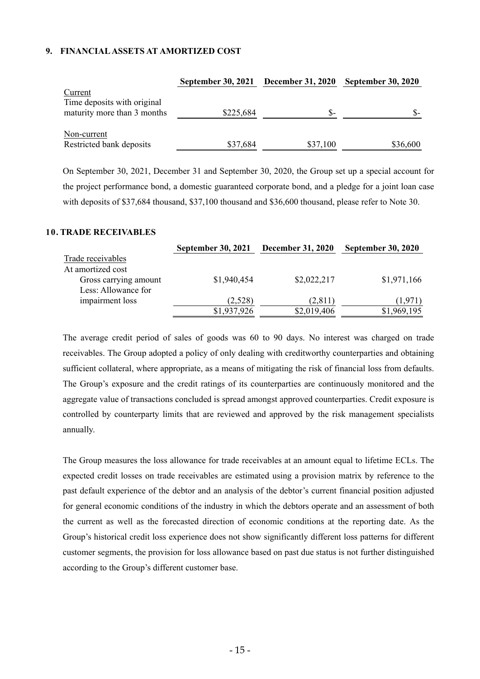### **9. FINANCIAL ASSETS AT AMORTIZED COST**

|                                                                       | <b>September 30, 2021</b> | <b>December 31, 2020</b> | <b>September 30, 2020</b> |
|-----------------------------------------------------------------------|---------------------------|--------------------------|---------------------------|
| Current<br>Time deposits with original<br>maturity more than 3 months | \$225,684                 | <b>S-</b>                |                           |
| Non-current<br>Restricted bank deposits                               | \$37,684                  | \$37,100                 | \$36,600                  |

On September 30, 2021, December 31 and September 30, 2020, the Group set up a special account for the project performance bond, a domestic guaranteed corporate bond, and a pledge for a joint loan case with deposits of \$37,684 thousand, \$37,100 thousand and \$36,600 thousand, please refer to Note 30.

#### **10. TRADE RECEIVABLES**

|                       | <b>September 30, 2021</b> | <b>December 31, 2020</b> | <b>September 30, 2020</b> |
|-----------------------|---------------------------|--------------------------|---------------------------|
| Trade receivables     |                           |                          |                           |
| At amortized cost     |                           |                          |                           |
| Gross carrying amount | \$1,940,454               | \$2,022,217              | \$1,971,166               |
| Less: Allowance for   |                           |                          |                           |
| impairment loss       | (2,528)                   | (2,811)                  | (1.971)                   |
|                       | \$1,937,926               | \$2,019,406              | \$1,969,195               |

The average credit period of sales of goods was 60 to 90 days. No interest was charged on trade receivables. The Group adopted a policy of only dealing with creditworthy counterparties and obtaining sufficient collateral, where appropriate, as a means of mitigating the risk of financial loss from defaults. The Group's exposure and the credit ratings of its counterparties are continuously monitored and the aggregate value of transactions concluded is spread amongst approved counterparties. Credit exposure is controlled by counterparty limits that are reviewed and approved by the risk management specialists annually.

The Group measures the loss allowance for trade receivables at an amount equal to lifetime ECLs. The expected credit losses on trade receivables are estimated using a provision matrix by reference to the past default experience of the debtor and an analysis of the debtor's current financial position adjusted for general economic conditions of the industry in which the debtors operate and an assessment of both the current as well as the forecasted direction of economic conditions at the reporting date. As the Group's historical credit loss experience does not show significantly different loss patterns for different customer segments, the provision for loss allowance based on past due status is not further distinguished according to the Group's different customer base.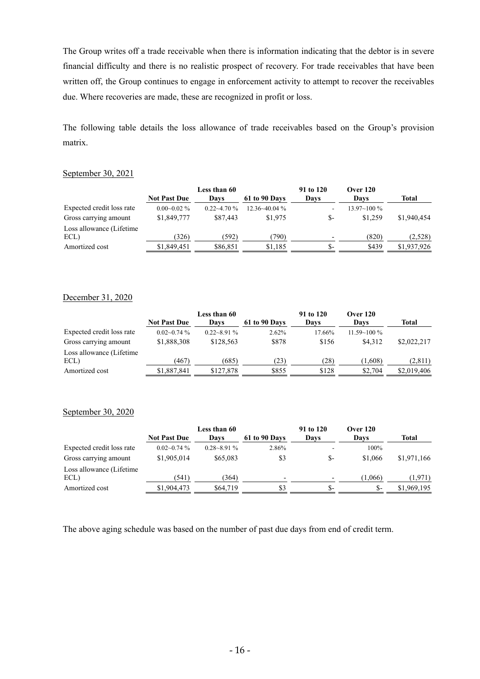The Group writes off a trade receivable when there is information indicating that the debtor is in severe financial difficulty and there is no realistic prospect of recovery. For trade receivables that have been written off, the Group continues to engage in enforcement activity to attempt to recover the receivables due. Where recoveries are made, these are recognized in profit or loss.

The following table details the loss allowance of trade receivables based on the Group's provision matrix.

#### September 30, 2021

|                           |                     | Less than 60    |                   | 91 to 120                | <b>Over 120</b> |              |
|---------------------------|---------------------|-----------------|-------------------|--------------------------|-----------------|--------------|
|                           | <b>Not Past Due</b> | Davs            | 61 to 90 Days     | Davs                     | Davs            | <b>Total</b> |
| Expected credit loss rate | $0.00 - 0.02 \%$    | $0.22 - 4.70\%$ | $12.36 - 40.04\%$ |                          | $13.97 - 100\%$ |              |
| Gross carrying amount     | \$1,849,777         | \$87,443        | \$1,975           | \$-                      | \$1.259         | \$1,940,454  |
| Loss allowance (Lifetime  |                     |                 |                   |                          |                 |              |
| ECL)                      | (326)               | (592)           | (790)             | $\overline{\phantom{0}}$ | (820)           | (2,528)      |
| Amortized cost            | \$1,849,451         | \$86,851        | \$1,185           | $S-$                     | \$439           | \$1,937,926  |

### December 31, 2020

|                           |                     | Less than 60    |               | 91 to 120 | <b>Over 120</b> |             |
|---------------------------|---------------------|-----------------|---------------|-----------|-----------------|-------------|
|                           | <b>Not Past Due</b> | Davs            | 61 to 90 Days | Davs      | Davs            | Total       |
| Expected credit loss rate | $0.02 - 0.74\%$     | $0.22 - 8.91\%$ | $2.62\%$      | 17.66%    | $11.59 - 100\%$ |             |
| Gross carrying amount     | \$1,888,308         | \$128,563       | \$878         | \$156     | \$4.312         | \$2,022,217 |
| Loss allowance (Lifetime  |                     |                 |               |           |                 |             |
| ECL)                      | (467)               | (685)           | (23)          | (28)      | (1.608)         | (2,811)     |
| Amortized cost            | \$1,887,841         | \$127.878       | \$855         | \$128     | \$2.704         | \$2,019,406 |

#### September 30, 2020

|                           |                     | Less than 60    |                          | 91 to 120 | <b>Over 120</b> |             |
|---------------------------|---------------------|-----------------|--------------------------|-----------|-----------------|-------------|
|                           | <b>Not Past Due</b> | Davs            | 61 to 90 Days            | Days      | Days            | Total       |
| Expected credit loss rate | $0.02 - 0.74$ %     | $0.28 - 8.91\%$ | 2.86%                    | -         | 100%            |             |
| Gross carrying amount     | \$1,905,014         | \$65,083        | \$3                      | $S-$      | \$1,066         | \$1,971,166 |
| Loss allowance (Lifetime  |                     |                 |                          |           |                 |             |
| ECL)                      | (541)               | 364)            | $\overline{\phantom{0}}$ | ٠         | (1.066)         | (1.971)     |
| Amortized cost            | \$1,904,473         | \$64,719        | \$3                      | -S        | $S-$            | \$1,969,195 |

The above aging schedule was based on the number of past due days from end of credit term.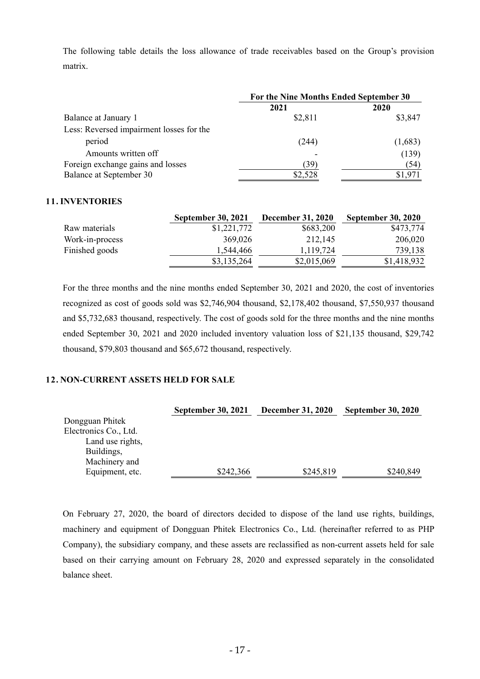The following table details the loss allowance of trade receivables based on the Group's provision matrix.

|                                          |         | For the Nine Months Ended September 30 |  |  |
|------------------------------------------|---------|----------------------------------------|--|--|
|                                          | 2021    | 2020                                   |  |  |
| Balance at January 1                     | \$2,811 | \$3,847                                |  |  |
| Less: Reversed impairment losses for the |         |                                        |  |  |
| period                                   | (244)   | (1,683)                                |  |  |
| Amounts written off                      |         | (139)                                  |  |  |
| Foreign exchange gains and losses        | (39)    | (54)                                   |  |  |
| Balance at September 30                  | \$2,528 | \$1,971                                |  |  |

#### **11. INVENTORIES**

|                 | <b>September 30, 2021</b> | <b>December 31, 2020</b> | <b>September 30, 2020</b> |
|-----------------|---------------------------|--------------------------|---------------------------|
| Raw materials   | \$1,221,772               | \$683,200                | \$473,774                 |
| Work-in-process | 369,026                   | 212,145                  | 206,020                   |
| Finished goods  | 1.544.466                 | 1.119.724                | 739,138                   |
|                 | \$3,135,264               | \$2,015,069              | \$1,418,932               |

For the three months and the nine months ended September 30, 2021 and 2020, the cost of inventories recognized as cost of goods sold was \$2,746,904 thousand, \$2,178,402 thousand, \$7,550,937 thousand and \$5,732,683 thousand, respectively. The cost of goods sold for the three months and the nine months ended September 30, 2021 and 2020 included inventory valuation loss of \$21,135 thousand, \$29,742 thousand, \$79,803 thousand and \$65,672 thousand, respectively.

## **12. NON-CURRENT ASSETS HELD FOR SALE**

|                       | <b>September 30, 2021</b> | <b>December 31, 2020</b> | <b>September 30, 2020</b> |
|-----------------------|---------------------------|--------------------------|---------------------------|
| Dongguan Phitek       |                           |                          |                           |
| Electronics Co., Ltd. |                           |                          |                           |
| Land use rights,      |                           |                          |                           |
| Buildings,            |                           |                          |                           |
| Machinery and         |                           |                          |                           |
| Equipment, etc.       | \$242,366                 | \$245,819                | \$240,849                 |

On February 27, 2020, the board of directors decided to dispose of the land use rights, buildings, machinery and equipment of Dongguan Phitek Electronics Co., Ltd. (hereinafter referred to as PHP Company), the subsidiary company, and these assets are reclassified as non-current assets held for sale based on their carrying amount on February 28, 2020 and expressed separately in the consolidated balance sheet.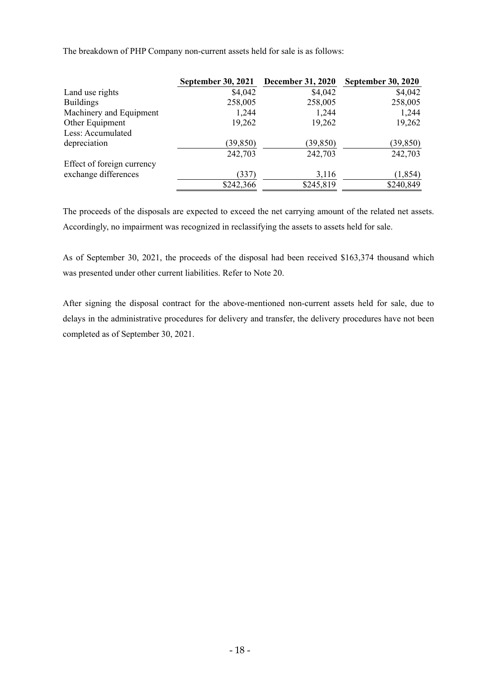The breakdown of PHP Company non-current assets held for sale is as follows:

|                            | <b>September 30, 2021</b> | <b>December 31, 2020</b> | <b>September 30, 2020</b> |
|----------------------------|---------------------------|--------------------------|---------------------------|
| Land use rights            | \$4,042                   | \$4,042                  | \$4,042                   |
| <b>Buildings</b>           | 258,005                   | 258,005                  | 258,005                   |
| Machinery and Equipment    | 1,244                     | 1,244                    | 1,244                     |
| Other Equipment            | 19,262                    | 19,262                   | 19,262                    |
| Less: Accumulated          |                           |                          |                           |
| depreciation               | (39, 850)                 | (39, 850)                | (39, 850)                 |
|                            | 242,703                   | 242,703                  | 242,703                   |
| Effect of foreign currency |                           |                          |                           |
| exchange differences       | (337)                     | 3,116                    | (1, 854)                  |
|                            | \$242,366                 | \$245,819                | \$240,849                 |

The proceeds of the disposals are expected to exceed the net carrying amount of the related net assets. Accordingly, no impairment was recognized in reclassifying the assets to assets held for sale.

As of September 30, 2021, the proceeds of the disposal had been received \$163,374 thousand which was presented under other current liabilities. Refer to Note 20.

After signing the disposal contract for the above-mentioned non-current assets held for sale, due to delays in the administrative procedures for delivery and transfer, the delivery procedures have not been completed as of September 30, 2021.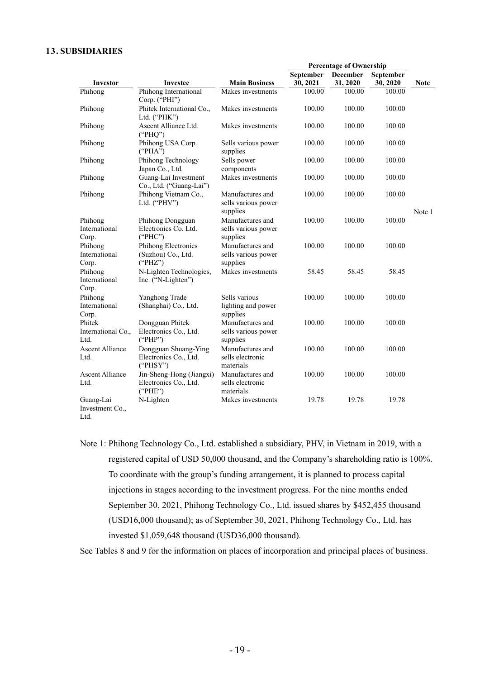### **13. SUBSIDIARIES**

|                                      |                                                              |                                                     | <b>Percentage of Ownership</b> |                 |           |             |
|--------------------------------------|--------------------------------------------------------------|-----------------------------------------------------|--------------------------------|-----------------|-----------|-------------|
|                                      |                                                              |                                                     | September                      | <b>December</b> | September |             |
| Investor                             | Investee                                                     | <b>Main Business</b>                                | 30, 2021                       | 31, 2020        | 30, 2020  | <b>Note</b> |
| Phihong                              | Phihong International<br>Corp. ("PHI")                       | Makes investments                                   | 100.00                         | 100.00          | 100.00    |             |
| Phihong                              | Phitek International Co.,<br>Ltd. ("PHK")                    | Makes investments                                   | 100.00                         | 100.00          | 100.00    |             |
| Phihong                              | Ascent Alliance Ltd.<br>("PHQ")                              | Makes investments                                   | 100.00                         | 100.00          | 100.00    |             |
| Phihong                              | Phihong USA Corp.<br>("PHA")                                 | Sells various power<br>supplies                     | 100.00                         | 100.00          | 100.00    |             |
| Phihong                              | Phihong Technology<br>Japan Co., Ltd.                        | Sells power<br>components                           | 100.00                         | 100.00          | 100.00    |             |
| Phihong                              | Guang-Lai Investment<br>Co., Ltd. ("Guang-Lai")              | Makes investments                                   | 100.00                         | 100.00          | 100.00    |             |
| Phihong                              | Phihong Vietnam Co.,<br>Ltd. ("PHV")                         | Manufactures and<br>sells various power<br>supplies | 100.00                         | 100.00          | 100.00    | Note 1      |
| Phihong<br>International<br>Corp.    | Phihong Dongguan<br>Electronics Co. Ltd.<br>("PHC")          | Manufactures and<br>sells various power<br>supplies | 100.00                         | 100.00          | 100.00    |             |
| Phihong<br>International<br>Corp.    | Phihong Electronics<br>(Suzhou) Co., Ltd.<br>("PHZ")         | Manufactures and<br>sells various power<br>supplies | 100.00                         | 100.00          | 100.00    |             |
| Phihong<br>International<br>Corp.    | N-Lighten Technologies,<br>Inc. ("N-Lighten")                | Makes investments                                   | 58.45                          | 58.45           | 58.45     |             |
| Phihong<br>International<br>Corp.    | Yanghong Trade<br>(Shanghai) Co., Ltd.                       | Sells various<br>lighting and power<br>supplies     | 100.00                         | 100.00          | 100.00    |             |
| Phitek<br>International Co.,<br>Ltd. | Dongguan Phitek<br>Electronics Co., Ltd.<br>("PHP")          | Manufactures and<br>sells various power<br>supplies | 100.00                         | 100.00          | 100.00    |             |
| <b>Ascent Alliance</b><br>Ltd.       | Dongguan Shuang-Ying<br>Electronics Co., Ltd.<br>("PHSY")    | Manufactures and<br>sells electronic<br>materials   | 100.00                         | 100.00          | 100.00    |             |
| <b>Ascent Alliance</b><br>Ltd.       | Jin-Sheng-Hong (Jiangxi)<br>Electronics Co., Ltd.<br>("PHE") | Manufactures and<br>sells electronic<br>materials   | 100.00                         | 100.00          | 100.00    |             |
| Guang-Lai<br>Investment Co.,<br>Ltd. | N-Lighten                                                    | Makes investments                                   | 19.78                          | 19.78           | 19.78     |             |

Note 1: Phihong Technology Co., Ltd. established a subsidiary, PHV, in Vietnam in 2019, with a registered capital of USD 50,000 thousand, and the Company's shareholding ratio is 100%. To coordinate with the group's funding arrangement, it is planned to process capital injections in stages according to the investment progress. For the nine months ended September 30, 2021, Phihong Technology Co., Ltd. issued shares by \$452,455 thousand (USD16,000 thousand); as of September 30, 2021, Phihong Technology Co., Ltd. has invested \$1,059,648 thousand (USD36,000 thousand).

See Tables 8 and 9 for the information on places of incorporation and principal places of business.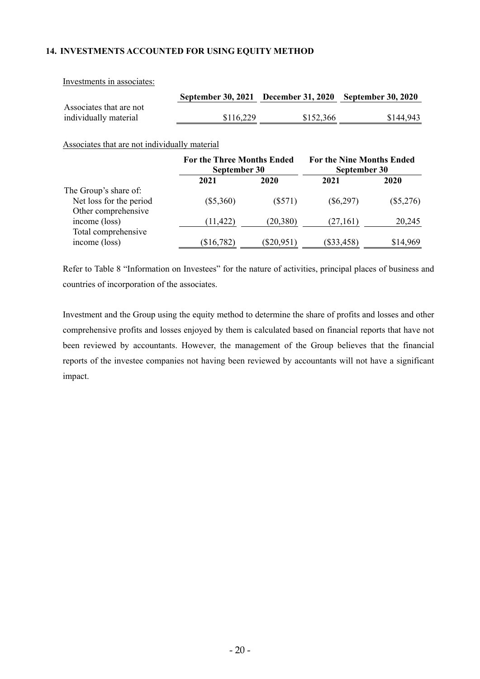## **14. INVESTMENTS ACCOUNTED FOR USING EQUITY METHOD**

Investments in associates:

|                                                  |           |           | September 30, 2021 December 31, 2020 September 30, 2020 |
|--------------------------------------------------|-----------|-----------|---------------------------------------------------------|
| Associates that are not<br>individually material | \$116,229 | \$152,366 | \$144,943                                               |
|                                                  |           |           |                                                         |

Associates that are not individually material

|                         |             | <b>For the Three Months Ended</b><br>September 30 |              | <b>For the Nine Months Ended</b><br>September 30 |
|-------------------------|-------------|---------------------------------------------------|--------------|--------------------------------------------------|
|                         | 2021        | 2020                                              | 2021         | 2020                                             |
| The Group's share of:   |             |                                                   |              |                                                  |
| Net loss for the period | $(\$5,360)$ | (S571)                                            | $(\$6,297)$  | $(\$5,276)$                                      |
| Other comprehensive     |             |                                                   |              |                                                  |
| income (loss)           | (11, 422)   | (20, 380)                                         | (27, 161)    | 20,245                                           |
| Total comprehensive     |             |                                                   |              |                                                  |
| income (loss)           | (\$16,782)  | $(\$20,951)$                                      | $(\$33,458)$ | \$14,969                                         |

Refer to Table 8 "Information on Investees" for the nature of activities, principal places of business and countries of incorporation of the associates.

Investment and the Group using the equity method to determine the share of profits and losses and other comprehensive profits and losses enjoyed by them is calculated based on financial reports that have not been reviewed by accountants. However, the management of the Group believes that the financial reports of the investee companies not having been reviewed by accountants will not have a significant impact.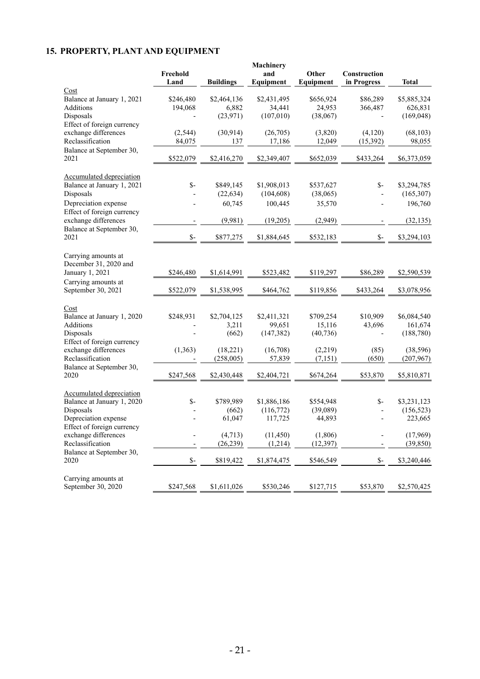# **15. PROPERTY, PLANT AND EQUIPMENT**

|                                              | Freehold<br>Land | <b>Buildings</b> | Machinery<br>and<br>Equipment | Other<br>Equipment | Construction<br>in Progress | <b>Total</b> |
|----------------------------------------------|------------------|------------------|-------------------------------|--------------------|-----------------------------|--------------|
| Cost                                         |                  |                  |                               |                    |                             |              |
| Balance at January 1, 2021                   | \$246,480        | \$2,464,136      | \$2,431,495                   | \$656,924          | \$86,289                    | \$5,885,324  |
| Additions                                    | 194,068          | 6,882            | 34,441                        | 24,953             | 366,487                     | 626,831      |
| Disposals                                    |                  | (23, 971)        | (107,010)                     | (38,067)           |                             | (169, 048)   |
| Effect of foreign currency                   |                  |                  |                               |                    |                             |              |
| exchange differences                         | (2,544)          | (30, 914)        | (26,705)                      | (3,820)            | (4,120)                     | (68, 103)    |
| Reclassification                             | 84,075           | 137              | 17,186                        | 12,049             | (15, 392)                   | 98,055       |
| Balance at September 30,                     |                  |                  |                               |                    |                             |              |
| 2021                                         | \$522,079        | \$2,416,270      | \$2,349,407                   | \$652,039          | \$433,264                   | \$6,373,059  |
| <b>Accumulated depreciation</b>              |                  |                  |                               |                    |                             |              |
| Balance at January 1, 2021                   | $\mathsf{S}$ -   | \$849,145        | \$1,908,013                   | \$537,627          | $S-$                        | \$3,294,785  |
| Disposals                                    |                  | (22, 634)        | (104, 608)                    | (38,065)           |                             | (165, 307)   |
| Depreciation expense                         |                  | 60,745           | 100,445                       | 35,570             |                             | 196,760      |
| Effect of foreign currency                   |                  |                  |                               |                    |                             |              |
| exchange differences                         |                  | (9,981)          | (19,205)                      | (2,949)            |                             | (32, 135)    |
| Balance at September 30,                     |                  |                  |                               |                    |                             |              |
| 2021                                         | $\mathsf{S}$ -   | \$877,275        | \$1,884,645                   | \$532,183          | $S-$                        | \$3,294,103  |
| Carrying amounts at<br>December 31, 2020 and |                  |                  |                               |                    |                             |              |
| January 1, 2021                              | \$246,480        | \$1,614,991      | \$523,482                     | \$119,297          | \$86,289                    | \$2,590,539  |
| Carrying amounts at<br>September 30, 2021    | \$522,079        | \$1,538,995      | \$464,762                     | \$119,856          | \$433,264                   | \$3,078,956  |
|                                              |                  |                  |                               |                    |                             |              |
| Cost                                         |                  |                  |                               |                    |                             |              |
| Balance at January 1, 2020                   | \$248,931        | \$2,704,125      | \$2,411,321                   | \$709,254          | \$10,909                    | \$6,084,540  |
| Additions                                    |                  | 3,211            | 99,651                        | 15,116             | 43,696                      | 161,674      |
| Disposals                                    |                  | (662)            | (147, 382)                    | (40, 736)          |                             | (188, 780)   |
| Effect of foreign currency                   |                  |                  |                               |                    |                             |              |
| exchange differences                         | (1, 363)         | (18,221)         | (16,708)                      | (2,219)            | (85)                        | (38, 596)    |
| Reclassification                             |                  | (258,005)        | 57,839                        | (7, 151)           | (650)                       | (207,967)    |
| Balance at September 30,                     |                  |                  |                               |                    |                             |              |
| 2020                                         | \$247,568        | \$2,430,448      | \$2,404,721                   | \$674,264          | \$53,870                    | \$5,810,871  |
| <b>Accumulated depreciation</b>              |                  |                  |                               |                    |                             |              |
| Balance at January 1, 2020                   | $S-$             | \$789,989        | \$1,886,186                   | \$554,948          | $S-$                        | \$3,231,123  |
| Disposals                                    |                  | (662)            | (116,772)                     | (39,089)           |                             | (156, 523)   |
| Depreciation expense                         |                  | 61,047           | 117,725                       | 44,893             |                             | 223,665      |
| Effect of foreign currency                   |                  |                  |                               |                    |                             |              |
| exchange differences                         |                  | (4, 713)         | (11, 450)                     | (1,806)            |                             | (17,969)     |
| Reclassification                             |                  | (26, 239)        | (1,214)                       | (12, 397)          |                             | (39, 850)    |
| Balance at September 30,                     |                  |                  |                               |                    |                             |              |
| 2020                                         | $\mathbb{S}^-$   | \$819,422        | \$1,874,475                   | \$546,549          | \$-                         | \$3,240,446  |
|                                              |                  |                  |                               |                    |                             |              |
| Carrying amounts at                          |                  |                  |                               |                    |                             |              |
| September 30, 2020                           | \$247,568        | \$1,611,026      | \$530,246                     | \$127,715          | \$53,870                    | \$2,570,425  |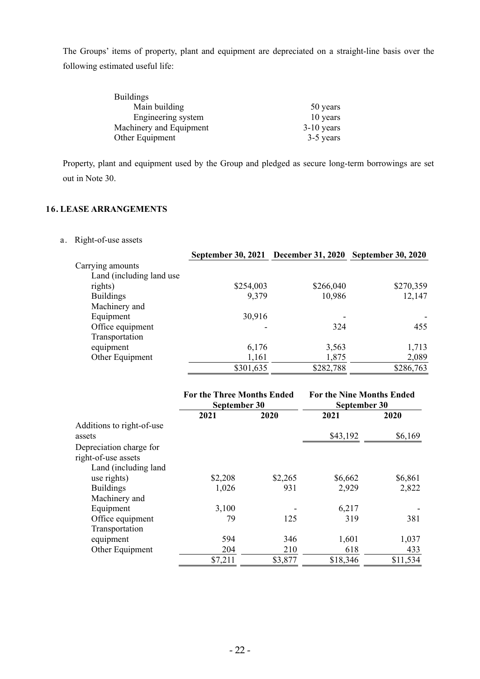The Groups' items of property, plant and equipment are depreciated on a straight-line basis over the following estimated useful life:

| <b>Buildings</b>        |              |
|-------------------------|--------------|
| Main building           | 50 years     |
| Engineering system      | 10 years     |
| Machinery and Equipment | $3-10$ years |
| Other Equipment         | 3-5 years    |

Property, plant and equipment used by the Group and pledged as secure long-term borrowings are set out in Note 30.

## **16. LEASE ARRANGEMENTS**

a. Right-of-use assets

|                           | September 30, 2021 December 31, 2020 September 30, 2020 |           |           |
|---------------------------|---------------------------------------------------------|-----------|-----------|
| Carrying amounts          |                                                         |           |           |
| Land (including land use) |                                                         |           |           |
| rights)                   | \$254,003                                               | \$266,040 | \$270,359 |
| <b>Buildings</b>          | 9,379                                                   | 10,986    | 12,147    |
| Machinery and             |                                                         |           |           |
| Equipment                 | 30,916                                                  |           |           |
| Office equipment          |                                                         | 324       | 455       |
| Transportation            |                                                         |           |           |
| equipment                 | 6,176                                                   | 3,563     | 1,713     |
| Other Equipment           | 1,161                                                   | 1,875     | 2,089     |
|                           | \$301,635                                               | \$282,788 | \$286,763 |

|                           | <b>For the Three Months Ended</b><br>September 30 |         | <b>For the Nine Months Ended</b><br>September 30 |          |
|---------------------------|---------------------------------------------------|---------|--------------------------------------------------|----------|
|                           | 2021                                              | 2020    | 2021                                             | 2020     |
| Additions to right-of-use |                                                   |         |                                                  |          |
| assets                    |                                                   |         | \$43,192                                         | \$6,169  |
| Depreciation charge for   |                                                   |         |                                                  |          |
| right-of-use assets       |                                                   |         |                                                  |          |
| Land (including land)     |                                                   |         |                                                  |          |
| use rights)               | \$2,208                                           | \$2,265 | \$6,662                                          | \$6,861  |
| <b>Buildings</b>          | 1,026                                             | 931     | 2,929                                            | 2,822    |
| Machinery and             |                                                   |         |                                                  |          |
| Equipment                 | 3,100                                             |         | 6,217                                            |          |
| Office equipment          | 79                                                | 125     | 319                                              | 381      |
| Transportation            |                                                   |         |                                                  |          |
| equipment                 | 594                                               | 346     | 1,601                                            | 1,037    |
| Other Equipment           | 204                                               | 210     | 618                                              | 433      |
|                           | \$7,211                                           | \$3,877 | \$18,346                                         | \$11,534 |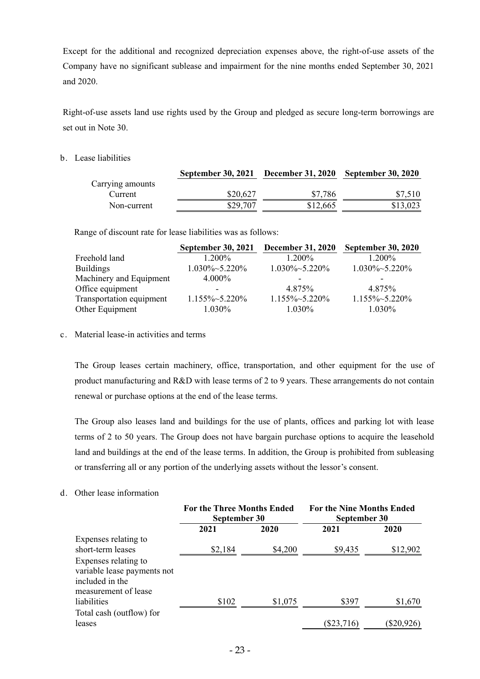Except for the additional and recognized depreciation expenses above, the right-of-use assets of the Company have no significant sublease and impairment for the nine months ended September 30, 2021 and 2020.

Right-of-use assets land use rights used by the Group and pledged as secure long-term borrowings are set out in Note 30.

b. Lease liabilities

|                  | September 30, 2021 December 31, 2020 September 30, 2020 |          |          |
|------------------|---------------------------------------------------------|----------|----------|
| Carrying amounts |                                                         |          |          |
| Current          | \$20,627                                                | \$7,786  | \$7,510  |
| Non-current      | \$29.707                                                | \$12,665 | \$13,023 |

Range of discount rate for lease liabilities was as follows:

|                          | <b>September 30, 2021</b> | <b>December 31, 2020</b> | <b>September 30, 2020</b> |
|--------------------------|---------------------------|--------------------------|---------------------------|
| Freehold land            | $1.200\%$                 | $1.200\%$                | 1.200%                    |
| <b>Buildings</b>         | $1.030\% \sim 5.220\%$    | $1.030\% \sim 5.220\%$   | $1.030\% \sim 5.220\%$    |
| Machinery and Equipment  | $4.000\%$                 |                          |                           |
| Office equipment         |                           | 4.875%                   | 4.875%                    |
| Transportation equipment | $1.155\% \sim 5.220\%$    | 1.155%~5.220%            | $1.155\% \sim 5.220\%$    |
| Other Equipment          | 1.030%                    | $1.030\%$                | 1.030%                    |

c. Material lease-in activities and terms

The Group leases certain machinery, office, transportation, and other equipment for the use of product manufacturing and R&D with lease terms of 2 to 9 years. These arrangements do not contain renewal or purchase options at the end of the lease terms.

The Group also leases land and buildings for the use of plants, offices and parking lot with lease terms of 2 to 50 years. The Group does not have bargain purchase options to acquire the leasehold land and buildings at the end of the lease terms. In addition, the Group is prohibited from subleasing or transferring all or any portion of the underlying assets without the lessor's consent.

d. Other lease information

|                             | <b>For the Three Months Ended</b><br>September 30 |         | <b>For the Nine Months Ended</b><br>September 30 |              |
|-----------------------------|---------------------------------------------------|---------|--------------------------------------------------|--------------|
|                             | 2021                                              | 2020    | 2021                                             | 2020         |
| Expenses relating to        |                                                   |         |                                                  |              |
| short-term leases           | \$2,184                                           | \$4,200 | \$9,435                                          | \$12,902     |
| Expenses relating to        |                                                   |         |                                                  |              |
| variable lease payments not |                                                   |         |                                                  |              |
| included in the             |                                                   |         |                                                  |              |
| measurement of lease        |                                                   |         |                                                  |              |
| liabilities                 | \$102                                             | \$1,075 | \$397                                            | \$1,670      |
| Total cash (outflow) for    |                                                   |         |                                                  |              |
| leases                      |                                                   |         | $(\$23,716)$                                     | $(\$20,926)$ |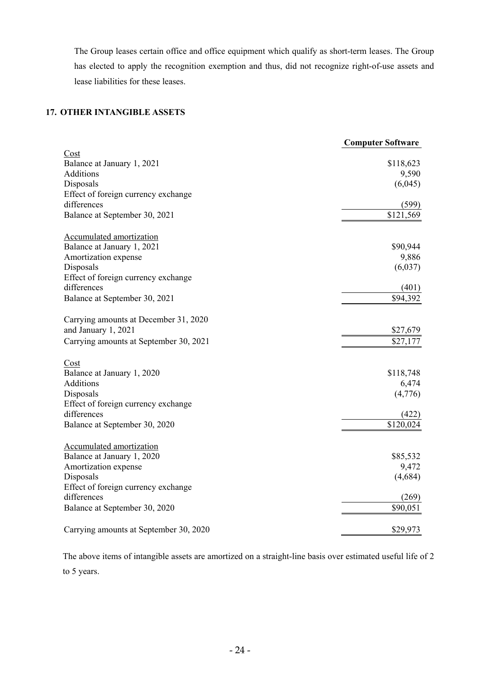The Group leases certain office and office equipment which qualify as short-term leases. The Group has elected to apply the recognition exemption and thus, did not recognize right-of-use assets and lease liabilities for these leases.

## **17. OTHER INTANGIBLE ASSETS**

|                                        | <b>Computer Software</b> |
|----------------------------------------|--------------------------|
| Cost                                   |                          |
| Balance at January 1, 2021             | \$118,623                |
| Additions                              | 9,590                    |
| Disposals                              | (6,045)                  |
| Effect of foreign currency exchange    |                          |
| differences                            | (599)                    |
| Balance at September 30, 2021          | \$121,569                |
| <b>Accumulated amortization</b>        |                          |
| Balance at January 1, 2021             | \$90,944                 |
| Amortization expense                   | 9,886                    |
| Disposals                              | (6,037)                  |
| Effect of foreign currency exchange    |                          |
| differences                            | (401)                    |
| Balance at September 30, 2021          | \$94,392                 |
| Carrying amounts at December 31, 2020  |                          |
| and January 1, 2021                    | \$27,679                 |
| Carrying amounts at September 30, 2021 | \$27,177                 |
| Cost                                   |                          |
| Balance at January 1, 2020             | \$118,748                |
| Additions                              | 6,474                    |
| Disposals                              | (4,776)                  |
| Effect of foreign currency exchange    |                          |
| differences                            | (422)                    |
| Balance at September 30, 2020          | \$120,024                |
| <b>Accumulated amortization</b>        |                          |
| Balance at January 1, 2020             | \$85,532                 |
| Amortization expense                   | 9,472                    |
| Disposals                              | (4,684)                  |
| Effect of foreign currency exchange    |                          |
| differences                            | (269)                    |
| Balance at September 30, 2020          | \$90,051                 |
| Carrying amounts at September 30, 2020 | \$29,973                 |

The above items of intangible assets are amortized on a straight-line basis over estimated useful life of 2 to 5 years.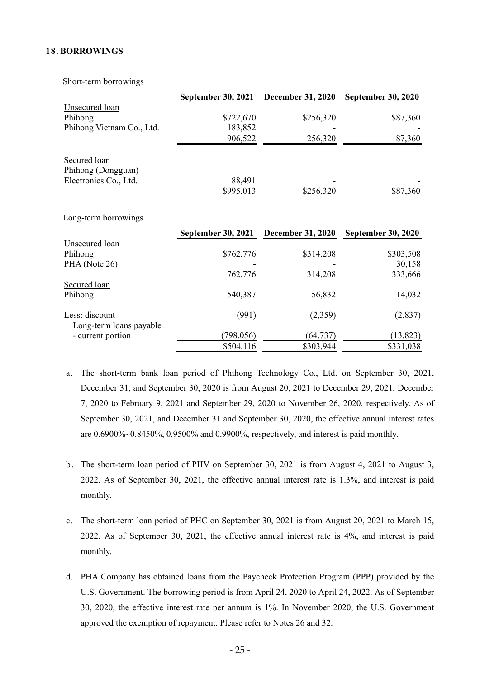#### **18. BORROWINGS**

Short-term borrowings

|                                              | September 30, 2021        |                          | December 31, 2020 September 30, 2020 |
|----------------------------------------------|---------------------------|--------------------------|--------------------------------------|
| <b>Unsecured</b> loan                        |                           |                          |                                      |
| Phihong                                      | \$722,670                 | \$256,320                | \$87,360                             |
| Phihong Vietnam Co., Ltd.                    | 183,852                   |                          |                                      |
|                                              | 906,522                   | 256,320                  | 87,360                               |
| Secured loan<br>Phihong (Dongguan)           |                           |                          |                                      |
| Electronics Co., Ltd.                        | 88,491                    |                          |                                      |
|                                              | \$995,013                 | \$256,320                | \$87,360                             |
| Long-term borrowings                         |                           |                          |                                      |
|                                              |                           |                          |                                      |
|                                              |                           |                          |                                      |
|                                              | <b>September 30, 2021</b> | <b>December 31, 2020</b> | <b>September 30, 2020</b>            |
| Unsecured loan                               |                           |                          |                                      |
| Phihong                                      | \$762,776                 | \$314,208                | \$303,508                            |
| PHA (Note 26)                                | 762,776                   | 314,208                  | 30,158<br>333,666                    |
| Secured loan                                 |                           |                          |                                      |
| Phihong                                      | 540,387                   | 56,832                   | 14,032                               |
| Less: discount                               | (991)                     | (2,359)                  | (2,837)                              |
| Long-term loans payable<br>- current portion | (798, 056)                | (64, 737)                | (13, 823)                            |

- a. The short-term bank loan period of Phihong Technology Co., Ltd. on September 30, 2021, December 31, and September 30, 2020 is from August 20, 2021 to December 29, 2021, December 7, 2020 to February 9, 2021 and September 29, 2020 to November 26, 2020, respectively. As of September 30, 2021, and December 31 and September 30, 2020, the effective annual interest rates are 0.6900%~0.8450%, 0.9500% and 0.9900%, respectively, and interest is paid monthly.
- b. The short-term loan period of PHV on September 30, 2021 is from August 4, 2021 to August 3, 2022. As of September 30, 2021, the effective annual interest rate is 1.3%, and interest is paid monthly.
- c. The short-term loan period of PHC on September 30, 2021 is from August 20, 2021 to March 15, 2022. As of September 30, 2021, the effective annual interest rate is 4%, and interest is paid monthly.
- d. PHA Company has obtained loans from the Paycheck Protection Program (PPP) provided by the U.S. Government. The borrowing period is from April 24, 2020 to April 24, 2022. As of September 30, 2020, the effective interest rate per annum is 1%. In November 2020, the U.S. Government approved the exemption of repayment. Please refer to Notes 26 and 32.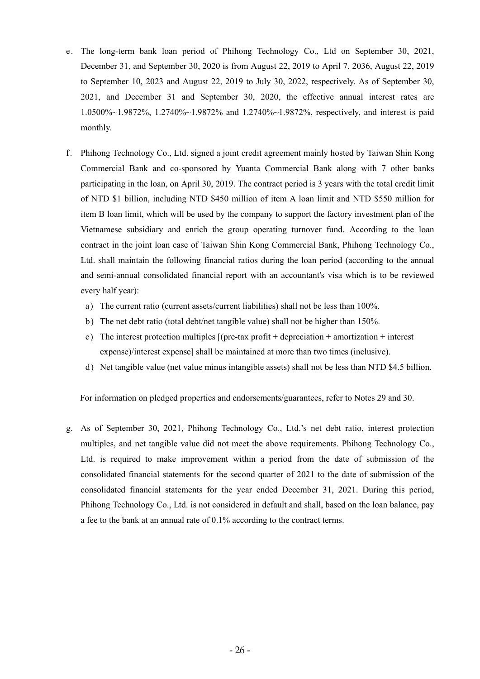- e. The long-term bank loan period of Phihong Technology Co., Ltd on September 30, 2021, December 31, and September 30, 2020 is from August 22, 2019 to April 7, 2036, August 22, 2019 to September 10, 2023 and August 22, 2019 to July 30, 2022, respectively. As of September 30, 2021, and December 31 and September 30, 2020, the effective annual interest rates are 1.0500%~1.9872%, 1.2740%~1.9872% and 1.2740%~1.9872%, respectively, and interest is paid monthly.
- f. Phihong Technology Co., Ltd. signed a joint credit agreement mainly hosted by Taiwan Shin Kong Commercial Bank and co-sponsored by Yuanta Commercial Bank along with 7 other banks participating in the loan, on April 30, 2019. The contract period is 3 years with the total credit limit of NTD \$1 billion, including NTD \$450 million of item A loan limit and NTD \$550 million for item B loan limit, which will be used by the company to support the factory investment plan of the Vietnamese subsidiary and enrich the group operating turnover fund. According to the loan contract in the joint loan case of Taiwan Shin Kong Commercial Bank, Phihong Technology Co., Ltd. shall maintain the following financial ratios during the loan period (according to the annual and semi-annual consolidated financial report with an accountant's visa which is to be reviewed every half year):
	- a) The current ratio (current assets/current liabilities) shall not be less than 100%.
	- b) The net debt ratio (total debt/net tangible value) shall not be higher than 150%.
	- c) The interest protection multiples  $[(pre-tax profit + depreciation + amortization + interest$ expense)/interest expense] shall be maintained at more than two times (inclusive).
	- d) Net tangible value (net value minus intangible assets) shall not be less than NTD \$4.5 billion.

For information on pledged properties and endorsements/guarantees, refer to Notes 29 and 30.

g. As of September 30, 2021, Phihong Technology Co., Ltd.'s net debt ratio, interest protection multiples, and net tangible value did not meet the above requirements. Phihong Technology Co., Ltd. is required to make improvement within a period from the date of submission of the consolidated financial statements for the second quarter of 2021 to the date of submission of the consolidated financial statements for the year ended December 31, 2021. During this period, Phihong Technology Co., Ltd. is not considered in default and shall, based on the loan balance, pay a fee to the bank at an annual rate of 0.1% according to the contract terms.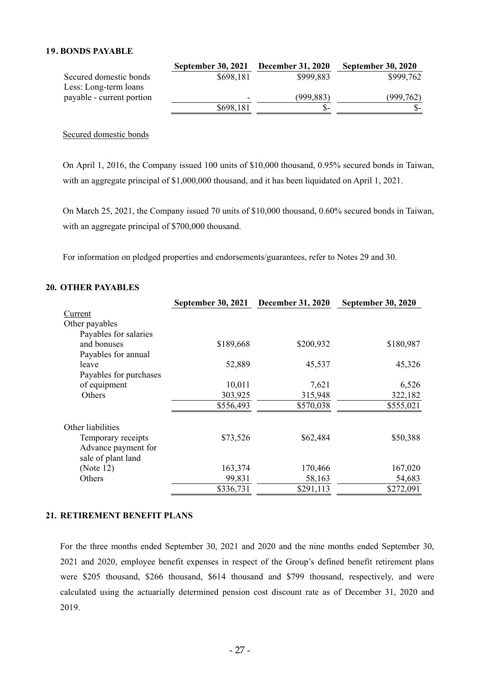## **19. BONDS PAYABLE**

|                           | <b>September 30, 2021</b> | <b>December 31, 2020</b> | <b>September 30, 2020</b> |
|---------------------------|---------------------------|--------------------------|---------------------------|
| Secured domestic bonds    | \$698,181                 | \$999,883                | \$999,762                 |
| Less: Long-term loans     |                           |                          |                           |
| payable - current portion | $\overline{\phantom{0}}$  | (999, 883)               | (999, 762)                |
|                           | \$698,181                 | $S-$                     |                           |

Secured domestic bonds

On April 1, 2016, the Company issued 100 units of \$10,000 thousand, 0.95% secured bonds in Taiwan, with an aggregate principal of \$1,000,000 thousand, and it has been liquidated on April 1, 2021.

On March 25, 2021, the Company issued 70 units of \$10,000 thousand, 0.60% secured bonds in Taiwan, with an aggregate principal of \$700,000 thousand.

For information on pledged properties and endorsements/guarantees, refer to Notes 29 and 30.

#### **20. OTHER PAYABLES**

|                                           | September 30, 2021 December 31, 2020 |           | <b>September 30, 2020</b> |
|-------------------------------------------|--------------------------------------|-----------|---------------------------|
| Current                                   |                                      |           |                           |
| Other payables                            |                                      |           |                           |
| Payables for salaries                     |                                      |           |                           |
| and bonuses                               | \$189,668                            | \$200,932 | \$180,987                 |
| Payables for annual                       |                                      |           |                           |
| leave                                     | 52,889                               | 45,537    | 45,326                    |
| Payables for purchases                    |                                      |           |                           |
| of equipment                              | 10,011                               | 7,621     | 6,526                     |
| Others                                    | 303,925                              | 315,948   | 322,182                   |
|                                           | \$556,493                            | \$570,038 | \$555,021                 |
| Other liabilities                         |                                      |           |                           |
| Temporary receipts                        | \$73,526                             | \$62,484  | \$50,388                  |
| Advance payment for<br>sale of plant land |                                      |           |                           |
| (Note $12$ )                              | 163,374                              | 170,466   | 167,020                   |
| Others                                    | 99,831                               | 58,163    | 54,683                    |
|                                           | \$336,731                            | \$291,113 | \$272,091                 |

#### **21. RETIREMENT BENEFIT PLANS**

For the three months ended September 30, 2021 and 2020 and the nine months ended September 30, 2021 and 2020, employee benefit expenses in respect of the Group's defined benefit retirement plans were \$205 thousand, \$266 thousand, \$614 thousand and \$799 thousand, respectively, and were calculated using the actuarially determined pension cost discount rate as of December 31, 2020 and 2019.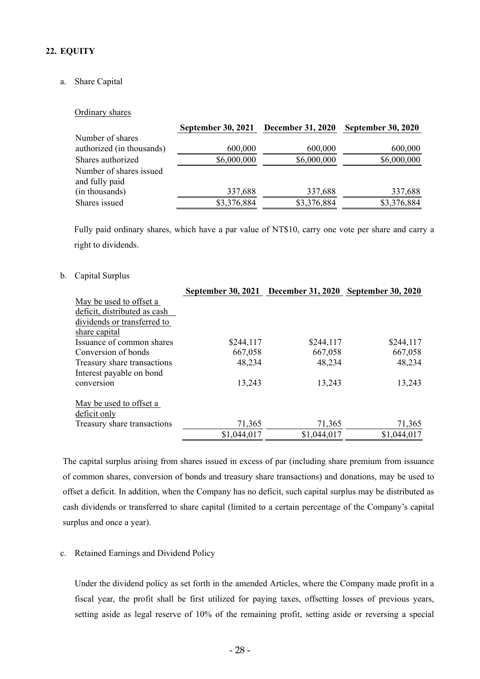## **22. EQUITY**

### a. Share Capital

#### Ordinary shares

|                                           | <b>September 30, 2021</b> | <b>December 31, 2020</b> | <b>September 30, 2020</b> |
|-------------------------------------------|---------------------------|--------------------------|---------------------------|
| Number of shares                          |                           |                          |                           |
| authorized (in thousands)                 | 600,000                   | 600,000                  | 600,000                   |
| Shares authorized                         | \$6,000,000               | \$6,000,000              | \$6,000,000               |
| Number of shares issued<br>and fully paid |                           |                          |                           |
| (in thousands)                            | 337,688                   | 337,688                  | 337,688                   |
| Shares issued                             | \$3,376,884               | \$3,376,884              | \$3,376,884               |

Fully paid ordinary shares, which have a par value of NT\$10, carry one vote per share and carry a right to dividends.

#### b. Capital Surplus

|                              | September 30, 2021 December 31, 2020 September 30, 2020 |             |             |
|------------------------------|---------------------------------------------------------|-------------|-------------|
| May be used to offset a      |                                                         |             |             |
| deficit, distributed as cash |                                                         |             |             |
| dividends or transferred to  |                                                         |             |             |
| share capital                |                                                         |             |             |
| Issuance of common shares    | \$244,117                                               | \$244,117   | \$244,117   |
| Conversion of bonds          | 667,058                                                 | 667,058     | 667,058     |
| Treasury share transactions  | 48,234                                                  | 48,234      | 48,234      |
| Interest payable on bond     |                                                         |             |             |
| conversion                   | 13,243                                                  | 13,243      | 13,243      |
| May be used to offset a      |                                                         |             |             |
| deficit only                 |                                                         |             |             |
| Treasury share transactions  | 71,365                                                  | 71,365      | 71,365      |
|                              | \$1,044,017                                             | \$1,044,017 | \$1,044,017 |

The capital surplus arising from shares issued in excess of par (including share premium from issuance of common shares, conversion of bonds and treasury share transactions) and donations, may be used to offset a deficit. In addition, when the Company has no deficit, such capital surplus may be distributed as cash dividends or transferred to share capital (limited to a certain percentage of the Company's capital surplus and once a year).

#### c. Retained Earnings and Dividend Policy

Under the dividend policy as set forth in the amended Articles, where the Company made profit in a fiscal year, the profit shall be first utilized for paying taxes, offsetting losses of previous years, setting aside as legal reserve of 10% of the remaining profit, setting aside or reversing a special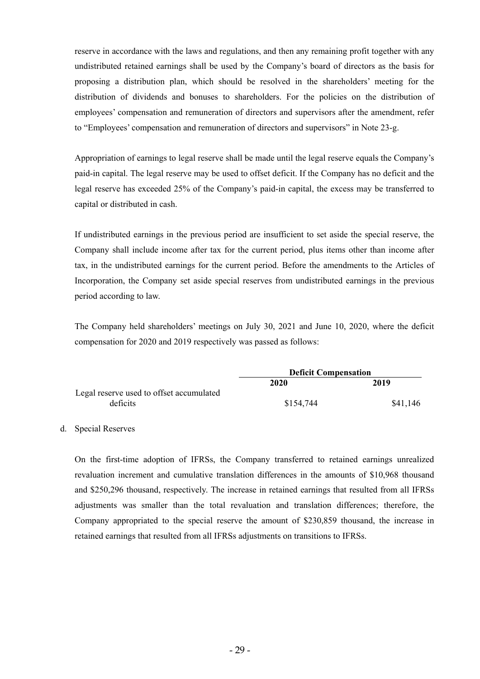reserve in accordance with the laws and regulations, and then any remaining profit together with any undistributed retained earnings shall be used by the Company's board of directors as the basis for proposing a distribution plan, which should be resolved in the shareholders' meeting for the distribution of dividends and bonuses to shareholders. For the policies on the distribution of employees' compensation and remuneration of directors and supervisors after the amendment, refer to "Employees' compensation and remuneration of directors and supervisors" in Note 23-g.

Appropriation of earnings to legal reserve shall be made until the legal reserve equals the Company's paid-in capital. The legal reserve may be used to offset deficit. If the Company has no deficit and the legal reserve has exceeded 25% of the Company's paid-in capital, the excess may be transferred to capital or distributed in cash.

If undistributed earnings in the previous period are insufficient to set aside the special reserve, the Company shall include income after tax for the current period, plus items other than income after tax, in the undistributed earnings for the current period. Before the amendments to the Articles of Incorporation, the Company set aside special reserves from undistributed earnings in the previous period according to law.

The Company held shareholders' meetings on July 30, 2021 and June 10, 2020, where the deficit compensation for 2020 and 2019 respectively was passed as follows:

|                                          | <b>Deficit Compensation</b> |          |  |
|------------------------------------------|-----------------------------|----------|--|
|                                          | 2020                        | 2019     |  |
| Legal reserve used to offset accumulated |                             |          |  |
| deficits                                 | \$154,744                   | \$41,146 |  |

#### d. Special Reserves

On the first-time adoption of IFRSs, the Company transferred to retained earnings unrealized revaluation increment and cumulative translation differences in the amounts of \$10,968 thousand and \$250,296 thousand, respectively. The increase in retained earnings that resulted from all IFRSs adjustments was smaller than the total revaluation and translation differences; therefore, the Company appropriated to the special reserve the amount of \$230,859 thousand, the increase in retained earnings that resulted from all IFRSs adjustments on transitions to IFRSs.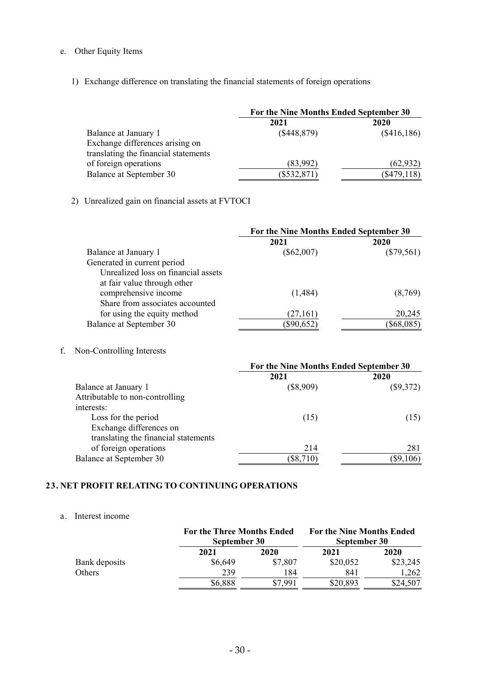# e. Other Equity Items

1) Exchange difference on translating the financial statements of foreign operations

|                                      | For the Nine Months Ended September 30 |               |  |
|--------------------------------------|----------------------------------------|---------------|--|
|                                      | 2021                                   | 2020          |  |
| Balance at January 1                 | (\$448,879)                            | (\$416,186)   |  |
| Exchange differences arising on      |                                        |               |  |
| translating the financial statements |                                        |               |  |
| of foreign operations                | (83,992)                               | (62, 932)     |  |
| Balance at September 30              | $(\$532,871)$                          | $(\$479,118)$ |  |

# 2) Unrealized gain on financial assets at FVTOCI

|                                     | For the Nine Months Ended September 30 |              |  |
|-------------------------------------|----------------------------------------|--------------|--|
|                                     | 2021                                   | 2020         |  |
| Balance at January 1                | $(\$62,007)$                           | $(\$79,561)$ |  |
| Generated in current period         |                                        |              |  |
| Unrealized loss on financial assets |                                        |              |  |
| at fair value through other         |                                        |              |  |
| comprehensive income                | (1,484)                                | (8,769)      |  |
| Share from associates accounted     |                                        |              |  |
| for using the equity method         | (27, 161)                              | 20,245       |  |
| Balance at September 30             | $(\$90,652)$                           | $(\$68,085)$ |  |

f. Non-Controlling Interests

|                                      | For the Nine Months Ended September 30 |             |  |
|--------------------------------------|----------------------------------------|-------------|--|
|                                      | 2021                                   | 2020        |  |
| Balance at January 1                 | $(\$8,909)$                            | $(\$9,372)$ |  |
| Attributable to non-controlling      |                                        |             |  |
| interests:                           |                                        |             |  |
| Loss for the period                  | (15)                                   | (15)        |  |
| Exchange differences on              |                                        |             |  |
| translating the financial statements |                                        |             |  |
| of foreign operations                | 214                                    | 281         |  |
| Balance at September 30              | $(\$8,710)$                            | $(\$9,106)$ |  |

#### **23. NET PROFIT RELATING TO CONTINUING OPERATIONS**

## a. Interest income

|               |         | <b>For the Three Months Ended</b><br>September 30 |          | <b>For the Nine Months Ended</b><br>September 30 |
|---------------|---------|---------------------------------------------------|----------|--------------------------------------------------|
|               | 2021    | 2020                                              | 2021     | 2020                                             |
| Bank deposits | \$6,649 | \$7,807                                           | \$20,052 | \$23,245                                         |
| Others        | 239     | 184                                               | 841      | 1,262                                            |
|               | \$6,888 | \$7,991                                           | \$20,893 | \$24,507                                         |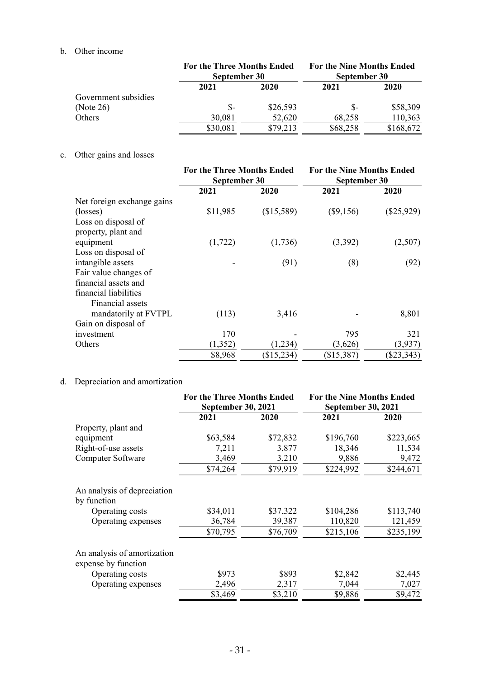# b. Other income

|                      |          | <b>For the Three Months Ended</b><br>September 30 |          | <b>For the Nine Months Ended</b><br>September 30 |  |
|----------------------|----------|---------------------------------------------------|----------|--------------------------------------------------|--|
|                      | 2021     | 2020                                              | 2021     | 2020                                             |  |
| Government subsidies |          |                                                   |          |                                                  |  |
| (Note 26)            | \$-      | \$26,593                                          | \$-      | \$58,309                                         |  |
| Others               | 30,081   | 52,620                                            | 68,258   | 110,363                                          |  |
|                      | \$30,081 | \$79,213                                          | \$68,258 | \$168,672                                        |  |

## c. Other gains and losses

|                            | <b>For the Three Months Ended</b> |            | <b>For the Nine Months Ended</b> |              |
|----------------------------|-----------------------------------|------------|----------------------------------|--------------|
|                            | September 30                      |            | September 30                     |              |
|                            | 2021                              | 2020       | 2021                             | 2020         |
| Net foreign exchange gains |                                   |            |                                  |              |
| (losses)                   | \$11,985                          | (\$15,589) | $(\$9,156)$                      | $(\$25,929)$ |
| Loss on disposal of        |                                   |            |                                  |              |
| property, plant and        |                                   |            |                                  |              |
| equipment                  | (1, 722)                          | (1,736)    | (3,392)                          | (2,507)      |
| Loss on disposal of        |                                   |            |                                  |              |
| intangible assets          |                                   | (91)       | (8)                              | (92)         |
| Fair value changes of      |                                   |            |                                  |              |
| financial assets and       |                                   |            |                                  |              |
| financial liabilities      |                                   |            |                                  |              |
| Financial assets           |                                   |            |                                  |              |
| mandatorily at FVTPL       | (113)                             | 3,416      |                                  | 8,801        |
| Gain on disposal of        |                                   |            |                                  |              |
| investment                 | 170                               |            | 795                              | 321          |
| Others                     | (1, 352)                          | (1,234)    | (3,626)                          | (3,937)      |
|                            | \$8,968                           | (\$15,234) | (\$15,387)                       | (\$23,343)   |

# d. Depreciation and amortization

|                                                    | <b>For the Three Months Ended</b><br><b>September 30, 2021</b> |          | <b>For the Nine Months Ended</b><br><b>September 30, 2021</b> |           |
|----------------------------------------------------|----------------------------------------------------------------|----------|---------------------------------------------------------------|-----------|
|                                                    | 2021                                                           | 2020     | 2021                                                          | 2020      |
| Property, plant and                                |                                                                |          |                                                               |           |
| equipment                                          | \$63,584                                                       | \$72,832 | \$196,760                                                     | \$223,665 |
| Right-of-use assets                                | 7,211                                                          | 3,877    | 18,346                                                        | 11,534    |
| Computer Software                                  | 3,469                                                          | 3,210    | 9,886                                                         | 9,472     |
|                                                    | \$74,264                                                       | \$79,919 | \$224,992                                                     | \$244,671 |
| An analysis of depreciation<br>by function         |                                                                |          |                                                               |           |
| Operating costs                                    | \$34,011                                                       | \$37,322 | \$104,286                                                     | \$113,740 |
| Operating expenses                                 | 36,784                                                         | 39,387   | 110,820                                                       | 121,459   |
|                                                    | \$70,795                                                       | \$76,709 | \$215,106                                                     | \$235,199 |
| An analysis of amortization<br>expense by function |                                                                |          |                                                               |           |
| Operating costs                                    | \$973                                                          | \$893    | \$2,842                                                       | \$2,445   |
| Operating expenses                                 | 2,496                                                          | 2,317    | 7,044                                                         | 7,027     |
|                                                    | \$3,469                                                        | \$3,210  | \$9,886                                                       | \$9,472   |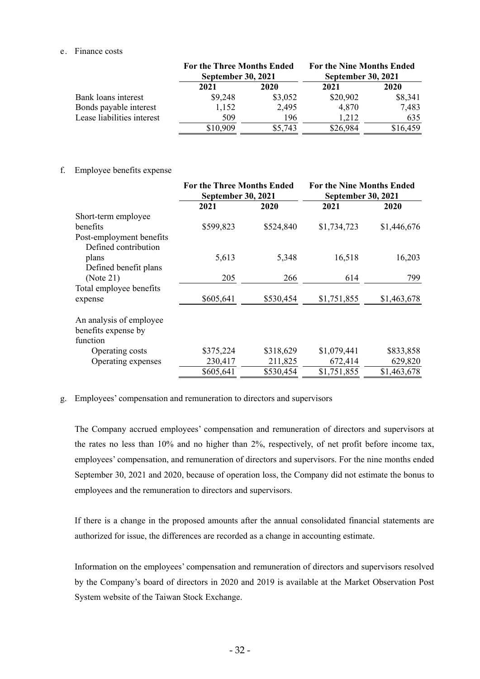#### e. Finance costs

|                            | <b>For the Three Months Ended</b><br><b>September 30, 2021</b> |         | <b>For the Nine Months Ended</b><br><b>September 30, 2021</b> |          |
|----------------------------|----------------------------------------------------------------|---------|---------------------------------------------------------------|----------|
|                            | 2021                                                           | 2020    | 2021                                                          | 2020     |
| Bank loans interest        | \$9,248                                                        | \$3,052 | \$20,902                                                      | \$8,341  |
| Bonds payable interest     | 1,152                                                          | 2,495   | 4,870                                                         | 7,483    |
| Lease liabilities interest | 509                                                            | 196     | 1,212                                                         | 635      |
|                            | \$10,909                                                       | \$5,743 | \$26,984                                                      | \$16,459 |

#### f. Employee benefits expense

|                          | <b>For the Three Months Ended</b><br><b>September 30, 2021</b> |           | <b>For the Nine Months Ended</b><br><b>September 30, 2021</b> |             |
|--------------------------|----------------------------------------------------------------|-----------|---------------------------------------------------------------|-------------|
|                          | 2021                                                           | 2020      | 2021                                                          | 2020        |
| Short-term employee      |                                                                |           |                                                               |             |
| benefits                 | \$599,823                                                      | \$524,840 | \$1,734,723                                                   | \$1,446,676 |
| Post-employment benefits |                                                                |           |                                                               |             |
| Defined contribution     |                                                                |           |                                                               |             |
| plans                    | 5,613                                                          | 5,348     | 16,518                                                        | 16,203      |
| Defined benefit plans    |                                                                |           |                                                               |             |
| (Note 21)                | 205                                                            | 266       | 614                                                           | 799         |
| Total employee benefits  |                                                                |           |                                                               |             |
| expense                  | \$605,641                                                      | \$530,454 | \$1,751,855                                                   | \$1,463,678 |
| An analysis of employee  |                                                                |           |                                                               |             |
| benefits expense by      |                                                                |           |                                                               |             |
| function                 |                                                                |           |                                                               |             |
| Operating costs          | \$375,224                                                      | \$318,629 | \$1,079,441                                                   | \$833,858   |
| Operating expenses       | 230,417                                                        | 211,825   | 672,414                                                       | 629,820     |
|                          | \$605,641                                                      | \$530,454 | \$1,751,855                                                   | \$1,463,678 |

#### g. Employees' compensation and remuneration to directors and supervisors

The Company accrued employees' compensation and remuneration of directors and supervisors at the rates no less than 10% and no higher than 2%, respectively, of net profit before income tax, employees' compensation, and remuneration of directors and supervisors. For the nine months ended September 30, 2021 and 2020, because of operation loss, the Company did not estimate the bonus to employees and the remuneration to directors and supervisors.

If there is a change in the proposed amounts after the annual consolidated financial statements are authorized for issue, the differences are recorded as a change in accounting estimate.

Information on the employees' compensation and remuneration of directors and supervisors resolved by the Company's board of directors in 2020 and 2019 is available at the Market Observation Post System website of the Taiwan Stock Exchange.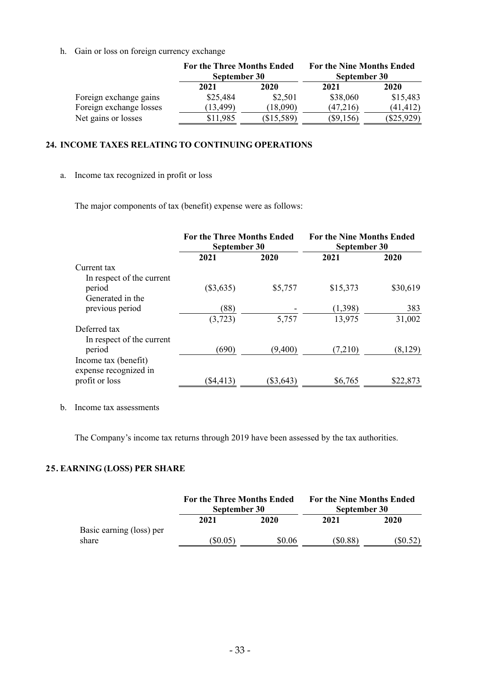h. Gain or loss on foreign currency exchange

|                         | <b>For the Three Months Ended</b><br>September 30 |            | <b>For the Nine Months Ended</b><br>September 30 |              |
|-------------------------|---------------------------------------------------|------------|--------------------------------------------------|--------------|
|                         | 2021                                              | 2020       | 2021                                             | 2020         |
| Foreign exchange gains  | \$25,484                                          | \$2,501    | \$38,060                                         | \$15,483     |
| Foreign exchange losses | (13, 499)                                         | (18,090)   | (47,216)                                         | (41, 412)    |
| Net gains or losses     | \$11,985                                          | (\$15,589) | $(\$9,156)$                                      | $(\$25,929)$ |

### **24. INCOME TAXES RELATING TO CONTINUING OPERATIONS**

a. Income tax recognized in profit or loss

The major components of tax (benefit) expense were as follows:

|                                               | <b>For the Three Months Ended</b><br>September 30 |             | <b>For the Nine Months Ended</b><br>September 30 |          |
|-----------------------------------------------|---------------------------------------------------|-------------|--------------------------------------------------|----------|
|                                               | 2021                                              | 2020        | 2021                                             | 2020     |
| Current tax                                   |                                                   |             |                                                  |          |
| In respect of the current                     |                                                   |             |                                                  |          |
| period                                        | $(\$3,635)$                                       | \$5,757     | \$15,373                                         | \$30,619 |
| Generated in the                              |                                                   |             |                                                  |          |
| previous period                               | (88)                                              |             | (1,398)                                          | 383      |
|                                               | (3,723)                                           | 5,757       | 13,975                                           | 31,002   |
| Deferred tax                                  |                                                   |             |                                                  |          |
| In respect of the current                     |                                                   |             |                                                  |          |
| period                                        | (690)                                             | (9,400)     | (7,210)                                          | (8,129)  |
| Income tax (benefit)<br>expense recognized in |                                                   |             |                                                  |          |
| profit or loss                                | $(\$4,413)$                                       | $(\$3,643)$ | \$6,765                                          | \$22,873 |

b. Income tax assessments

The Company's income tax returns through 2019 have been assessed by the tax authorities.

## **25. EARNING (LOSS) PER SHARE**

|                                   | <b>For the Three Months Ended</b><br>September 30 |        | <b>For the Nine Months Ended</b><br>September 30 |         |
|-----------------------------------|---------------------------------------------------|--------|--------------------------------------------------|---------|
|                                   | 2021                                              | 2020   | 2021                                             | 2020    |
| Basic earning (loss) per<br>share | $(\$0.05)$                                        | \$0.06 | $(\$0.88)$                                       | (S0.52) |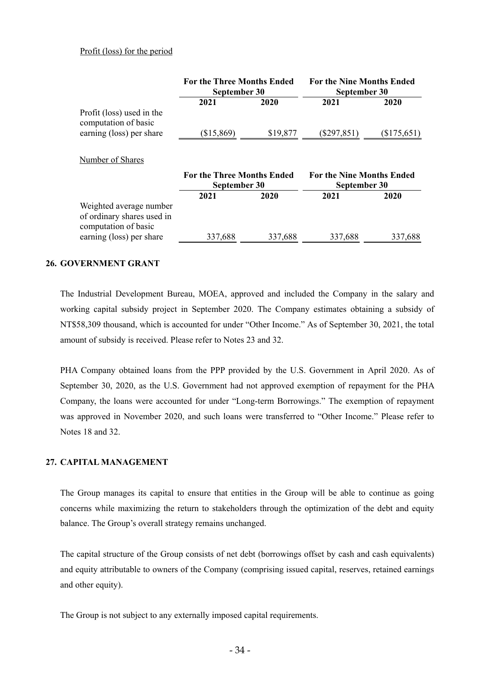#### Profit (loss) for the period

|                                                                               | <b>For the Three Months Ended</b><br>September 30 |          | <b>For the Nine Months Ended</b><br>September 30 |               |
|-------------------------------------------------------------------------------|---------------------------------------------------|----------|--------------------------------------------------|---------------|
|                                                                               | 2021                                              | 2020     | 2021                                             | 2020          |
| Profit (loss) used in the<br>computation of basic                             |                                                   |          |                                                  |               |
| earning (loss) per share                                                      | $(\$15,869)$                                      | \$19,877 | $(\$297,851)$                                    | $(\$175,651)$ |
| Number of Shares                                                              | <b>For the Three Months Ended</b><br>September 30 |          | <b>For the Nine Months Ended</b><br>September 30 |               |
|                                                                               | 2021                                              | 2020     | 2021                                             | 2020          |
| Weighted average number<br>of ordinary shares used in<br>computation of basic |                                                   |          |                                                  |               |
| earning (loss) per share                                                      | 337,688                                           | 337,688  | 337,688                                          | 337,688       |

#### **26. GOVERNMENT GRANT**

The Industrial Development Bureau, MOEA, approved and included the Company in the salary and working capital subsidy project in September 2020. The Company estimates obtaining a subsidy of NT\$58,309 thousand, which is accounted for under "Other Income." As of September 30, 2021, the total amount of subsidy is received. Please refer to Notes 23 and 32.

PHA Company obtained loans from the PPP provided by the U.S. Government in April 2020. As of September 30, 2020, as the U.S. Government had not approved exemption of repayment for the PHA Company, the loans were accounted for under "Long-term Borrowings." The exemption of repayment was approved in November 2020, and such loans were transferred to "Other Income." Please refer to Notes 18 and 32.

## **27. CAPITAL MANAGEMENT**

The Group manages its capital to ensure that entities in the Group will be able to continue as going concerns while maximizing the return to stakeholders through the optimization of the debt and equity balance. The Group's overall strategy remains unchanged.

The capital structure of the Group consists of net debt (borrowings offset by cash and cash equivalents) and equity attributable to owners of the Company (comprising issued capital, reserves, retained earnings and other equity).

The Group is not subject to any externally imposed capital requirements.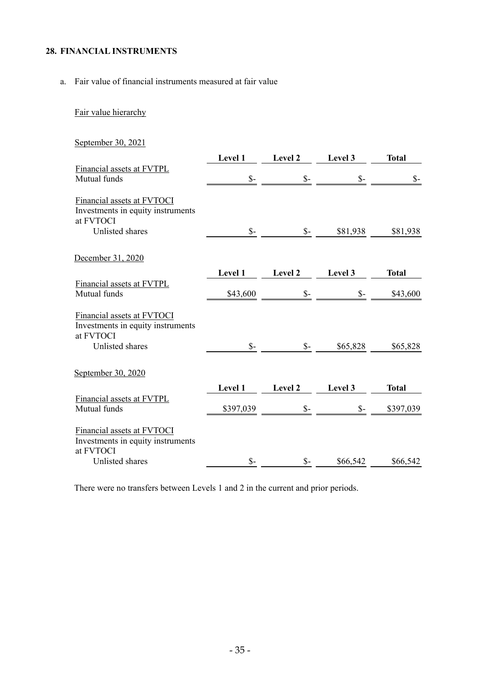## **28. FINANCIAL INSTRUMENTS**

a. Fair value of financial instruments measured at fair value

# Fair value hierarchy

September 30, 2021

|                                                                              | Level 1         | Level 2         | Level 3         | <b>Total</b>   |
|------------------------------------------------------------------------------|-----------------|-----------------|-----------------|----------------|
| Financial assets at FVTPL<br>Mutual funds                                    | $\mathsf{S}$ -  | $\mathcal{S}$ - | $\mathcal{S}$ - | $\mathsf{S}$ - |
| Financial assets at FVTOCI<br>Investments in equity instruments<br>at FVTOCI |                 |                 |                 |                |
| Unlisted shares                                                              | $\mathcal{S}$ - | $\mathcal{S}$ - | \$81,938        | \$81,938       |
| December 31, 2020                                                            |                 |                 |                 |                |
| Financial assets at FVTPL                                                    | Level 1         | Level 2         | Level 3         | <b>Total</b>   |
| Mutual funds                                                                 | \$43,600        | $S-$            | $\mathsf{S}$ -  | \$43,600       |
| Financial assets at FVTOCI<br>Investments in equity instruments<br>at FVTOCI |                 |                 |                 |                |
| Unlisted shares                                                              | $\mathcal{S}$ - | $S-$            | \$65,828        | \$65,828       |
| September 30, 2020                                                           |                 |                 |                 |                |
|                                                                              | Level 1         | Level 2         | Level 3         | <b>Total</b>   |
| Financial assets at FVTPL<br>Mutual funds                                    | \$397,039       | $\mathcal{S}$ - | $\mathcal{S}$ - | \$397,039      |
| Financial assets at FVTOCI<br>Investments in equity instruments<br>at FVTOCI |                 |                 |                 |                |
| Unlisted shares                                                              | $\mathsf{\$}$ - | $\mathcal{S}$ - | \$66,542        | \$66,542       |

There were no transfers between Levels 1 and 2 in the current and prior periods.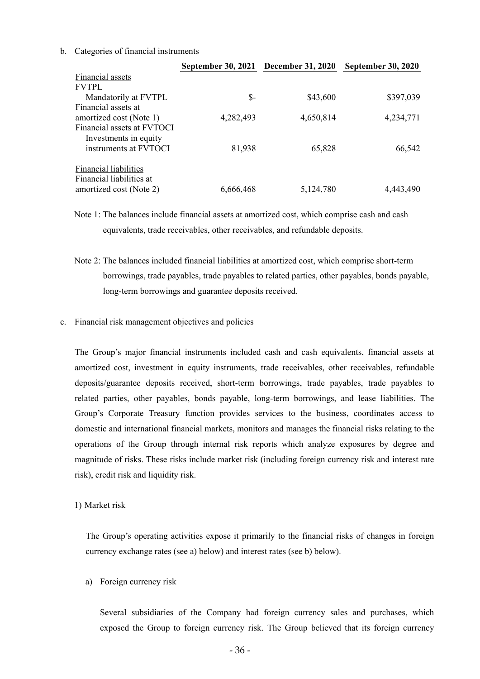#### b. Categories of financial instruments

|                              | September 30, 2021 December 31, 2020 |           | <b>September 30, 2020</b> |
|------------------------------|--------------------------------------|-----------|---------------------------|
| Financial assets             |                                      |           |                           |
| <b>FVTPL</b>                 |                                      |           |                           |
| Mandatorily at FVTPL         | \$-                                  | \$43,600  | \$397,039                 |
| Financial assets at          |                                      |           |                           |
| amortized cost (Note 1)      | 4,282,493                            | 4,650,814 | 4,234,771                 |
| Financial assets at FVTOCI   |                                      |           |                           |
| Investments in equity        |                                      |           |                           |
| instruments at FVTOCI        | 81,938                               | 65,828    | 66,542                    |
| <b>Financial liabilities</b> |                                      |           |                           |
| Financial liabilities at     |                                      |           |                           |
| amortized cost (Note 2)      | 6,666,468                            | 5,124,780 | 4,443,490                 |

Note 1: The balances include financial assets at amortized cost, which comprise cash and cash equivalents, trade receivables, other receivables, and refundable deposits.

Note 2: The balances included financial liabilities at amortized cost, which comprise short-term borrowings, trade payables, trade payables to related parties, other payables, bonds payable, long-term borrowings and guarantee deposits received.

#### c. Financial risk management objectives and policies

The Group's major financial instruments included cash and cash equivalents, financial assets at amortized cost, investment in equity instruments, trade receivables, other receivables, refundable deposits/guarantee deposits received, short-term borrowings, trade payables, trade payables to related parties, other payables, bonds payable, long-term borrowings, and lease liabilities. The Group's Corporate Treasury function provides services to the business, coordinates access to domestic and international financial markets, monitors and manages the financial risks relating to the operations of the Group through internal risk reports which analyze exposures by degree and magnitude of risks. These risks include market risk (including foreign currency risk and interest rate risk), credit risk and liquidity risk.

#### 1) Market risk

The Group's operating activities expose it primarily to the financial risks of changes in foreign currency exchange rates (see a) below) and interest rates (see b) below).

a) Foreign currency risk

Several subsidiaries of the Company had foreign currency sales and purchases, which exposed the Group to foreign currency risk. The Group believed that its foreign currency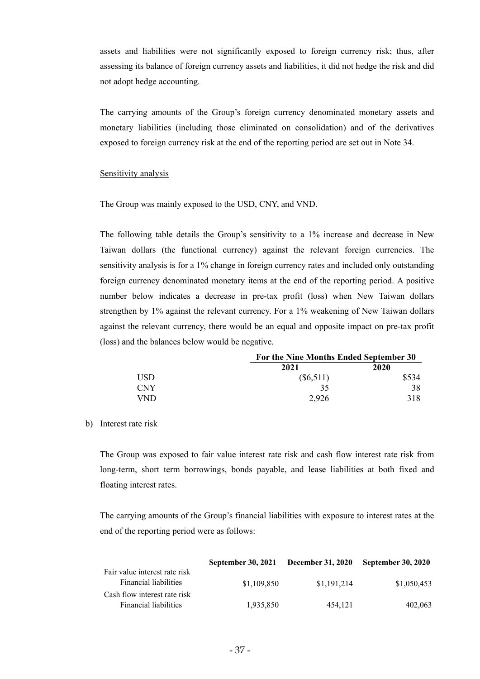assets and liabilities were not significantly exposed to foreign currency risk; thus, after assessing its balance of foreign currency assets and liabilities, it did not hedge the risk and did not adopt hedge accounting.

The carrying amounts of the Group's foreign currency denominated monetary assets and monetary liabilities (including those eliminated on consolidation) and of the derivatives exposed to foreign currency risk at the end of the reporting period are set out in Note 34.

#### Sensitivity analysis

The Group was mainly exposed to the USD, CNY, and VND.

The following table details the Group's sensitivity to a 1% increase and decrease in New Taiwan dollars (the functional currency) against the relevant foreign currencies. The sensitivity analysis is for a 1% change in foreign currency rates and included only outstanding foreign currency denominated monetary items at the end of the reporting period. A positive number below indicates a decrease in pre-tax profit (loss) when New Taiwan dollars strengthen by 1% against the relevant currency. For a 1% weakening of New Taiwan dollars against the relevant currency, there would be an equal and opposite impact on pre-tax profit (loss) and the balances below would be negative.

|                  |             | For the Nine Months Ended September 30 |  |  |
|------------------|-------------|----------------------------------------|--|--|
|                  | 2021        | 2020                                   |  |  |
| USD <sub>-</sub> | $(\$6,511)$ | \$534                                  |  |  |
| <b>CNY</b>       | 35          | 38                                     |  |  |
| <b>VND</b>       | 2.926       | 318                                    |  |  |

#### b) Interest rate risk

The Group was exposed to fair value interest rate risk and cash flow interest rate risk from long-term, short term borrowings, bonds payable, and lease liabilities at both fixed and floating interest rates.

The carrying amounts of the Group's financial liabilities with exposure to interest rates at the end of the reporting period were as follows:

|                               | <b>September 30, 2021</b> | <b>December 31, 2020</b> | <b>September 30, 2020</b> |
|-------------------------------|---------------------------|--------------------------|---------------------------|
| Fair value interest rate risk |                           |                          |                           |
| Financial liabilities         | \$1,109,850               | \$1.191.214              | \$1,050,453               |
| Cash flow interest rate risk  |                           |                          |                           |
| <b>Financial liabilities</b>  | 1,935,850                 | 454,121                  | 402,063                   |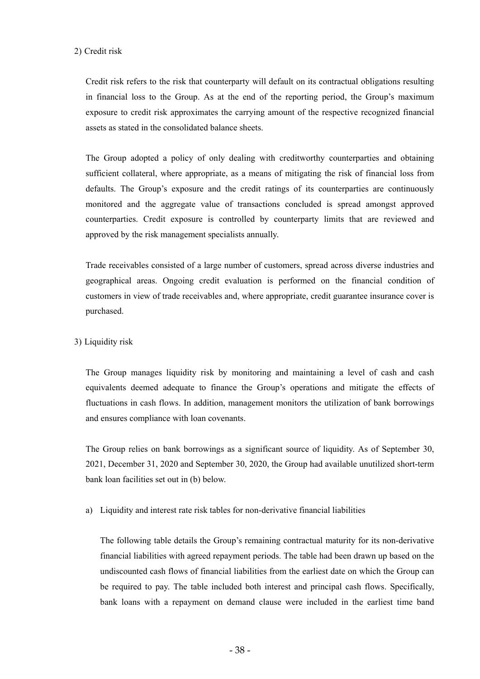#### 2) Credit risk

Credit risk refers to the risk that counterparty will default on its contractual obligations resulting in financial loss to the Group. As at the end of the reporting period, the Group's maximum exposure to credit risk approximates the carrying amount of the respective recognized financial assets as stated in the consolidated balance sheets.

The Group adopted a policy of only dealing with creditworthy counterparties and obtaining sufficient collateral, where appropriate, as a means of mitigating the risk of financial loss from defaults. The Group's exposure and the credit ratings of its counterparties are continuously monitored and the aggregate value of transactions concluded is spread amongst approved counterparties. Credit exposure is controlled by counterparty limits that are reviewed and approved by the risk management specialists annually.

Trade receivables consisted of a large number of customers, spread across diverse industries and geographical areas. Ongoing credit evaluation is performed on the financial condition of customers in view of trade receivables and, where appropriate, credit guarantee insurance cover is purchased.

#### 3) Liquidity risk

The Group manages liquidity risk by monitoring and maintaining a level of cash and cash equivalents deemed adequate to finance the Group's operations and mitigate the effects of fluctuations in cash flows. In addition, management monitors the utilization of bank borrowings and ensures compliance with loan covenants.

The Group relies on bank borrowings as a significant source of liquidity. As of September 30, 2021, December 31, 2020 and September 30, 2020, the Group had available unutilized short-term bank loan facilities set out in (b) below.

a) Liquidity and interest rate risk tables for non-derivative financial liabilities

The following table details the Group's remaining contractual maturity for its non-derivative financial liabilities with agreed repayment periods. The table had been drawn up based on the undiscounted cash flows of financial liabilities from the earliest date on which the Group can be required to pay. The table included both interest and principal cash flows. Specifically, bank loans with a repayment on demand clause were included in the earliest time band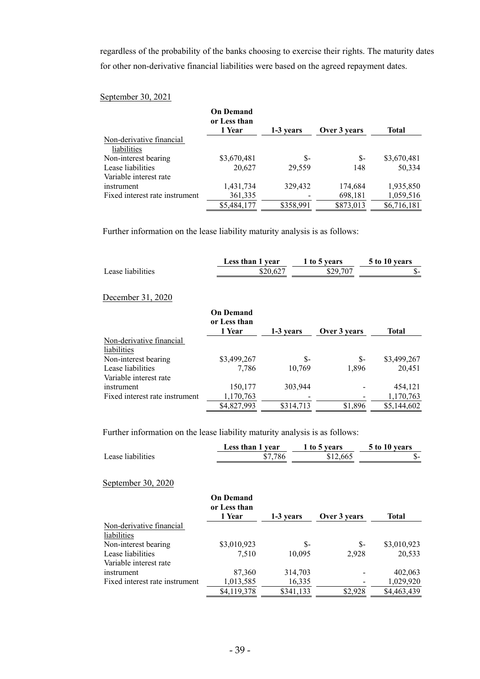regardless of the probability of the banks choosing to exercise their rights. The maturity dates for other non-derivative financial liabilities were based on the agreed repayment dates.

## September 30, 2021

|                                | <b>On Demand</b><br>or Less than |           |              |             |
|--------------------------------|----------------------------------|-----------|--------------|-------------|
|                                | 1 Year                           | 1-3 years | Over 3 years | Total       |
| Non-derivative financial       |                                  |           |              |             |
| liabilities                    |                                  |           |              |             |
| Non-interest bearing           | \$3,670,481                      | \$-       | \$-          | \$3,670,481 |
| Lease liabilities              | 20.627                           | 29,559    | 148          | 50,334      |
| Variable interest rate         |                                  |           |              |             |
| instrument                     | 1,431,734                        | 329,432   | 174,684      | 1,935,850   |
| Fixed interest rate instrument | 361,335                          |           | 698,181      | 1,059,516   |
|                                | \$5,484,177                      | \$358,991 | \$873,013    | \$6,716,181 |

Further information on the lease liability maturity analysis is as follows:

|                                | Less than 1 year                           |           | 1 to 5 years | 5 to 10 years |
|--------------------------------|--------------------------------------------|-----------|--------------|---------------|
| Lease liabilities              |                                            | \$20,627  | \$29,707     | \$-           |
| December 31, 2020              |                                            |           |              |               |
|                                | <b>On Demand</b><br>or Less than<br>1 Year | 1-3 years | Over 3 years | <b>Total</b>  |
| Non-derivative financial       |                                            |           |              |               |
| liabilities                    |                                            |           |              |               |
| Non-interest bearing           | \$3,499,267                                | \$-       | $S-$         | \$3,499,267   |
| Lease liabilities              | 7,786                                      | 10,769    | 1,896        | 20,451        |
| Variable interest rate         |                                            |           |              |               |
| instrument                     | 150,177                                    | 303,944   |              | 454,121       |
| Fixed interest rate instrument | 1,170,763                                  |           |              | 1,170,763     |
|                                | \$4,827,993                                | \$314,713 | \$1,896      | \$5,144,602   |

Further information on the lease liability maturity analysis is as follows:

|                   | Less than 1 year | 1 to 5 years | 5 to 10 years |
|-------------------|------------------|--------------|---------------|
| Lease liabilities | \$7.786          | \$12,665     | $-5 -$        |

#### September 30, 2020

|                                | <b>On Demand</b><br>or Less than |           |              |             |
|--------------------------------|----------------------------------|-----------|--------------|-------------|
|                                | 1 Year                           | 1-3 years | Over 3 years | Total       |
| Non-derivative financial       |                                  |           |              |             |
| liabilities                    |                                  |           |              |             |
| Non-interest bearing           | \$3,010,923                      | \$-       | \$-          | \$3,010,923 |
| Lease liabilities              | 7,510                            | 10,095    | 2,928        | 20,533      |
| Variable interest rate         |                                  |           |              |             |
| instrument                     | 87,360                           | 314,703   |              | 402,063     |
| Fixed interest rate instrument | 1,013,585                        | 16,335    |              | 1,029,920   |
|                                | \$4,119,378                      | \$341,133 | \$2,928      | \$4,463,439 |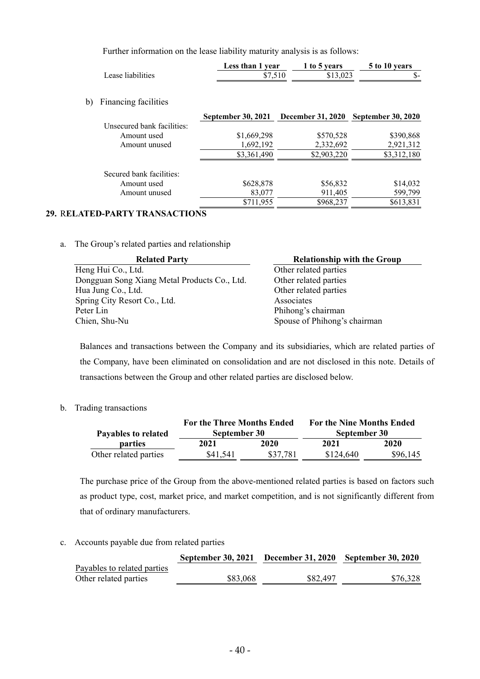Further information on the lease liability maturity analysis is as follows:

|                   | Less than 1 year | 1 to 5 years | 5 to 10 years |
|-------------------|------------------|--------------|---------------|
| Lease liabilities | \$7.510          | \$13.023     | J) –          |
|                   |                  |              |               |

b) Financing facilities

|                            | <b>September 30, 2021</b> | <b>December 31, 2020</b> | <b>September 30, 2020</b> |
|----------------------------|---------------------------|--------------------------|---------------------------|
| Unsecured bank facilities: |                           |                          |                           |
| Amount used                | \$1,669,298               | \$570,528                | \$390,868                 |
| Amount unused              | 1,692,192                 | 2,332,692                | 2,921,312                 |
|                            | \$3,361,490               | \$2,903,220              | \$3,312,180               |
| Secured bank facilities:   |                           |                          |                           |
| Amount used                | \$628,878                 | \$56,832                 | \$14,032                  |
| Amount unused              | 83,077                    | 911,405                  | 599,799                   |
|                            | \$711,955                 | \$968,237                | \$613,831                 |

# **29.** R**ELATED-PARTY TRANSACTIONS**

a. The Group's related parties and relationship

| <b>Related Party</b>                         | <b>Relationship with the Group</b> |
|----------------------------------------------|------------------------------------|
| Heng Hui Co., Ltd.                           | Other related parties              |
| Dongguan Song Xiang Metal Products Co., Ltd. | Other related parties              |
| Hua Jung Co., Ltd.                           | Other related parties              |
| Spring City Resort Co., Ltd.                 | Associates                         |
| Peter Lin                                    | Phihong's chairman                 |
| Chien, Shu-Nu                                | Spouse of Phihong's chairman       |

Balances and transactions between the Company and its subsidiaries, which are related parties of the Company, have been eliminated on consolidation and are not disclosed in this note. Details of transactions between the Group and other related parties are disclosed below.

b. Trading transactions

|                       | <b>For the Nine Months Ended</b> |          |              |          |
|-----------------------|----------------------------------|----------|--------------|----------|
| Payables to related   | September 30                     |          | September 30 |          |
| <b>parties</b>        | 2021                             | 2020     | 2021         | 2020     |
| Other related parties | \$41,541                         | \$37,781 | \$124,640    | \$96,145 |

The purchase price of the Group from the above-mentioned related parties is based on factors such as product type, cost, market price, and market competition, and is not significantly different from that of ordinary manufacturers.

c. Accounts payable due from related parties

|                             | September 30, 2021 December 31, 2020 September 30, 2020 |          |          |
|-----------------------------|---------------------------------------------------------|----------|----------|
| Payables to related parties |                                                         |          |          |
| Other related parties       | \$83,068                                                | \$82,497 | \$76,328 |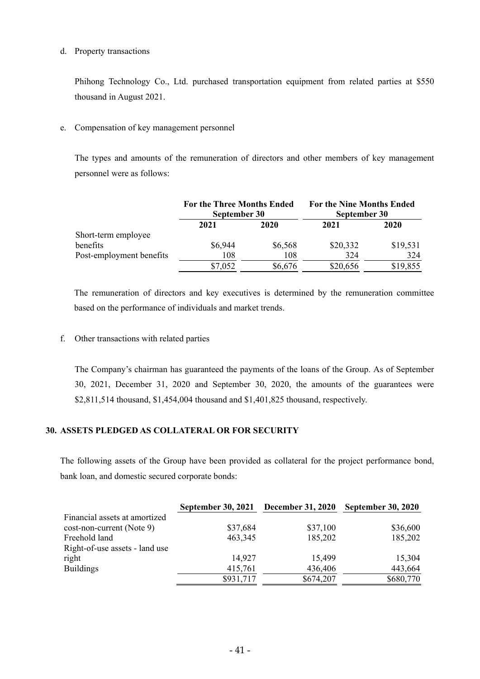#### d. Property transactions

Phihong Technology Co., Ltd. purchased transportation equipment from related parties at \$550 thousand in August 2021.

## e. Compensation of key management personnel

The types and amounts of the remuneration of directors and other members of key management personnel were as follows:

|                          | <b>For the Three Months Ended</b><br>September 30 |         | <b>For the Nine Months Ended</b><br>September 30 |          |
|--------------------------|---------------------------------------------------|---------|--------------------------------------------------|----------|
|                          | 2021                                              | 2020    | 2021                                             | 2020     |
| Short-term employee      |                                                   |         |                                                  |          |
| benefits                 | \$6,944                                           | \$6,568 | \$20,332                                         | \$19,531 |
| Post-employment benefits | 108                                               | 108     | 324                                              | 324      |
|                          | \$7,052                                           | \$6,676 | \$20,656                                         | \$19,855 |

The remuneration of directors and key executives is determined by the remuneration committee based on the performance of individuals and market trends.

f. Other transactions with related parties

The Company's chairman has guaranteed the payments of the loans of the Group. As of September 30, 2021, December 31, 2020 and September 30, 2020, the amounts of the guarantees were \$2,811,514 thousand, \$1,454,004 thousand and \$1,401,825 thousand, respectively.

## **30. ASSETS PLEDGED AS COLLATERAL OR FOR SECURITY**

The following assets of the Group have been provided as collateral for the project performance bond, bank loan, and domestic secured corporate bonds:

|                                | September 30, 2021 | <b>December 31, 2020</b> | <b>September 30, 2020</b> |
|--------------------------------|--------------------|--------------------------|---------------------------|
| Financial assets at amortized  |                    |                          |                           |
| cost-non-current (Note 9)      | \$37,684           | \$37,100                 | \$36,600                  |
| Freehold land                  | 463,345            | 185,202                  | 185,202                   |
| Right-of-use assets - land use |                    |                          |                           |
| right                          | 14.927             | 15,499                   | 15,304                    |
| <b>Buildings</b>               | 415,761            | 436,406                  | 443,664                   |
|                                | \$931,717          | \$674,207                | \$680,770                 |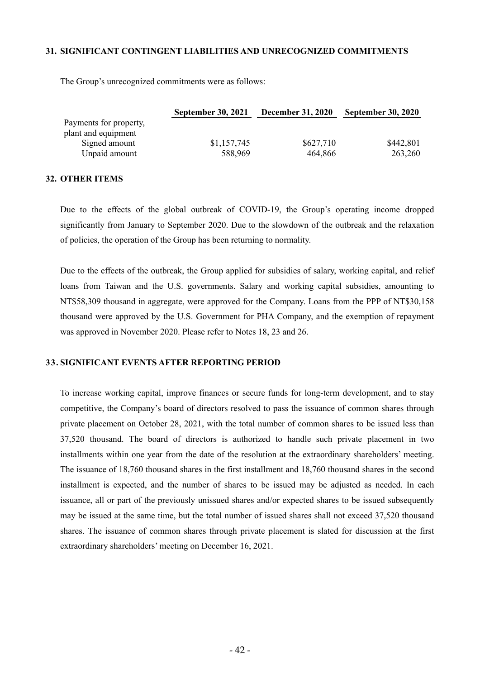#### **31. SIGNIFICANT CONTINGENT LIABILITIES AND UNRECOGNIZED COMMITMENTS**

The Group's unrecognized commitments were as follows:

|                        | <b>September 30, 2021</b> | <b>December 31, 2020</b> | <b>September 30, 2020</b> |
|------------------------|---------------------------|--------------------------|---------------------------|
| Payments for property, |                           |                          |                           |
| plant and equipment    |                           |                          |                           |
| Signed amount          | \$1,157,745               | \$627,710                | \$442,801                 |
| Unpaid amount          | 588,969                   | 464,866                  | 263,260                   |

#### **32. OTHER ITEMS**

Due to the effects of the global outbreak of COVID-19, the Group's operating income dropped significantly from January to September 2020. Due to the slowdown of the outbreak and the relaxation of policies, the operation of the Group has been returning to normality.

Due to the effects of the outbreak, the Group applied for subsidies of salary, working capital, and relief loans from Taiwan and the U.S. governments. Salary and working capital subsidies, amounting to NT\$58,309 thousand in aggregate, were approved for the Company. Loans from the PPP of NT\$30,158 thousand were approved by the U.S. Government for PHA Company, and the exemption of repayment was approved in November 2020. Please refer to Notes 18, 23 and 26.

#### **33. SIGNIFICANT EVENTS AFTER REPORTING PERIOD**

To increase working capital, improve finances or secure funds for long-term development, and to stay competitive, the Company's board of directors resolved to pass the issuance of common shares through private placement on October 28, 2021, with the total number of common shares to be issued less than 37,520 thousand. The board of directors is authorized to handle such private placement in two installments within one year from the date of the resolution at the extraordinary shareholders' meeting. The issuance of 18,760 thousand shares in the first installment and 18,760 thousand shares in the second installment is expected, and the number of shares to be issued may be adjusted as needed. In each issuance, all or part of the previously unissued shares and/or expected shares to be issued subsequently may be issued at the same time, but the total number of issued shares shall not exceed 37,520 thousand shares. The issuance of common shares through private placement is slated for discussion at the first extraordinary shareholders' meeting on December 16, 2021.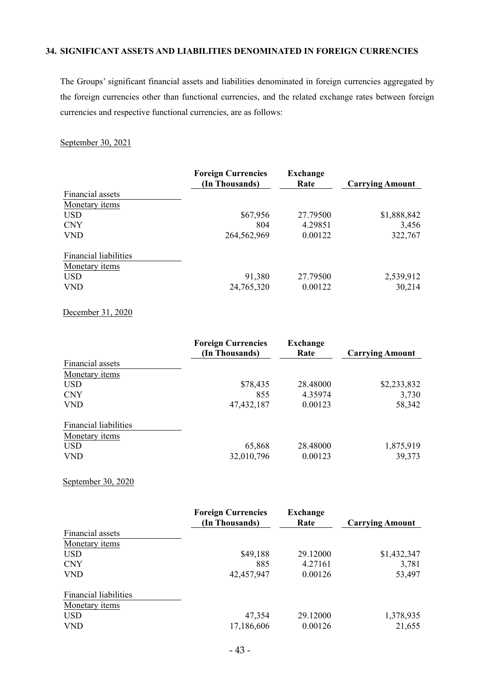## **34. SIGNIFICANT ASSETS AND LIABILITIES DENOMINATED IN FOREIGN CURRENCIES**

The Groups' significant financial assets and liabilities denominated in foreign currencies aggregated by the foreign currencies other than functional currencies, and the related exchange rates between foreign currencies and respective functional currencies, are as follows:

September 30, 2021

|                              | <b>Foreign Currencies</b><br>(In Thousands) | <b>Exchange</b><br>Rate | <b>Carrying Amount</b> |
|------------------------------|---------------------------------------------|-------------------------|------------------------|
| Financial assets             |                                             |                         |                        |
| Monetary items               |                                             |                         |                        |
| <b>USD</b>                   | \$67,956                                    | 27.79500                | \$1,888,842            |
| <b>CNY</b>                   | 804                                         | 4.29851                 | 3,456                  |
| <b>VND</b>                   | 264,562,969                                 | 0.00122                 | 322,767                |
| <b>Financial liabilities</b> |                                             |                         |                        |
| Monetary <i>items</i>        |                                             |                         |                        |
| <b>USD</b>                   | 91,380                                      | 27.79500                | 2,539,912              |
| <b>VND</b>                   | 24,765,320                                  | 0.00122                 | 30,214                 |

December 31, 2020

|                              | <b>Foreign Currencies</b><br>(In Thousands) | <b>Exchange</b><br>Rate | <b>Carrying Amount</b> |
|------------------------------|---------------------------------------------|-------------------------|------------------------|
| Financial assets             |                                             |                         |                        |
| Monetary items               |                                             |                         |                        |
| <b>USD</b>                   | \$78,435                                    | 28.48000                | \$2,233,832            |
| <b>CNY</b>                   | 855                                         | 4.35974                 | 3,730                  |
| <b>VND</b>                   | 47, 432, 187                                | 0.00123                 | 58,342                 |
| <b>Financial liabilities</b> |                                             |                         |                        |
| Monetary items               |                                             |                         |                        |
| <b>USD</b>                   | 65,868                                      | 28.48000                | 1,875,919              |
| <b>VND</b>                   | 32,010,796                                  | 0.00123                 | 39,373                 |

September 30, 2020

|                              | <b>Foreign Currencies</b> | Exchange |                        |
|------------------------------|---------------------------|----------|------------------------|
|                              | (In Thousands)            | Rate     | <b>Carrying Amount</b> |
| Financial assets             |                           |          |                        |
| Monetary <i>items</i>        |                           |          |                        |
| <b>USD</b>                   | \$49,188                  | 29.12000 | \$1,432,347            |
| <b>CNY</b>                   | 885                       | 4.27161  | 3,781                  |
| <b>VND</b>                   | 42,457,947                | 0.00126  | 53,497                 |
| <b>Financial liabilities</b> |                           |          |                        |
| Monetary items               |                           |          |                        |
| <b>USD</b>                   | 47,354                    | 29.12000 | 1,378,935              |
| <b>VND</b>                   | 17,186,606                | 0.00126  | 21,655                 |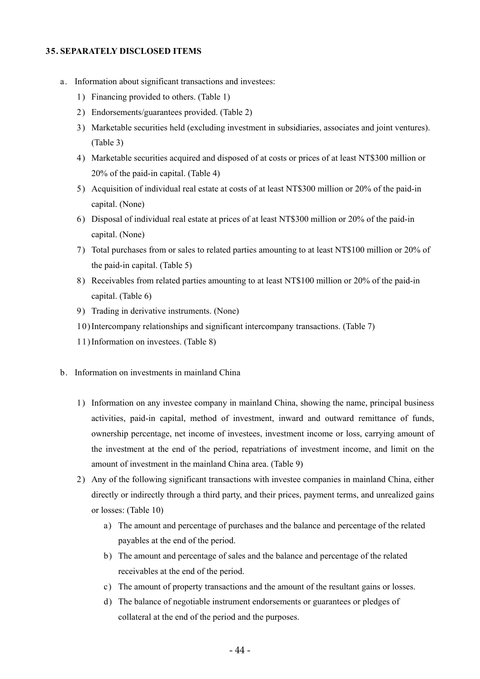#### **35. SEPARATELY DISCLOSED ITEMS**

- a. Information about significant transactions and investees:
	- 1) Financing provided to others. (Table 1)
	- 2) Endorsements/guarantees provided. (Table 2)
	- 3) Marketable securities held (excluding investment in subsidiaries, associates and joint ventures). (Table 3)
	- 4) Marketable securities acquired and disposed of at costs or prices of at least NT\$300 million or 20% of the paid-in capital. (Table 4)
	- 5) Acquisition of individual real estate at costs of at least NT\$300 million or 20% of the paid-in capital. (None)
	- 6) Disposal of individual real estate at prices of at least NT\$300 million or 20% of the paid-in capital. (None)
	- 7) Total purchases from or sales to related parties amounting to at least NT\$100 million or 20% of the paid-in capital. (Table 5)
	- 8) Receivables from related parties amounting to at least NT\$100 million or 20% of the paid-in capital. (Table 6)
	- 9) Trading in derivative instruments. (None)
	- 10)Intercompany relationships and significant intercompany transactions. (Table 7)
	- 11)Information on investees. (Table 8)
- b. Information on investments in mainland China
	- 1) Information on any investee company in mainland China, showing the name, principal business activities, paid-in capital, method of investment, inward and outward remittance of funds, ownership percentage, net income of investees, investment income or loss, carrying amount of the investment at the end of the period, repatriations of investment income, and limit on the amount of investment in the mainland China area. (Table 9)
	- 2) Any of the following significant transactions with investee companies in mainland China, either directly or indirectly through a third party, and their prices, payment terms, and unrealized gains or losses: (Table 10)
		- a) The amount and percentage of purchases and the balance and percentage of the related payables at the end of the period.
		- b) The amount and percentage of sales and the balance and percentage of the related receivables at the end of the period.
		- c) The amount of property transactions and the amount of the resultant gains or losses.
		- d) The balance of negotiable instrument endorsements or guarantees or pledges of collateral at the end of the period and the purposes.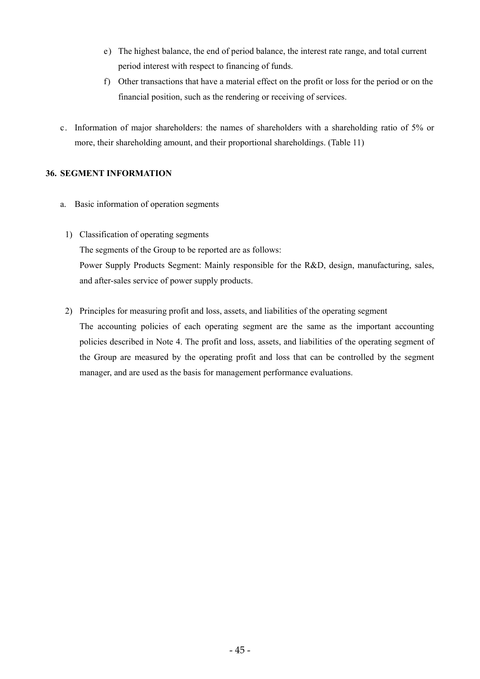- e) The highest balance, the end of period balance, the interest rate range, and total current period interest with respect to financing of funds.
- f) Other transactions that have a material effect on the profit or loss for the period or on the financial position, such as the rendering or receiving of services.
- c. Information of major shareholders: the names of shareholders with a shareholding ratio of 5% or more, their shareholding amount, and their proportional shareholdings. (Table 11)

## **36. SEGMENT INFORMATION**

- a. Basic information of operation segments
- 1) Classification of operating segments The segments of the Group to be reported are as follows: Power Supply Products Segment: Mainly responsible for the R&D, design, manufacturing, sales, and after-sales service of power supply products.
- 2) Principles for measuring profit and loss, assets, and liabilities of the operating segment The accounting policies of each operating segment are the same as the important accounting policies described in Note 4. The profit and loss, assets, and liabilities of the operating segment of the Group are measured by the operating profit and loss that can be controlled by the segment manager, and are used as the basis for management performance evaluations.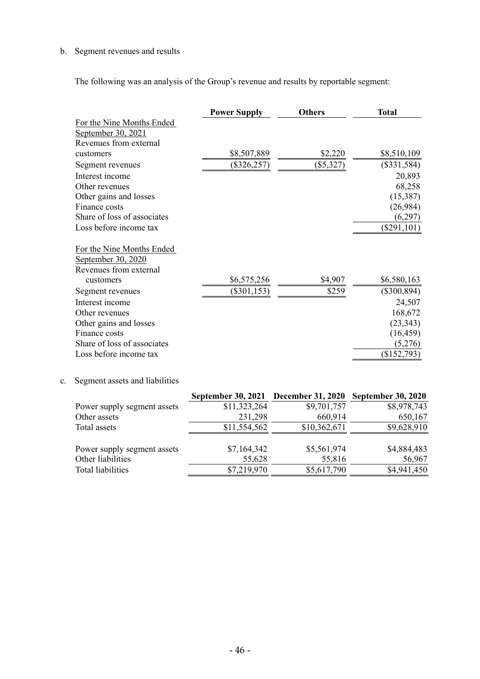# b. Segment revenues and results

The following was an analysis of the Group's revenue and results by reportable segment:

|                |                                | <b>Power Supply</b>                                     | <b>Others</b> | <b>Total</b>  |
|----------------|--------------------------------|---------------------------------------------------------|---------------|---------------|
|                | For the Nine Months Ended      |                                                         |               |               |
|                | September 30, 2021             |                                                         |               |               |
|                | Revenues from external         |                                                         |               |               |
|                | customers                      | \$8,507,889                                             | \$2,220       | \$8,510,109   |
|                | Segment revenues               | $(\$326,257)$                                           | (\$5,327)     | $(\$331,584)$ |
|                | Interest income                |                                                         |               | 20,893        |
|                | Other revenues                 |                                                         |               | 68,258        |
|                | Other gains and losses         |                                                         |               | (15,387)      |
|                | Finance costs                  |                                                         |               | (26,984)      |
|                | Share of loss of associates    |                                                         |               | (6,297)       |
|                | Loss before income tax         |                                                         |               | $(\$291,101)$ |
|                | For the Nine Months Ended      |                                                         |               |               |
|                | September 30, 2020             |                                                         |               |               |
|                | Revenues from external         |                                                         |               |               |
|                | customers                      | \$6,575,256                                             | \$4,907       | \$6,580,163   |
|                | Segment revenues               | $(\$301,153)$                                           | \$259         | $(\$300,894)$ |
|                | Interest income                |                                                         |               | 24,507        |
|                | Other revenues                 |                                                         |               | 168,672       |
|                | Other gains and losses         |                                                         |               | (23, 343)     |
|                | Finance costs                  |                                                         |               | (16, 459)     |
|                | Share of loss of associates    |                                                         |               | (5,276)       |
|                | Loss before income tax         |                                                         |               | (\$152,793)   |
| $\mathbf{c}$ . | Segment assets and liabilities |                                                         |               |               |
|                |                                | September 30, 2021 December 31, 2020 September 30, 2020 |               |               |
|                | Power supply segment assets    | \$11,323,264                                            | \$9,701,757   | \$8,978,743   |
|                | Other assets                   | 231,298                                                 | 660,914       | 650,167       |
|                | Total assets                   | \$11,554,562                                            | \$10,362,671  | \$9,628,910   |
|                | Power supply segment assets    | \$7,164,342                                             | \$5,561,974   | \$4,884,483   |
|                | Other liabilities              | 55,628                                                  | 55,816        | 56,967        |
|                | <b>Total liabilities</b>       | $\overline{$}7,219,970$                                 | \$5,617,790   | \$4,941,450   |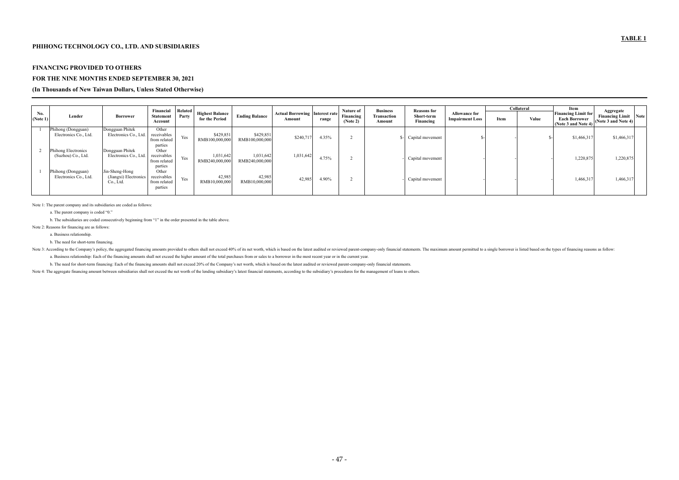#### **FINANCING PROVIDED TO OTHERS**

#### **FOR THE NINE MONTHS ENDED SEPTEMBER 30, 2021**

#### **(In Thousands of New Taiwan Dollars, Unless Stated Otherwise)**

|                 |                                                  |                                                      | Financial                                                  | <b>Related</b> | <b>Business</b><br>Nature of<br><b>Reasons for</b> |                             |                                                 |       |                       |                       | Collateral              |                                                | Item | Aggregate |                                                                           |                                                    |  |
|-----------------|--------------------------------------------------|------------------------------------------------------|------------------------------------------------------------|----------------|----------------------------------------------------|-----------------------------|-------------------------------------------------|-------|-----------------------|-----------------------|-------------------------|------------------------------------------------|------|-----------|---------------------------------------------------------------------------|----------------------------------------------------|--|
| No.<br>(Note 1) | Lender                                           | <b>Borrower</b>                                      | <b>Statement</b><br>Account                                | Party          | <b>Highest Balance</b><br>for the Period           | <b>Ending Balance</b>       | <b>Actual Borrowing Interest rate</b><br>Amount | range | Financing<br>(Note 2) | Transaction<br>Amount | Short-term<br>Financing | <b>Allowance for</b><br><b>Impairment Loss</b> | Item | Value     | <b>Financing Limit for</b><br><b>Each Borrower</b><br>(Note 3 and Note 4) | <b>Financing Limit</b> Note<br>(Note 3 and Note 4) |  |
|                 | Phihong (Dongguan)<br>Electronics Co., Ltd.      | Dongguan Phitek<br>Electronics Co., Ltd.             | Other<br>receivables<br>from related                       | Yes            | \$429,851<br>RMB100,000,000                        | \$429,851<br>RMB100,000,000 | \$240,71                                        | 4.35% |                       |                       | \$- Capital movement    |                                                |      |           | \$1,466,31                                                                | \$1,466,317                                        |  |
|                 | <b>Phihong Electronics</b><br>(Suzhou) Co., Ltd. | Dongguan Phitek<br>Electronics Co., Ltd.             | parties<br>Other<br>receivables<br>from related            | Yes            | 1,031,642<br>RMB240,000,000                        | 1,031,642<br>RMB240,000,000 | 1,031,642                                       | 4.75% |                       |                       | Capital movement        |                                                |      |           | 1,220,875                                                                 | 1,220,875                                          |  |
|                 | Phihong (Dongguan)<br>Electronics Co., Ltd.      | Jin-Sheng-Hong<br>(Jiangxi) Electronics<br>Co., Ltd. | parties<br>Other<br>receivables<br>from related<br>parties | Yes            | 42,985<br>RMB10,000,000                            | 42,985<br>RMB10,000,000     | 42,985                                          | 4.90% |                       |                       | Capital movement        |                                                |      |           | 1,466,317                                                                 | 1,466,317                                          |  |

Note 3: According to the Company's policy, the aggregated financing amounts provided to others shall not exceed 40% of its net worth, which is based on the latest audited or reviewed parent-company-only financial statement a. Business relationship: Each of the financing amounts shall not exceed the higher amount of the total purchases from or sales to a borrower in the most recent year or in the current year.

Note 1: The parent company and its subsidiaries are coded as follows:

a. The parent company is coded "0."

b. The subsidiaries are coded consecutively beginning from "1" in the order presented in the table above.

Note 2: Reasons for financing are as follows:

a. Business relationship.

b. The need for short-term financing.

b. The need for short-term financing: Each of the financing amounts shall not exceed 20% of the Company's net worth, which is based on the latest audited or reviewed parent-company-only financial statements.

Note 4: The aggregate financing amount between subsidiaries shall not exceed the net worth of the lending subsidiary's latest financial statements, according to the subsidiary's procedures for the management of loans to ot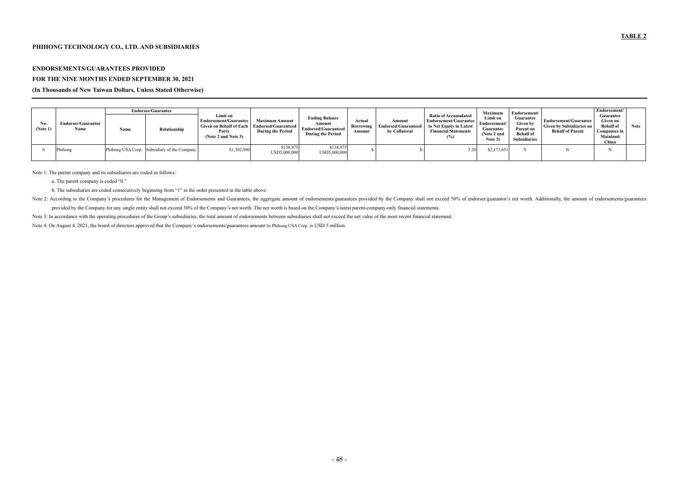## **PHIHONG TECHNOLOGY CO., LTD. AND SUBSIDIARIES**

## **ENDORSEMENTS/GUARANTEES PROVIDED**

### **FOR THE NINE MONTHS ENDED SEPTEMBER 30, 2021**

#### **(In Thousands of New Taiwan Dollars, Unless Stated Otherwise)**

|                 | <b>Endorsee/Guarantee</b>         |      |                                             |                                                                                                     |                                                                                 | Maximum                                                                                   | Endorsement/                                                                           | Endorsement/ |                                                                                                                |                                                                 |                                                                                      |                                                                                     |                                                                                       |        |
|-----------------|-----------------------------------|------|---------------------------------------------|-----------------------------------------------------------------------------------------------------|---------------------------------------------------------------------------------|-------------------------------------------------------------------------------------------|----------------------------------------------------------------------------------------|--------------|----------------------------------------------------------------------------------------------------------------|-----------------------------------------------------------------|--------------------------------------------------------------------------------------|-------------------------------------------------------------------------------------|---------------------------------------------------------------------------------------|--------|
| No.<br>(Note 1) | <b>Endorser/Guarantor</b><br>Name | Name | Relationship                                | Limit on<br>Endorsement/Guarantee<br><b>Given on Behalf of Each</b><br>Party<br>(Note 2 and Note 3) | <b>Maximum Amount</b><br><b>Endorsed/Guaranteed</b><br><b>During the Period</b> | <b>Ending Balance</b><br>Amount<br><b>Endorsed/Guaranteed</b><br><b>During the Period</b> | Actual<br>Amount<br><b>Endorsed/Guaranteed</b><br>Borrowing<br>by Collateral<br>Amount |              | <b>Ratio of Accumulated</b><br>Endorsement/Guarantee<br>to Net Equity in Latest<br><b>Financial Statements</b> | Limit on<br>Endorsement/<br>Guarantee<br>(Note 2 and<br>Note 3) | Guarantee<br><b>Given by</b><br>Parent on<br><b>Behalf</b> of<br><b>Subsidiaries</b> | Endorsement/Guarantee<br><b>Given by Subsidiaries on</b><br><b>Behalf of Parent</b> | Guarantee<br>Given on<br><b>Behalf</b> of<br><b>Companies in</b><br>Mainland<br>China | Note 1 |
|                 | Phihong                           |      | Phihong USA Corp. Subsidiary of the Company | \$1,302,990                                                                                         | \$138,975<br>USD5,000,000                                                       | \$138,975<br>USD5,000,000                                                                 |                                                                                        |              | 3.20                                                                                                           | \$2,171,651                                                     |                                                                                      |                                                                                     |                                                                                       |        |

Note 1: The parent company and its subsidiaries are coded as follows:

a. The parent company is coded "0."

b. The subsidiaries are coded consecutively beginning from "1" in the order presented in the table above.

Note 2: According to the Company's procedures for the Management of Endorsements and Guarantees, the aggregate amount of endorsements/guarantees provided by the Company shall not exceed 50% of endorser/guarantor's net wort

provided by the Company for any single entity shall not exceed 30% of the Company's net worth. The net worth is based on the Company's latest parent-company-only financial statements.

Note 3: In accordance with the operating procedures of the Group's subsidiaries, the total amount of endorsements between subsidiaries shall not exceed the net value of the most recent financial statement.

Note 4: On August 4, 2021, the board of directors approved that the Company's endorsements/guarantees amount to Phihong USA Corp. is USD 5 million.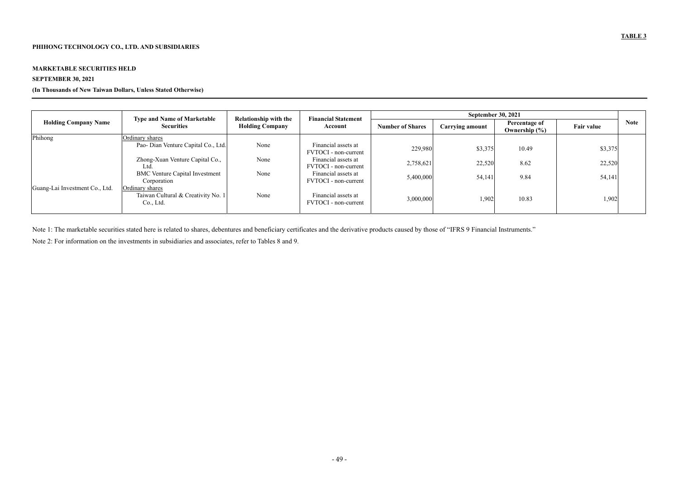## **MARKETABLE SECURITIES HELD**

# **SEPTEMBER 30, 2021**

## **(In Thousands of New Taiwan Dollars, Unless Stated Otherwise)**

|                                | <b>Type and Name of Marketable</b>                                 | <b>Relationship with the</b> | <b>Financial Statement</b>                  | <b>September 30, 2021</b> |                        |                                           |                   |             |  |
|--------------------------------|--------------------------------------------------------------------|------------------------------|---------------------------------------------|---------------------------|------------------------|-------------------------------------------|-------------------|-------------|--|
| <b>Holding Company Name</b>    | <b>Securities</b>                                                  | <b>Holding Company</b>       | Account                                     | <b>Number of Shares</b>   | <b>Carrying amount</b> | <b>Percentage of</b><br>Ownership $(\% )$ | <b>Fair value</b> | <b>Note</b> |  |
| Phihong                        | Ordinary shares                                                    |                              |                                             |                           |                        |                                           |                   |             |  |
|                                | Pao- Dian Venture Capital Co., Ltd.                                | None                         | Financial assets at<br>FVTOCI - non-current | 229,980                   | \$3,375                | 10.49                                     | \$3,375           |             |  |
|                                | Zhong-Xuan Venture Capital Co.,<br>Ltd.                            | None                         | Financial assets at<br>FVTOCI - non-current | 2,758,621                 | 22,520                 | 8.62                                      | 22,520            |             |  |
|                                | <b>BMC</b> Venture Capital Investment<br>Corporation               | None                         | Financial assets at<br>FVTOCI - non-current | 5,400,000                 | 54,141                 | 9.84                                      | 54,141            |             |  |
| Guang-Lai Investment Co., Ltd. | Ordinary shares<br>Taiwan Cultural & Creativity No. 1<br>Co., Ltd. | None                         | Financial assets at<br>FVTOCI - non-current | 3,000,000                 | 1,902                  | 10.83                                     | 1,902             |             |  |

Note 1: The marketable securities stated here is related to shares, debentures and beneficiary certificates and the derivative products caused by those of "IFRS 9 Financial Instruments." Note 2: For information on the investments in subsidiaries and associates, refer to Tables 8 and 9.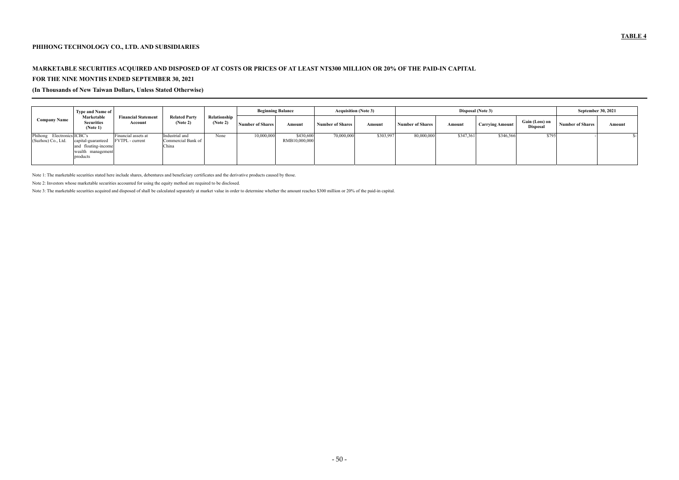## **PHIHONG TECHNOLOGY CO., LTD. AND SUBSIDIARIES**

# **MARKETABLE SECURITIES ACQUIRED AND DISPOSED OF AT COSTS OR PRICES OF AT LEAST NT\$300 MILLION OR 20% OF THE PAID-IN CAPITAL FOR THE NINE MONTHS ENDED SEPTEMBER 30, 2021**

**(In Thousands of New Taiwan Dollars, Unless Stated Otherwise)** 

|                                                     | <b>Type and Name of</b>                                                    |                                               |                                               |                          | <b>Beginning Balance</b> |                            |                         | <b>Acquisition (Note 3)</b> |                         | Disposal (Note 3) | <b>September 30, 2021</b> |                                   |                  |        |
|-----------------------------------------------------|----------------------------------------------------------------------------|-----------------------------------------------|-----------------------------------------------|--------------------------|--------------------------|----------------------------|-------------------------|-----------------------------|-------------------------|-------------------|---------------------------|-----------------------------------|------------------|--------|
| <b>Company Name</b>                                 | Marketable<br>Securities<br>(Note 1)                                       | <b>Financial Statement</b><br>Account         | <b>Related Party</b><br>(Note 2)              | Relationship<br>(Note 2) | <b>Number of Shares</b>  | Amount                     | <b>Number of Shares</b> | Amount                      | <b>Number of Shares</b> | Amount            | <b>Carrying Amount</b>    | Gain (Loss) on<br><b>Disposal</b> | Number of Shares | Amount |
| Phihong<br>Electronics ICBC's<br>(Suzhou) Co., Ltd. | capital-guaranteed<br>and floating-income<br>wealth management<br>products | Financial assets at<br><b>FVTPL</b> - current | Industrial and<br>Commercial Bank of<br>China | None                     | 10,000,000               | \$430,600<br>RMB10,000,000 | 70,000,000              | \$303,997                   | 80,000,000              | \$347,361         | \$346,566                 | \$795                             |                  |        |

Note 1: The marketable securities stated here include shares, debentures and beneficiary certificates and the derivative products caused by those.

Note 2: Investors whose marketable securities accounted for using the equity method are required to be disclosed.

Note 3: The marketable securities acquired and disposed of shall be calculated separately at market value in order to determine whether the amount reaches \$300 million or 20% of the paid-in capital.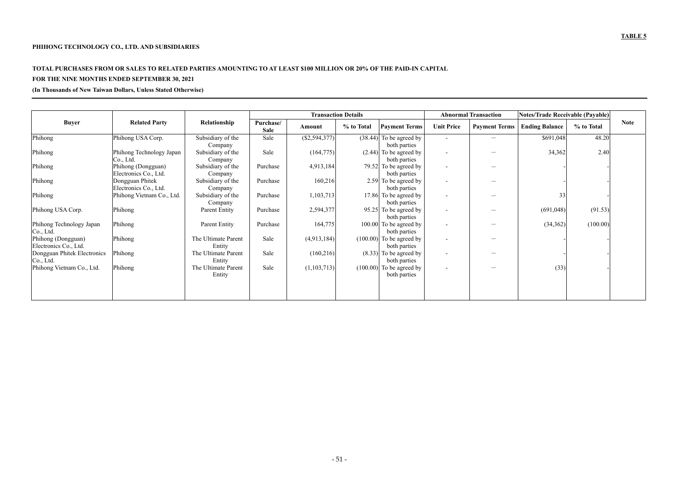# **TOTAL PURCHASES FROM OR SALES TO RELATED PARTIES AMOUNTING TO AT LEAST \$100 MILLION OR 20% OF THE PAID-IN CAPITAL**

# **FOR THE NINE MONTHS ENDED SEPTEMBER 30, 2021**

**(In Thousands of New Taiwan Dollars, Unless Stated Otherwise)** 

|                                             |                                             |                               |                          | <b>Transaction Details</b> |            |                                            |                          | <b>Abnormal Transaction</b>   | <b>Notes/Trade Receivable (Payable)</b> |            |             |
|---------------------------------------------|---------------------------------------------|-------------------------------|--------------------------|----------------------------|------------|--------------------------------------------|--------------------------|-------------------------------|-----------------------------------------|------------|-------------|
| <b>Buyer</b>                                | <b>Related Party</b>                        | Relationship                  | Purchase/<br><b>Sale</b> | Amount                     | % to Total | <b>Payment Terms</b>                       | <b>Unit Price</b>        | <b>Payment Terms</b>          | <b>Ending Balance</b>                   | % to Total | <b>Note</b> |
| Phihong                                     | Phihong USA Corp.                           | Subsidiary of the<br>Company  | Sale                     | (\$2,594,377)              |            | $(38.44)$ To be agreed by<br>both parties  | $\sim$                   |                               | \$691,048                               | 48.20      |             |
| Phihong                                     | Phihong Technology Japan<br>Co., Ltd.       | Subsidiary of the<br>Company  | Sale                     | (164, 775)                 |            | $(2.44)$ To be agreed by<br>both parties   | $\overline{\phantom{a}}$ | $\hspace{0.05cm}$             | 34,362                                  | 2.40       |             |
| Phihong                                     | Phihong (Dongguan)<br>Electronics Co., Ltd. | Subsidiary of the<br>Company  | Purchase                 | 4,913,184                  |            | 79.52 To be agreed by<br>both parties      | $\overline{a}$           |                               |                                         |            |             |
| Phihong                                     | Dongguan Phitek<br>Electronics Co., Ltd.    | Subsidiary of the<br>Company  | Purchase                 | 160,216                    |            | 2.59 To be agreed by<br>both parties       | $\overline{\phantom{a}}$ |                               |                                         |            |             |
| Phihong                                     | Phihong Vietnam Co., Ltd.                   | Subsidiary of the<br>Company  | Purchase                 | 1,103,713                  |            | 17.86 To be agreed by<br>both parties      | $\overline{\phantom{a}}$ |                               | 33                                      |            |             |
| Phihong USA Corp.                           | Phihong                                     | <b>Parent Entity</b>          | Purchase                 | 2,594,377                  |            | 95.25 To be agreed by<br>both parties      | $\overline{\phantom{a}}$ | $\overbrace{\phantom{13333}}$ | (691,048)                               | (91.53)    |             |
| Phihong Technology Japan<br>Co., Ltd.       | Phihong                                     | Parent Entity                 | Purchase                 | 164,775                    |            | 100.00 To be agreed by<br>both parties     | $\overline{\phantom{a}}$ |                               | (34, 362)                               | (100.00)   |             |
| Phihong (Dongguan)<br>Electronics Co., Ltd. | Phihong                                     | The Ultimate Parent<br>Entity | Sale                     | (4,913,184)                |            | $(100.00)$ To be agreed by<br>both parties | $\overline{\phantom{a}}$ |                               |                                         |            |             |
| Dongguan Phitek Electronics<br>Co., Ltd.    | Phihong                                     | The Ultimate Parent<br>Entity | Sale                     | (160,216)                  |            | $(8.33)$ To be agreed by<br>both parties   | $\overline{\phantom{a}}$ |                               |                                         |            |             |
| Phihong Vietnam Co., Ltd.                   | Phihong                                     | The Ultimate Parent<br>Entity | Sale                     | (1,103,713)                |            | $(100.00)$ To be agreed by<br>both parties | $\overline{\phantom{a}}$ |                               | (33)                                    |            |             |
|                                             |                                             |                               |                          |                            |            |                                            |                          |                               |                                         |            |             |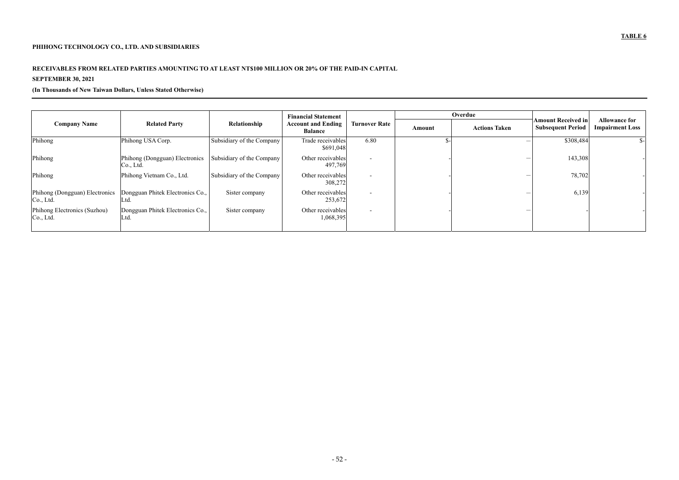## **PHIHONG TECHNOLOGY CO., LTD. AND SUBSIDIARIES**

## **RECEIVABLES FROM RELATED PARTIES AMOUNTING TO AT LEAST NT\$100 MILLION OR 20% OF THE PAID-IN CAPITAL**

# **SEPTEMBER 30, 2021**

## **(In Thousands of New Taiwan Dollars, Unless Stated Otherwise)**

|                                             |                                                                                                             |                           | <b>Financial Statement</b>     |                          |                                                       | Overdue                                        |           |     |
|---------------------------------------------|-------------------------------------------------------------------------------------------------------------|---------------------------|--------------------------------|--------------------------|-------------------------------------------------------|------------------------------------------------|-----------|-----|
| <b>Company Name</b>                         | <b>Related Party</b><br>Relationship<br><b>Turnover Rate</b><br><b>Account and Ending</b><br><b>Balance</b> |                           | Amount                         | <b>Actions Taken</b>     | <b>Amount Received in</b><br><b>Subsequent Period</b> | <b>Allowance for</b><br><b>Impairment Loss</b> |           |     |
| Phihong                                     | Phihong USA Corp.                                                                                           | Subsidiary of the Company | Trade receivables<br>\$691,048 | 6.80                     |                                                       |                                                | \$308,484 | \$- |
| Phihong                                     | Phihong (Dongguan) Electronics<br>Co., Ltd.                                                                 | Subsidiary of the Company | Other receivables<br>497,769   | $\overline{\phantom{a}}$ |                                                       |                                                | 143,308   |     |
| Phihong                                     | Phihong Vietnam Co., Ltd.                                                                                   | Subsidiary of the Company | Other receivables<br>308,272   | $\overline{\phantom{a}}$ |                                                       |                                                | 78,702    |     |
| Phihong (Dongguan) Electronics<br>Co., Ltd. | Dongguan Phitek Electronics Co.,<br>Ltd.                                                                    | Sister company            | Other receivables<br>253,672   | $\overline{\phantom{a}}$ |                                                       |                                                | 6,139     |     |
| Phihong Electronics (Suzhou)<br>Co., Ltd.   | Dongguan Phitek Electronics Co.,<br>Ltd.                                                                    | Sister company            | Other receivables<br>1,068,395 | $\overline{\phantom{a}}$ |                                                       |                                                |           |     |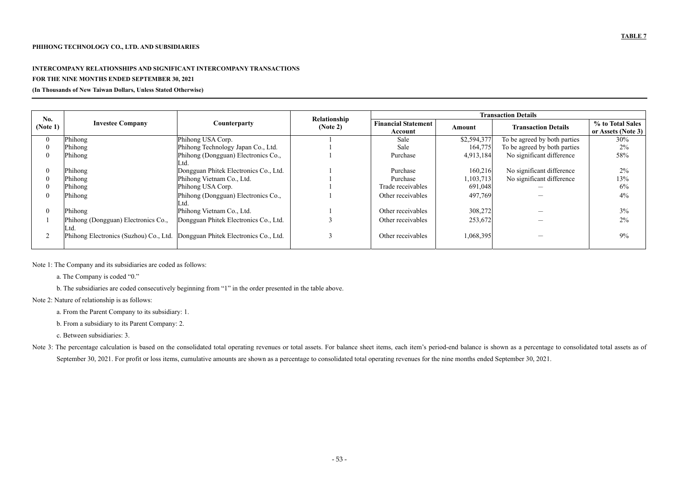## **INTERCOMPANY RELATIONSHIPS AND SIGNIFICANT INTERCOMPANY TRANSACTIONS**

## **FOR THE NINE MONTHS ENDED SEPTEMBER 30, 2021**

**(In Thousands of New Taiwan Dollars, Unless Stated Otherwise)** 

| No.      |                                             |                                                                                | Relationship |                                       |               | <b>Transaction Details</b>   |                                        |
|----------|---------------------------------------------|--------------------------------------------------------------------------------|--------------|---------------------------------------|---------------|------------------------------|----------------------------------------|
| (Note 1) | <b>Investee Company</b>                     | Counterparty                                                                   | (Note 2)     | <b>Financial Statement</b><br>Account | <b>Amount</b> | <b>Transaction Details</b>   | % to Total Sales<br>or Assets (Note 3) |
|          | Phihong                                     | Phihong USA Corp.                                                              |              | Sale                                  | \$2,594,377   | To be agreed by both parties | 30%                                    |
|          | Phihong                                     | Phihong Technology Japan Co., Ltd.                                             |              | Sale                                  | 164,775       | To be agreed by both parties | 2%                                     |
|          | Phihong                                     | Phihong (Dongguan) Electronics Co.,<br>Ltd.                                    |              | Purchase                              | 4,913,184     | No significant difference    | 58%                                    |
|          | Phihong                                     | Dongguan Phitek Electronics Co., Ltd.                                          |              | Purchase                              | 160,216       | No significant difference    | 2%                                     |
|          | Phihong                                     | Phihong Vietnam Co., Ltd.                                                      |              | Purchase                              | 1,103,713     | No significant difference    | 13%                                    |
|          | Phihong                                     | Phihong USA Corp.                                                              |              | Trade receivables                     | 691,048       |                              | 6%                                     |
|          | Phihong                                     | Phihong (Dongguan) Electronics Co.,                                            |              | Other receivables                     | 497,769       |                              | 4%                                     |
|          | Phihong                                     | Phihong Vietnam Co., Ltd.                                                      |              | Other receivables                     | 308,272       |                              | 3%                                     |
|          | Phihong (Dongguan) Electronics Co.,<br>Ltd. | Dongguan Phitek Electronics Co., Ltd.                                          |              | Other receivables                     | 253,672       |                              | 2%                                     |
|          |                                             | Phihong Electronics (Suzhou) Co., Ltd.   Dongguan Phitek Electronics Co., Ltd. |              | Other receivables                     | 1,068,395     |                              | 9%                                     |

Note 1: The Company and its subsidiaries are coded as follows:

a. The Company is coded "0."

b. The subsidiaries are coded consecutively beginning from "1" in the order presented in the table above.

Note 2: Nature of relationship is as follows:

a. From the Parent Company to its subsidiary: 1.

b. From a subsidiary to its Parent Company: 2.

c. Between subsidiaries: 3.

Note 3: The percentage calculation is based on the consolidated total operating revenues or total assets. For balance sheet items, each item's period-end balance is shown as a percentage to consolidated total assets as of September 30, 2021. For profit or loss items, cumulative amounts are shown as a percentage to consolidated total operating revenues for the nine months ended September 30, 2021.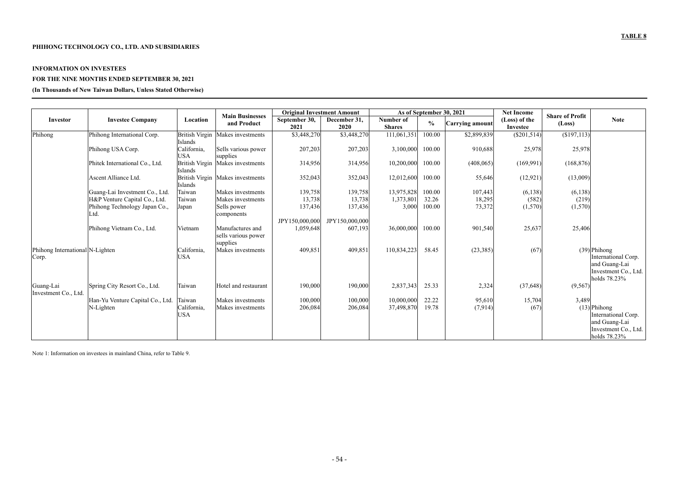## **PHIHONG TECHNOLOGY CO., LTD. AND SUBSIDIARIES**

#### **INFORMATION ON INVESTEES**

## **FOR THE NINE MONTHS ENDED SEPTEMBER 30, 2021**

**(In Thousands of New Taiwan Dollars, Unless Stated Otherwise)** 

|                                          |                                  |                           |                                                     | <b>Original Investment Amount</b> |                      |                            |               | As of September 30, 2021 | <b>Net Income</b>         |                                  |                                                                                                |
|------------------------------------------|----------------------------------|---------------------------|-----------------------------------------------------|-----------------------------------|----------------------|----------------------------|---------------|--------------------------|---------------------------|----------------------------------|------------------------------------------------------------------------------------------------|
| Investor                                 | <b>Investee Company</b>          | Location                  | <b>Main Businesses</b><br>and Product               | September 30,<br>2021             | December 31,<br>2020 | Number of<br><b>Shares</b> | $\frac{6}{6}$ | Carrying amount          | (Loss) of the<br>Investee | <b>Share of Profit</b><br>(Loss) | <b>Note</b>                                                                                    |
| Phihong                                  | Phihong International Corp.      | Islands                   | British Virgin Makes investments                    | \$3,448,270                       | \$3,448,270          | 111,061,351                | 100.00        | \$2,899,839              | $(\$201,514)$             | (\$197,113)                      |                                                                                                |
|                                          | Phihong USA Corp.                | California,<br><b>USA</b> | Sells various power<br>supplies                     | 207,203                           | 207,203              | 3,100,000                  | 100.00        | 910,688                  | 25,978                    | 25,978                           |                                                                                                |
|                                          | Phitek International Co., Ltd.   | Islands                   | British Virgin Makes investments                    | 314,956                           | 314,956              | 10,200,000                 | 100.00        | (408, 065)               | (169,991)                 | (168, 876)                       |                                                                                                |
|                                          | Ascent Alliance Ltd.             | Islands                   | British Virgin Makes investments                    | 352,043                           | 352,043              | 12,012,600                 | 100.00        | 55,646                   | (12, 921)                 | (13,009)                         |                                                                                                |
|                                          | Guang-Lai Investment Co., Ltd.   | Taiwan                    | Makes investments                                   | 139,758                           | 139,758              | 13,975,828                 | 100.00        | 107,443                  | (6, 138)                  | (6, 138)                         |                                                                                                |
|                                          | H&P Venture Capital Co., Ltd.    | Taiwan                    | Makes investments                                   | 13,738                            | 13,738               | 1,373,801                  | 32.26         | 18,295                   | (582)                     | (219)                            |                                                                                                |
|                                          | Phihong Technology Japan Co.,    | Japan                     | Sells power                                         | 137,436                           | 137,436              | 3,000                      | 100.00        | 73,372                   | (1,570)                   | (1,570)                          |                                                                                                |
|                                          | Ltd.                             |                           | components                                          |                                   |                      |                            |               |                          |                           |                                  |                                                                                                |
|                                          |                                  |                           |                                                     | JPY150,000,000                    | JPY150,000,000       |                            |               |                          |                           |                                  |                                                                                                |
|                                          | Phihong Vietnam Co., Ltd.        | Vietnam                   | Manufactures and<br>sells various power<br>supplies | 1,059,648                         | 607,193              | 36,000,000                 | 100.00        | 901,540                  | 25,637                    | 25,406                           |                                                                                                |
| Phihong International N-Lighten<br>Corp. |                                  | California,<br><b>USA</b> | Makes investments                                   | 409,851                           | 409,851              | 110,834,223                | 58.45         | (23, 385)                | (67)                      |                                  | $(39)$ Phihong<br>International Corp.<br>and Guang-Lai<br>Investment Co., Ltd.<br>holds 78.23% |
| Guang-Lai<br>Investment Co., Ltd         | Spring City Resort Co., Ltd.     | Taiwan                    | Hotel and restaurant                                | 190,000                           | 190,000              | 2,837,343                  | 25.33         | 2,324                    | (37, 648)                 | (9, 567)                         |                                                                                                |
|                                          | Han-Yu Venture Capital Co., Ltd. | Taiwan                    | Makes investments                                   | 100,000                           | 100,000              | 10,000,000                 | 22.22         | 95,610                   | 15,704                    | 3,489                            |                                                                                                |
|                                          | N-Lighten                        | California,<br><b>USA</b> | Makes investments                                   | 206,084                           | 206,084              | 37,498,870                 | 19.78         | (7,914)                  | (67)                      |                                  | $(13)$ Phihong<br>International Corp.<br>and Guang-Lai<br>Investment Co., Ltd.                 |
|                                          |                                  |                           |                                                     |                                   |                      |                            |               |                          |                           |                                  | holds 78.23%                                                                                   |

Note 1: Information on investees in mainland China, refer to Table 9.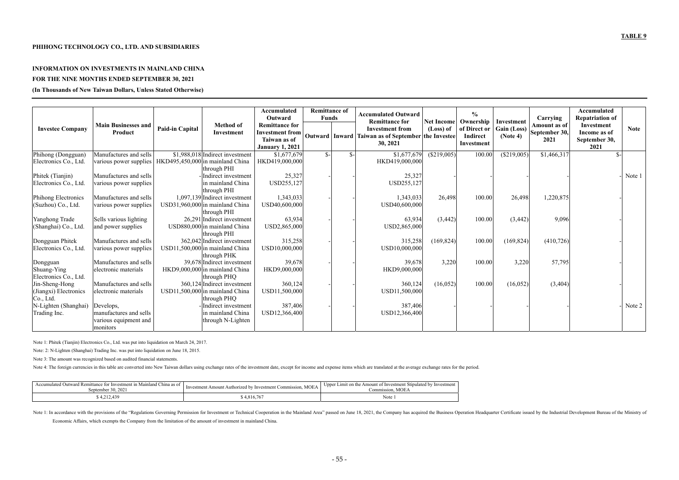#### **INFORMATION ON INVESTMENTS IN MAINLAND CHINA**

#### **FOR THE NINE MONTHS ENDED SEPTEMBER 30, 2021**

**(In Thousands of New Taiwan Dollars, Unless Stated Otherwise)** 

| <b>Investee Company</b> | <b>Main Businesses and</b><br>Product | <b>Paid-in Capital</b> | <b>Method of</b><br>Investment   | Accumulated<br>Outward<br><b>Remittance for</b><br><b>Investment from</b><br>Taiwan as of<br><b>January 1, 2021</b> | <b>Remittance of</b><br><b>Funds</b> |      | <b>Accumulated Outward</b><br><b>Remittance for</b><br><b>Investment</b> from<br>Outward   Inward   Taiwan as of September   the Investee  <br>30, 2021 | <b>Net Income</b><br>(Loss) of | $\frac{6}{6}$<br>Ownership<br>of Direct or<br>Indirect<br>Investment | Investment<br>Gain (Loss)<br>(Note 4) | Carrying<br>Amount as of<br>September 30,<br>2021 | Accumulated<br><b>Repatriation of</b><br>Investment<br>Income as of<br>September 30,<br>2021 | <b>Note</b> |
|-------------------------|---------------------------------------|------------------------|----------------------------------|---------------------------------------------------------------------------------------------------------------------|--------------------------------------|------|---------------------------------------------------------------------------------------------------------------------------------------------------------|--------------------------------|----------------------------------------------------------------------|---------------------------------------|---------------------------------------------------|----------------------------------------------------------------------------------------------|-------------|
| Phihong (Dongguan)      | Manufactures and sells                |                        | \$1,988,018 Indirect investment  | \$1,677,679                                                                                                         | $S-$                                 | $S-$ | \$1,677,679                                                                                                                                             | (\$219,005)                    | 100.00                                                               | (S219,005)                            | \$1,466,317                                       |                                                                                              |             |
| Electronics Co., Ltd.   | various power supplies                |                        | HKD495,450,000 in mainland China | HKD419,000,000                                                                                                      |                                      |      | HKD419,000,000                                                                                                                                          |                                |                                                                      |                                       |                                                   |                                                                                              |             |
|                         |                                       |                        | through PHI                      |                                                                                                                     |                                      |      |                                                                                                                                                         |                                |                                                                      |                                       |                                                   |                                                                                              |             |
| Phitek (Tianjin)        | Manufactures and sells                |                        | Indirect investment              | 25,327                                                                                                              |                                      |      | 25,327                                                                                                                                                  |                                |                                                                      |                                       |                                                   |                                                                                              | Note $1$    |
| Electronics Co., Ltd.   | various power supplies                |                        | in mainland China<br>through PHI | USD255,127                                                                                                          |                                      |      | USD255,127                                                                                                                                              |                                |                                                                      |                                       |                                                   |                                                                                              |             |
| Phihong Electronics     | Manufactures and sells                |                        | 1,097,139 Indirect investment    | 1,343,033                                                                                                           |                                      |      | 1,343,033                                                                                                                                               | 26,498                         | 100.00                                                               | 26,498                                | 1,220,875                                         |                                                                                              |             |
| (Suzhou) Co., Ltd.      | various power supplies                |                        | USD31,960,000 in mainland China  | USD40,600,000                                                                                                       |                                      |      | USD40,600,000                                                                                                                                           |                                |                                                                      |                                       |                                                   |                                                                                              |             |
|                         |                                       |                        | through PHI                      |                                                                                                                     |                                      |      |                                                                                                                                                         |                                |                                                                      |                                       |                                                   |                                                                                              |             |
| Yanghong Trade          | Sells various lighting                |                        | 26,291 Indirect investment       | 63,934                                                                                                              |                                      |      | 63,934                                                                                                                                                  | (3, 442)                       | 100.00                                                               | (3,442)                               | 9,096                                             |                                                                                              |             |
| (Shanghai) Co., Ltd.    | and power supplies                    |                        | USD880,000 in mainland China     | USD2,865,000                                                                                                        |                                      |      | USD2,865,000                                                                                                                                            |                                |                                                                      |                                       |                                                   |                                                                                              |             |
|                         |                                       |                        | through PHI                      |                                                                                                                     |                                      |      |                                                                                                                                                         |                                |                                                                      |                                       |                                                   |                                                                                              |             |
| Dongguan Phitek         | Manufactures and sells                |                        | 362,042 Indirect investment      | 315,258                                                                                                             |                                      |      | 315,258                                                                                                                                                 | (169, 824)                     | 100.00                                                               | (169, 824)                            | (410, 726)                                        |                                                                                              |             |
| Electronics Co., Ltd.   | various power supplies                |                        | USD11,500,000 in mainland China  | USD10,000,000                                                                                                       |                                      |      | USD10,000,000                                                                                                                                           |                                |                                                                      |                                       |                                                   |                                                                                              |             |
|                         |                                       |                        | through PHK                      |                                                                                                                     |                                      |      |                                                                                                                                                         |                                |                                                                      |                                       |                                                   |                                                                                              |             |
| Dongguan                | Manufactures and sells                |                        | 39,678 Indirect investment       | 39,678                                                                                                              |                                      |      | 39,678                                                                                                                                                  | 3,220                          | 100.00                                                               | 3,220                                 | 57,795                                            |                                                                                              |             |
| Shuang-Ying             | electronic materials                  |                        | HKD9,000,000 in mainland China   | HKD9,000,000                                                                                                        |                                      |      | HKD9,000,000                                                                                                                                            |                                |                                                                      |                                       |                                                   |                                                                                              |             |
| Electronics Co., Ltd.   |                                       |                        | through PHQ                      |                                                                                                                     |                                      |      |                                                                                                                                                         |                                |                                                                      |                                       |                                                   |                                                                                              |             |
| Jin-Sheng-Hong          | Manufactures and sells                |                        | 360,124 Indirect investment      | 360,124                                                                                                             |                                      |      | 360,124                                                                                                                                                 | (16, 052)                      | 100.00                                                               | (16, 052)                             | (3,404)                                           |                                                                                              |             |
| (Jiangxi) Electronics   | electronic materials                  |                        | USD11,500,000 in mainland China  | USD11,500,000                                                                                                       |                                      |      | USD11,500,000                                                                                                                                           |                                |                                                                      |                                       |                                                   |                                                                                              |             |
| Co., Ltd.               |                                       |                        | through PHQ                      |                                                                                                                     |                                      |      |                                                                                                                                                         |                                |                                                                      |                                       |                                                   |                                                                                              |             |
| N-Lighten (Shanghai)    | Develops,                             |                        | Indirect investment              | 387,406                                                                                                             |                                      |      | 387,406                                                                                                                                                 |                                |                                                                      |                                       |                                                   |                                                                                              | Note 2      |
| Trading Inc.            | manufactures and sells                |                        | in mainland China                | USD12,366,400                                                                                                       |                                      |      | USD12,366,400                                                                                                                                           |                                |                                                                      |                                       |                                                   |                                                                                              |             |
|                         | various equipment and                 |                        | through N-Lighten                |                                                                                                                     |                                      |      |                                                                                                                                                         |                                |                                                                      |                                       |                                                   |                                                                                              |             |
|                         | monitors                              |                        |                                  |                                                                                                                     |                                      |      |                                                                                                                                                         |                                |                                                                      |                                       |                                                   |                                                                                              |             |

Note 1: In accordance with the provisions of the "Regulations Governing Permission for Investment or Technical Cooperation in the Mainland Area" passed on June 18, 2021, the Company has acquired the Business Operation Head Economic Affairs, which exempts the Company from the limitation of the amount of investment in mainland China.

Note 1: Phitek (Tianjin) Electronics Co., Ltd. was put into liquidation on March 24, 2017.

Note: 2: N-Lighten (Shanghai) Trading Inc. was put into liquidation on June 18, 2015.

Note 3: The amount was recognized based on audited financial statements.

Note 4: The foreign currencies in this table are converted into New Taiwan dollars using exchange rates of the investment date, except for income and expense items which are translated at the average exchange rates for the

| Accumulated Outward Remittance for Investment in Mainland China as of 1<br>September 30, 2021 | . MOEA<br>Investment Amount Authorized by Investment Commission. | Limit on the Amount of Investment Stipulated by Investment<br>Upper<br><b>MOEA</b><br>Commission. |
|-----------------------------------------------------------------------------------------------|------------------------------------------------------------------|---------------------------------------------------------------------------------------------------|
| 4,212,439                                                                                     | \$4,816,767                                                      | Note                                                                                              |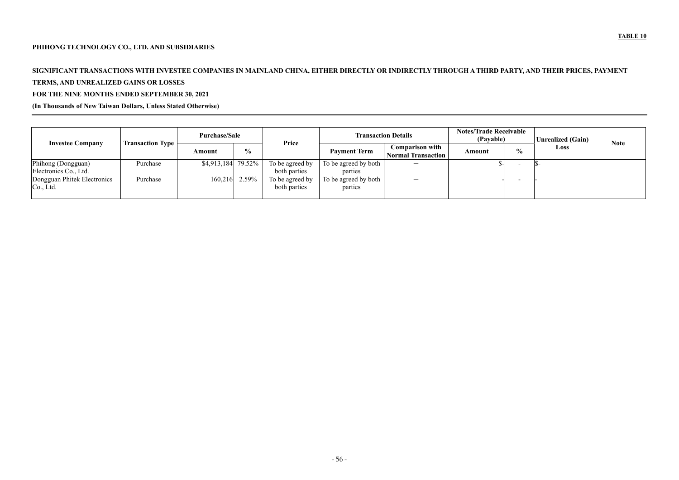## **PHIHONG TECHNOLOGY CO., LTD. AND SUBSIDIARIES**

# **SIGNIFICANT TRANSACTIONS WITH INVESTEE COMPANIES IN MAINLAND CHINA, EITHER DIRECTLY OR INDIRECTLY THROUGH A THIRD PARTY, AND THEIR PRICES, PAYMENT**

# **TERMS, AND UNREALIZED GAINS OR LOSSES**

# **FOR THE NINE MONTHS ENDED SEPTEMBER 30, 2021**

# **(In Thousands of New Taiwan Dollars, Unless Stated Otherwise)**

|                                             |                         | <b>Purchase/Sale</b> |                 | Price                           | <b>Transaction Details</b>      | <b>Notes/Trade Receivable</b><br>(Payable)          |               | Unrealized (Gain) |      |             |
|---------------------------------------------|-------------------------|----------------------|-----------------|---------------------------------|---------------------------------|-----------------------------------------------------|---------------|-------------------|------|-------------|
| <b>Investee Company</b>                     | <b>Transaction Type</b> | Amount               | $\frac{6}{6}$   |                                 | <b>Payment Term</b>             | <b>Comparison with</b><br><b>Normal Transaction</b> | <b>Amount</b> | $\frac{0}{0}$     | Loss | <b>Note</b> |
| Phihong (Dongguan)<br>Electronics Co., Ltd. | Purchase                | $$4,913,184$ 79.52%  |                 | To be agreed by<br>both parties | To be agreed by both<br>parties |                                                     |               |                   |      |             |
| Dongguan Phitek Electronics<br>Co., Ltd.    | Purchase                |                      | $160,216$ 2.59% | To be agreed by<br>both parties | To be agreed by both<br>parties | $\overline{\phantom{m}}$                            |               |                   |      |             |